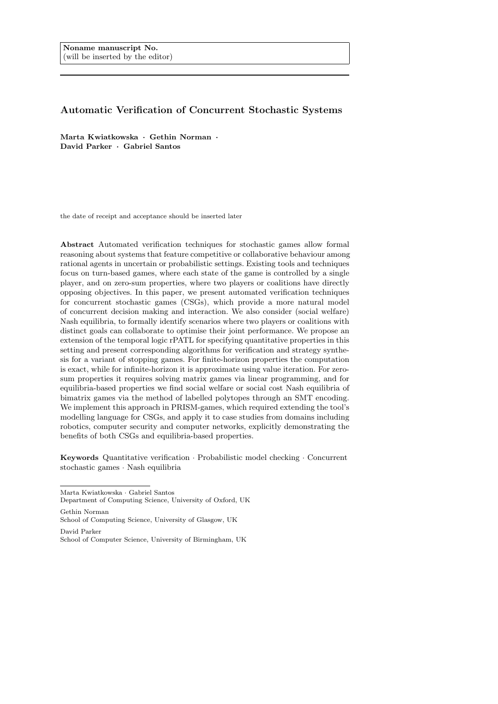# Automatic Verification of Concurrent Stochastic Systems

Marta Kwiatkowska · Gethin Norman · David Parker · Gabriel Santos

the date of receipt and acceptance should be inserted later

Abstract Automated verification techniques for stochastic games allow formal reasoning about systems that feature competitive or collaborative behaviour among rational agents in uncertain or probabilistic settings. Existing tools and techniques focus on turn-based games, where each state of the game is controlled by a single player, and on zero-sum properties, where two players or coalitions have directly opposing objectives. In this paper, we present automated verification techniques for concurrent stochastic games (CSGs), which provide a more natural model of concurrent decision making and interaction. We also consider (social welfare) Nash equilibria, to formally identify scenarios where two players or coalitions with distinct goals can collaborate to optimise their joint performance. We propose an extension of the temporal logic rPATL for specifying quantitative properties in this setting and present corresponding algorithms for verification and strategy synthesis for a variant of stopping games. For finite-horizon properties the computation is exact, while for infinite-horizon it is approximate using value iteration. For zerosum properties it requires solving matrix games via linear programming, and for equilibria-based properties we find social welfare or social cost Nash equilibria of bimatrix games via the method of labelled polytopes through an SMT encoding. We implement this approach in PRISM-games, which required extending the tool's modelling language for CSGs, and apply it to case studies from domains including robotics, computer security and computer networks, explicitly demonstrating the benefits of both CSGs and equilibria-based properties.

Keywords Quantitative verification · Probabilistic model checking · Concurrent stochastic games · Nash equilibria

Marta Kwiatkowska · Gabriel Santos

Department of Computing Science, University of Oxford, UK

Gethin Norman School of Computing Science, University of Glasgow, UK David Parker

School of Computer Science, University of Birmingham, UK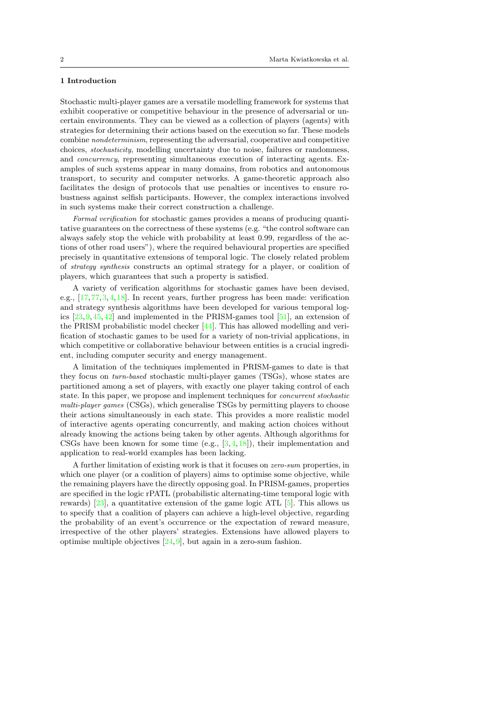## 1 Introduction

Stochastic multi-player games are a versatile modelling framework for systems that exhibit cooperative or competitive behaviour in the presence of adversarial or uncertain environments. They can be viewed as a collection of players (agents) with strategies for determining their actions based on the execution so far. These models combine nondeterminism, representing the adversarial, cooperative and competitive choices, stochasticity, modelling uncertainty due to noise, failures or randomness, and concurrency, representing simultaneous execution of interacting agents. Examples of such systems appear in many domains, from robotics and autonomous transport, to security and computer networks. A game-theoretic approach also facilitates the design of protocols that use penalties or incentives to ensure robustness against selfish participants. However, the complex interactions involved in such systems make their correct construction a challenge.

Formal verification for stochastic games provides a means of producing quantitative guarantees on the correctness of these systems (e.g. "the control software can always safely stop the vehicle with probability at least 0.99, regardless of the actions of other road users"), where the required behavioural properties are specified precisely in quantitative extensions of temporal logic. The closely related problem of strategy synthesis constructs an optimal strategy for a player, or coalition of players, which guarantees that such a property is satisfied.

A variety of verification algorithms for stochastic games have been devised, e.g., [\[17,](#page-51-0)[77,](#page-54-0)[3,](#page-51-1)[4,](#page-51-2)[18\]](#page-51-3). In recent years, further progress has been made: verification and strategy synthesis algorithms have been developed for various temporal logics [\[23,](#page-52-0)[9,](#page-51-4)[45,](#page-52-1)[42\]](#page-52-2) and implemented in the PRISM-games tool [\[51\]](#page-53-0), an extension of the PRISM probabilistic model checker [\[44\]](#page-52-3). This has allowed modelling and verification of stochastic games to be used for a variety of non-trivial applications, in which competitive or collaborative behaviour between entities is a crucial ingredient, including computer security and energy management.

A limitation of the techniques implemented in PRISM-games to date is that they focus on turn-based stochastic multi-player games (TSGs), whose states are partitioned among a set of players, with exactly one player taking control of each state. In this paper, we propose and implement techniques for concurrent stochastic multi-player games (CSGs), which generalise TSGs by permitting players to choose their actions simultaneously in each state. This provides a more realistic model of interactive agents operating concurrently, and making action choices without already knowing the actions being taken by other agents. Although algorithms for CSGs have been known for some time (e.g.,  $[3,4,18]$  $[3,4,18]$  $[3,4,18]$ ), their implementation and application to real-world examples has been lacking.

A further limitation of existing work is that it focuses on zero-sum properties, in which one player (or a coalition of players) aims to optimise some objective, while the remaining players have the directly opposing goal. In PRISM-games, properties are specified in the logic rPATL (probabilistic alternating-time temporal logic with rewards) [\[23\]](#page-52-0), a quantitative extension of the game logic ATL  $[5]$ . This allows us to specify that a coalition of players can achieve a high-level objective, regarding the probability of an event's occurrence or the expectation of reward measure, irrespective of the other players' strategies. Extensions have allowed players to optimise multiple objectives  $[24,9]$  $[24,9]$ , but again in a zero-sum fashion.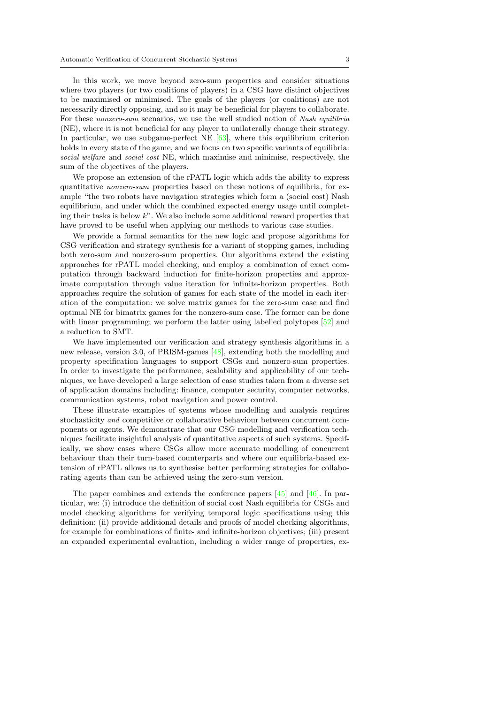In this work, we move beyond zero-sum properties and consider situations where two players (or two coalitions of players) in a CSG have distinct objectives to be maximised or minimised. The goals of the players (or coalitions) are not necessarily directly opposing, and so it may be beneficial for players to collaborate. For these nonzero-sum scenarios, we use the well studied notion of Nash equilibria (NE), where it is not beneficial for any player to unilaterally change their strategy. In particular, we use subgame-perfect NE [\[63\]](#page-53-1), where this equilibrium criterion holds in every state of the game, and we focus on two specific variants of equilibria: social welfare and social cost NE, which maximise and minimise, respectively, the sum of the objectives of the players.

We propose an extension of the rPATL logic which adds the ability to express quantitative nonzero-sum properties based on these notions of equilibria, for example "the two robots have navigation strategies which form a (social cost) Nash equilibrium, and under which the combined expected energy usage until completing their tasks is below  $k$ ". We also include some additional reward properties that have proved to be useful when applying our methods to various case studies.

We provide a formal semantics for the new logic and propose algorithms for CSG verification and strategy synthesis for a variant of stopping games, including both zero-sum and nonzero-sum properties. Our algorithms extend the existing approaches for rPATL model checking, and employ a combination of exact computation through backward induction for finite-horizon properties and approximate computation through value iteration for infinite-horizon properties. Both approaches require the solution of games for each state of the model in each iteration of the computation: we solve matrix games for the zero-sum case and find optimal NE for bimatrix games for the nonzero-sum case. The former can be done with linear programming; we perform the latter using labelled polytopes  $[52]$  and a reduction to SMT.

We have implemented our verification and strategy synthesis algorithms in a new release, version 3.0, of PRISM-games [\[48\]](#page-53-3), extending both the modelling and property specification languages to support CSGs and nonzero-sum properties. In order to investigate the performance, scalability and applicability of our techniques, we have developed a large selection of case studies taken from a diverse set of application domains including: finance, computer security, computer networks, communication systems, robot navigation and power control.

These illustrate examples of systems whose modelling and analysis requires stochasticity and competitive or collaborative behaviour between concurrent components or agents. We demonstrate that our CSG modelling and verification techniques facilitate insightful analysis of quantitative aspects of such systems. Specifically, we show cases where CSGs allow more accurate modelling of concurrent behaviour than their turn-based counterparts and where our equilibria-based extension of rPATL allows us to synthesise better performing strategies for collaborating agents than can be achieved using the zero-sum version.

The paper combines and extends the conference papers [\[45\]](#page-52-1) and [\[46\]](#page-52-5). In particular, we: (i) introduce the definition of social cost Nash equilibria for CSGs and model checking algorithms for verifying temporal logic specifications using this definition; (ii) provide additional details and proofs of model checking algorithms, for example for combinations of finite- and infinite-horizon objectives; (iii) present an expanded experimental evaluation, including a wider range of properties, ex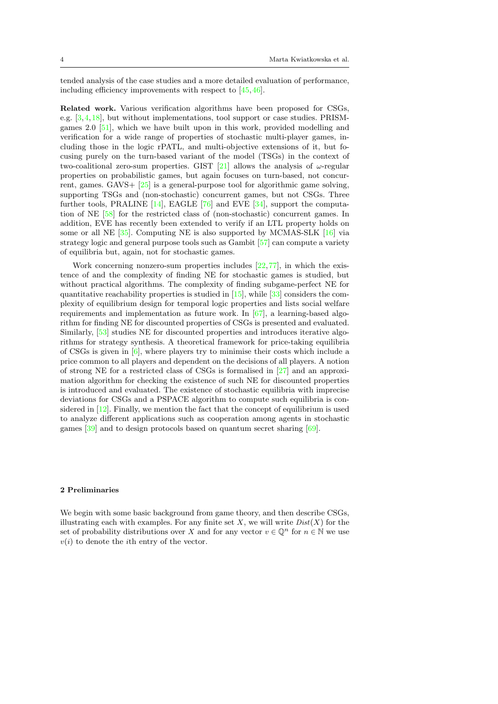tended analysis of the case studies and a more detailed evaluation of performance, including efficiency improvements with respect to [\[45,](#page-52-1)[46\]](#page-52-5).

Related work. Various verification algorithms have been proposed for CSGs, e.g. [\[3,](#page-51-1)[4,](#page-51-2)[18\]](#page-51-3), but without implementations, tool support or case studies. PRISMgames 2.0 [\[51\]](#page-53-0), which we have built upon in this work, provided modelling and verification for a wide range of properties of stochastic multi-player games, including those in the logic rPATL, and multi-objective extensions of it, but focusing purely on the turn-based variant of the model (TSGs) in the context of two-coalitional zero-sum properties. GIST [\[21\]](#page-51-6) allows the analysis of  $\omega$ -regular properties on probabilistic games, but again focuses on turn-based, not concurrent, games. GAVS+  $[25]$  is a general-purpose tool for algorithmic game solving, supporting TSGs and (non-stochastic) concurrent games, but not CSGs. Three further tools, PRALINE [\[14\]](#page-51-7), EAGLE [\[76\]](#page-54-1) and EVE [\[34\]](#page-52-7), support the computation of NE [\[58\]](#page-53-4) for the restricted class of (non-stochastic) concurrent games. In addition, EVE has recently been extended to verify if an LTL property holds on some or all NE [\[35\]](#page-52-8). Computing NE is also supported by MCMAS-SLK [\[16\]](#page-51-8) via strategy logic and general purpose tools such as Gambit [\[57\]](#page-53-5) can compute a variety of equilibria but, again, not for stochastic games.

Work concerning nonzero-sum properties includes  $[22,77]$  $[22,77]$ , in which the existence of and the complexity of finding NE for stochastic games is studied, but without practical algorithms. The complexity of finding subgame-perfect NE for quantitative reachability properties is studied in  $[15]$ , while  $[33]$  considers the complexity of equilibrium design for temporal logic properties and lists social welfare requirements and implementation as future work. In  $[67]$ , a learning-based algorithm for finding NE for discounted properties of CSGs is presented and evaluated. Similarly, [\[53\]](#page-53-7) studies NE for discounted properties and introduces iterative algorithms for strategy synthesis. A theoretical framework for price-taking equilibria of CSGs is given in [\[6\]](#page-51-10), where players try to minimise their costs which include a price common to all players and dependent on the decisions of all players. A notion of strong NE for a restricted class of CSGs is formalised in [\[27\]](#page-52-11) and an approximation algorithm for checking the existence of such NE for discounted properties is introduced and evaluated. The existence of stochastic equilibria with imprecise deviations for CSGs and a PSPACE algorithm to compute such equilibria is considered in [\[12\]](#page-51-11). Finally, we mention the fact that the concept of equilibrium is used to analyze different applications such as cooperation among agents in stochastic games [\[39\]](#page-52-12) and to design protocols based on quantum secret sharing [\[69\]](#page-53-8).

## <span id="page-3-0"></span>2 Preliminaries

We begin with some basic background from game theory, and then describe CSGs, illustrating each with examples. For any finite set X, we will write  $Dist(X)$  for the set of probability distributions over X and for any vector  $v \in \mathbb{Q}^n$  for  $n \in \mathbb{N}$  we use  $v(i)$  to denote the *i*th entry of the vector.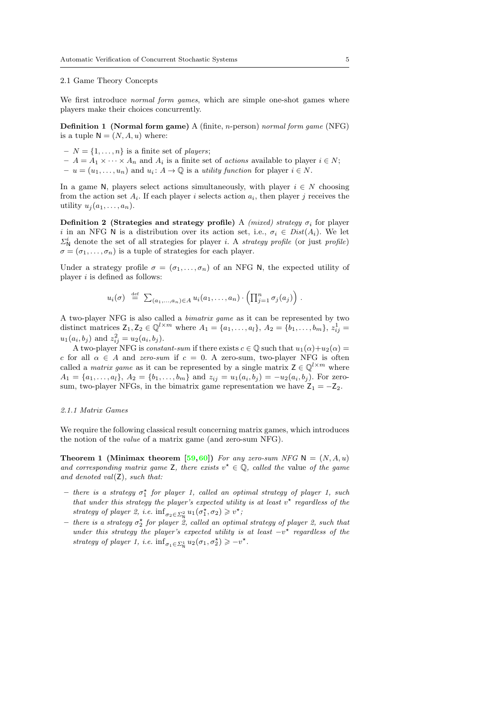### 2.1 Game Theory Concepts

We first introduce *normal form games*, which are simple one-shot games where players make their choices concurrently.

Definition 1 (Normal form game) A (finite, n-person) normal form game (NFG) is a tuple  $N = (N, A, u)$  where:

- $-N = \{1, \ldots, n\}$  is a finite set of *players*;
- $-A = A_1 \times \cdots \times A_n$  and  $A_i$  is a finite set of *actions* available to player  $i \in N$ ;  $-u=(u_1,\ldots,u_n)$  and  $u_i: A\to\mathbb{Q}$  is a *utility function* for player  $i\in\mathbb{N}$ .

In a game N, players select actions simultaneously, with player  $i \in N$  choosing from the action set  $A_i$ . If each player i selects action  $a_i$ , then player j receives the utility  $u_j(a_1, \ldots, a_n)$ .

Definition 2 (Strategies and strategy profile) A (mixed) strategy  $\sigma_i$  for player i in an NFG N is a distribution over its action set, i.e.,  $\sigma_i \in Dist(A_i)$ . We let  $\Sigma_N^i$  denote the set of all strategies for player *i.* A *strategy profile* (or just *profile*)  $\sigma = (\sigma_1, \ldots, \sigma_n)$  is a tuple of strategies for each player.

Under a strategy profile  $\sigma = (\sigma_1, \ldots, \sigma_n)$  of an NFG N, the expected utility of player  $i$  is defined as follows:

$$
u_i(\sigma) \stackrel{\text{def}}{=} \sum_{(a_1,\ldots,a_n)\in A} u_i(a_1,\ldots,a_n) \cdot \left(\prod_{j=1}^n \sigma_j(a_j)\right).
$$

A two-player NFG is also called a bimatrix game as it can be represented by two distinct matrices  $Z_1, Z_2 \in \mathbb{Q}^{l \times m}$  where  $A_1 = \{a_1, ..., a_l\}, A_2 = \{b_1, ..., b_m\}, z_{ij}^1 =$  $u_1(a_i, b_j)$  and  $z_{ij}^2 = u_2(a_i, b_j)$ .

A two-player NFG is *constant-sum* if there exists  $c \in \mathbb{Q}$  such that  $u_1(\alpha)+u_2(\alpha) =$ c for all  $\alpha \in A$  and zero-sum if  $c = 0$ . A zero-sum, two-player NFG is often called a *matrix game* as it can be represented by a single matrix  $Z \in \mathbb{Q}^{l \times m}$  where  $A_1 = \{a_1, \ldots, a_l\}, A_2 = \{b_1, \ldots, b_m\}$  and  $z_{ij} = u_1(a_i, b_j) = -u_2(a_i, b_j)$ . For zerosum, two-player NFGs, in the bimatrix game representation we have  $Z_1 = -Z_2$ .

### <span id="page-4-1"></span>2.1.1 Matrix Games

We require the following classical result concerning matrix games, which introduces the notion of the value of a matrix game (and zero-sum NFG).

<span id="page-4-0"></span>**Theorem 1 (Minimax theorem [\[59,](#page-53-9)[60\]](#page-53-10))** For any zero-sum NFG  $N = (N, A, u)$ and corresponding matrix game Z, there exists  $v^* \in \mathbb{Q}$ , called the value of the game and denoted val $(Z)$ , such that:

- $-$  there is a strategy  $\sigma_1^*$  for player 1, called an optimal strategy of player 1, such that under this strategy the player's expected utility is at least  $v^*$  regardless of the strategy of player 2, i.e.  $\inf_{\sigma_2 \in \Sigma_{\mathsf{N}}^2} u_1(\sigma_1^{\star}, \sigma_2) \geq v^{\star}$ ;
- $-$  there is a strategy  $\sigma_2^*$  for player  $\ddot{2}$ , called an optimal strategy of player 2, such that under this strategy the player's expected utility is at least  $-v^*$  regardless of the strategy of player 1, i.e.  $\inf_{\sigma_1 \in \Sigma_{\mathsf{N}}^1} u_2(\sigma_1, \sigma_2^{\star}) \geqslant -v^{\star}$ .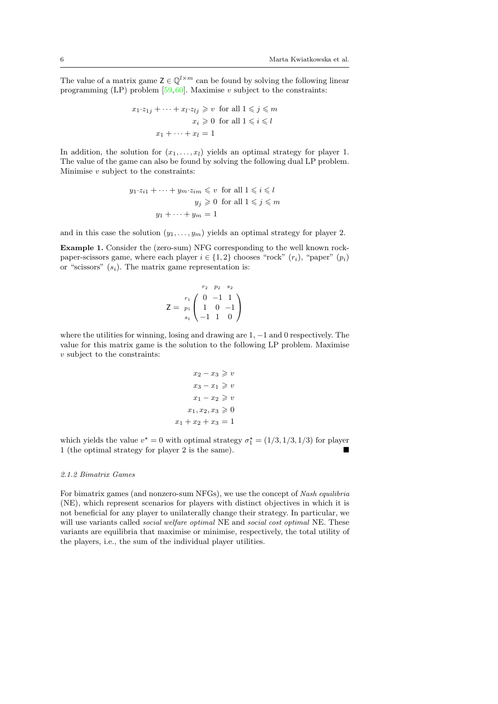The value of a matrix game  $Z \in \mathbb{Q}^{l \times m}$  can be found by solving the following linear programming (LP) problem  $[59,60]$  $[59,60]$ . Maximise v subject to the constraints:

$$
x_1 \cdot z_{1j} + \dots + x_l \cdot z_{lj} \geq v \text{ for all } 1 \leq j \leq m
$$

$$
x_i \geq 0 \text{ for all } 1 \leq i \leq l
$$

$$
x_1 + \dots + x_l = 1
$$

In addition, the solution for  $(x_1, \ldots, x_l)$  yields an optimal strategy for player 1. The value of the game can also be found by solving the following dual LP problem. Minimise  $v$  subject to the constraints:

$$
y_1 \cdot z_{i1} + \dots + y_m \cdot z_{im} \leq v \text{ for all } 1 \leq i \leq l
$$

$$
y_j \geq 0 \text{ for all } 1 \leq j \leq m
$$

$$
y_1 + \dots + y_m = 1
$$

and in this case the solution  $(y_1, \ldots, y_m)$  yields an optimal strategy for player 2.

<span id="page-5-0"></span>Example 1. Consider the (zero-sum) NFG corresponding to the well known rockpaper-scissors game, where each player  $i \in \{1, 2\}$  chooses "rock"  $(r_i)$ , "paper"  $(p_i)$ or "scissors"  $(s_i)$ . The matrix game representation is:

$$
Z = \begin{array}{c} \n r_2 \quad p_2 \quad s_2 \\
 r_1 \left( \begin{array}{ccc} 0 & -1 & 1 \\
 1 & 0 & -1 \\
 -1 & 1 & 0 \end{array} \right) \n \end{array}
$$

where the utilities for winning, losing and drawing are  $1, -1$  and 0 respectively. The value for this matrix game is the solution to the following LP problem. Maximise v subject to the constraints:

$$
x_2 - x_3 \geqslant v
$$

$$
x_3 - x_1 \geqslant v
$$

$$
x_1 - x_2 \geqslant v
$$

$$
x_1, x_2, x_3 \geqslant 0
$$

$$
x_1 + x_2 + x_3 = 1
$$

which yields the value  $v^* = 0$  with optimal strategy  $\sigma_1^* = (1/3, 1/3, 1/3)$  for player 1 (the optimal strategy for player 2 is the same).

## <span id="page-5-1"></span>2.1.2 Bimatrix Games

For bimatrix games (and nonzero-sum NFGs), we use the concept of Nash equilibria (NE), which represent scenarios for players with distinct objectives in which it is not beneficial for any player to unilaterally change their strategy. In particular, we will use variants called social welfare optimal NE and social cost optimal NE. These variants are equilibria that maximise or minimise, respectively, the total utility of the players, i.e., the sum of the individual player utilities.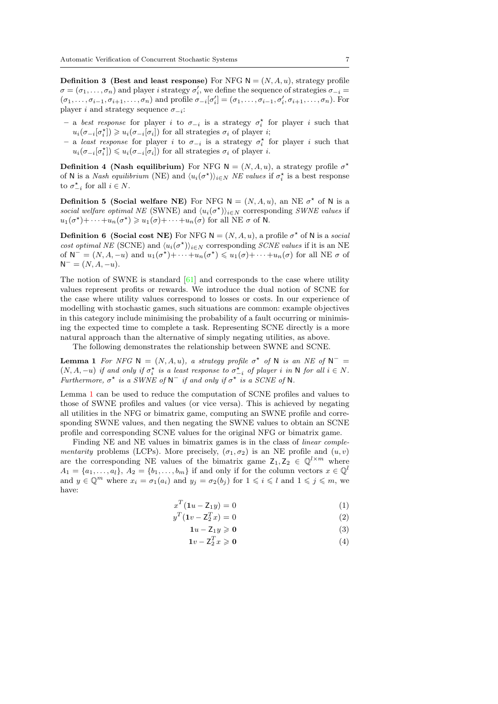**Definition 3** (Best and least response) For NFG  $N = (N, A, u)$ , strategy profile  $\sigma = (\sigma_1, \ldots, \sigma_n)$  and player *i* strategy  $\sigma'_i$ , we define the sequence of strategies  $\sigma_{-i}$  $(\sigma_1,\ldots,\sigma_{i-1},\sigma_{i+1},\ldots,\sigma_n)$  and profile  $\sigma_{-i}[\sigma_i'] = (\sigma_1,\ldots,\sigma_{i-1},\sigma_i',\sigma_{i+1},\ldots,\sigma_n)$ . For player *i* and strategy sequence  $\sigma_{-i}$ :

- $-$  a best response for player *i* to  $\sigma_{-i}$  is a strategy  $\sigma_i^*$  for player *i* such that  $u_i(\sigma_{-i}[\sigma_i^{\star}]) \geq u_i(\sigma_{-i}[\sigma_i])$  for all strategies  $\sigma_i$  of player *i*;
- $-$  a least response for player *i* to  $\sigma_{-i}$  is a strategy  $\sigma_i^*$  for player *i* such that  $u_i(\sigma_{-i}[\sigma_i^{\star}]) \leq u_i(\sigma_{-i}[\sigma_i])$  for all strategies  $\sigma_i$  of player *i*.

<span id="page-6-2"></span>**Definition 4 (Nash equilibrium)** For NFG  $N = (N, A, u)$ , a strategy profile  $\sigma^*$ of N is a Nash equilibrium (NE) and  $\langle u_i(\sigma^*)\rangle_{i\in N}$  NE values if  $\sigma_i^*$  is a best response to  $\sigma_{-i}^*$  for all  $i \in N$ .

**Definition 5 (Social welfare NE)** For NFG  $N = (N, A, u)$ , an NE  $\sigma^*$  of N is a social welfare optimal NE (SWNE) and  $\langle u_i(\sigma^{\star})\rangle_{i\in N}$  corresponding SWNE values if  $u_1(\sigma^*) + \cdots + u_n(\sigma^*) \geq u_1(\sigma) + \cdots + u_n(\sigma)$  for all NE  $\sigma$  of N.

**Definition 6 (Social cost NE)** For NFG  $N = (N, A, u)$ , a profile  $\sigma^*$  of N is a social cost optimal NE (SCNE) and  $\langle u_i(\sigma^*)\rangle_{i\in N}$  corresponding *SCNE values* if it is an NE of  $N^- = (N, A, -u)$  and  $u_1(\sigma^*) + \cdots + u_n(\sigma^*) \leq u_1(\sigma) + \cdots + u_n(\sigma)$  for all NE  $\sigma$  of  $N^- = (N, A, -u).$ 

The notion of SWNE is standard  $[61]$  and corresponds to the case where utility values represent profits or rewards. We introduce the dual notion of SCNE for the case where utility values correspond to losses or costs. In our experience of modelling with stochastic games, such situations are common: example objectives in this category include minimising the probability of a fault occurring or minimising the expected time to complete a task. Representing SCNE directly is a more natural approach than the alternative of simply negating utilities, as above.

The following demonstrates the relationship between SWNE and SCNE.

**Lemma 1** For NFG  $N = (N, A, u)$ , a strategy profile  $\sigma^*$  of N is an NE of  $N^ (N, A, -u)$  if and only if  $\sigma_i^*$  is a least response to  $\sigma_{-i}^*$  of player i in N for all  $i \in N$ . Furthermore,  $\sigma^*$  is a SWNE of  $N^-$  if and only if  $\sigma^*$  is a SCNE of N.

Lemma [1](#page-6-0) can be used to reduce the computation of SCNE profiles and values to those of SWNE profiles and values (or vice versa). This is achieved by negating all utilities in the NFG or bimatrix game, computing an SWNE profile and corresponding SWNE values, and then negating the SWNE values to obtain an SCNE profile and corresponding SCNE values for the original NFG or bimatrix game.

Finding NE and NE values in bimatrix games is in the class of linear complementarity problems (LCPs). More precisely,  $(\sigma_1, \sigma_2)$  is an NE profile and  $(u, v)$ are the corresponding NE values of the bimatrix game  $Z_1, Z_2 \in \mathbb{Q}^{l \times m}$  where  $A_1 = \{a_1, \ldots, a_l\}, A_2 = \{b_1, \ldots, b_m\}$  if and only if for the column vectors  $x \in \mathbb{Q}^l$ and  $y \in \mathbb{Q}^m$  where  $x_i = \sigma_1(a_i)$  and  $y_j = \sigma_2(b_j)$  for  $1 \leq i \leq l$  and  $1 \leq j \leq m$ , we have:

<span id="page-6-1"></span><span id="page-6-0"></span>
$$
x^T(1u - Z_1y) = 0 \tag{1}
$$

$$
y^T(\mathbf{1}v - \mathbf{Z}_2^T x) = 0\tag{2}
$$

$$
1u - \mathsf{Z}_1 y \geqslant 0 \tag{3}
$$

$$
\mathbf{1}v - \mathbf{Z}_2^T x \geqslant \mathbf{0} \tag{4}
$$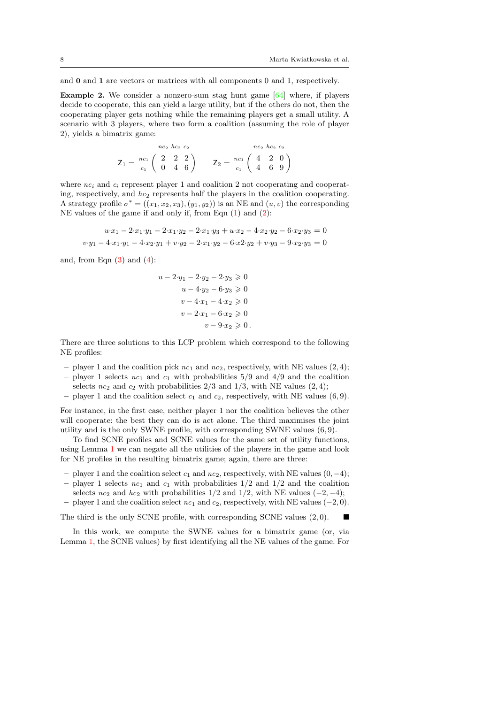and 0 and 1 are vectors or matrices with all components 0 and 1, respectively.

**Example 2.** We consider a nonzero-sum stag hunt game  $[64]$  where, if players decide to cooperate, this can yield a large utility, but if the others do not, then the cooperating player gets nothing while the remaining players get a small utility. A scenario with 3 players, where two form a coalition (assuming the role of player 2), yields a bimatrix game:

$$
Z_1 = \begin{array}{c} n c_2 \; h c_2 \; c_2 \\ c_1 \; \left( \begin{array}{ccc} 2 & 2 & 2 \\ 0 & 4 & 6 \end{array} \right) \end{array} \quad \begin{array}{c} n c_2 \; h c_2 \; c_2 \\ Z_2 = \begin{array}{c} n c_1 \\ c_1 \end{array} \left( \begin{array}{ccc} 4 & 2 & 0 \\ 4 & 6 & 9 \end{array} \right)
$$

where  $nc_i$  and  $c_i$  represent player 1 and coalition 2 not cooperating and cooperating, respectively, and  $hc_2$  represents half the players in the coalition cooperating. A strategy profile  $\sigma^* = ((x_1, x_2, x_3), (y_1, y_2))$  is an NE and  $(u, v)$  the corresponding NE values of the game if and only if, from Eqn [\(1\)](#page-6-1) and [\(2\)](#page-6-1):

$$
u \cdot x_1 - 2 \cdot x_1 \cdot y_1 - 2 \cdot x_1 \cdot y_2 - 2 \cdot x_1 \cdot y_3 + u \cdot x_2 - 4 \cdot x_2 \cdot y_2 - 6 \cdot x_2 \cdot y_3 = 0
$$
  

$$
v \cdot y_1 - 4 \cdot x_1 \cdot y_1 - 4 \cdot x_2 \cdot y_1 + v \cdot y_2 - 2 \cdot x_1 \cdot y_2 - 6 \cdot x_2 \cdot y_2 + v \cdot y_3 - 9 \cdot x_2 \cdot y_3 = 0
$$

and, from Eqn  $(3)$  and  $(4)$ :

$$
u - 2 \tcdot y_1 - 2 \tcdot y_2 - 2 \tcdot y_3 \ge 0
$$
  

$$
u - 4 \tcdot y_2 - 6 \tcdot y_3 \ge 0
$$
  

$$
v - 4 \tcdot x_1 - 4 \tcdot x_2 \ge 0
$$
  

$$
v - 2 \tcdot x_1 - 6 \tcdot x_2 \ge 0
$$
  

$$
v - 9 \tcdot x_2 \ge 0.
$$

There are three solutions to this LCP problem which correspond to the following NE profiles:

- player 1 and the coalition pick  $nc_1$  and  $nc_2$ , respectively, with NE values  $(2, 4)$ ;
- player 1 selects  $nc_1$  and  $c_1$  with probabilities 5/9 and 4/9 and the coalition selects  $nc_2$  and  $c_2$  with probabilities  $2/3$  and  $1/3$ , with NE values  $(2, 4)$ ;
- player 1 and the coalition select  $c_1$  and  $c_2$ , respectively, with NE values (6,9).

For instance, in the first case, neither player 1 nor the coalition believes the other will cooperate: the best they can do is act alone. The third maximises the joint utility and is the only SWNE profile, with corresponding SWNE values (6, 9).

To find SCNE profiles and SCNE values for the same set of utility functions, using Lemma [1](#page-6-0) we can negate all the utilities of the players in the game and look for NE profiles in the resulting bimatrix game; again, there are three:

- player 1 and the coalition select  $c_1$  and  $nc_2$ , respectively, with NE values  $(0, -4)$ ;
- player 1 selects  $nc_1$  and  $c_1$  with probabilities  $1/2$  and  $1/2$  and the coalition selects  $nc_2$  and  $hc_2$  with probabilities 1/2 and 1/2, with NE values (-2, -4);
- player 1 and the coalition select  $nc_1$  and  $c_2$ , respectively, with NE values (−2, 0).

The third is the only SCNE profile, with corresponding SCNE values  $(2, 0)$ .

In this work, we compute the SWNE values for a bimatrix game (or, via Lemma [1,](#page-6-0) the SCNE values) by first identifying all the NE values of the game. For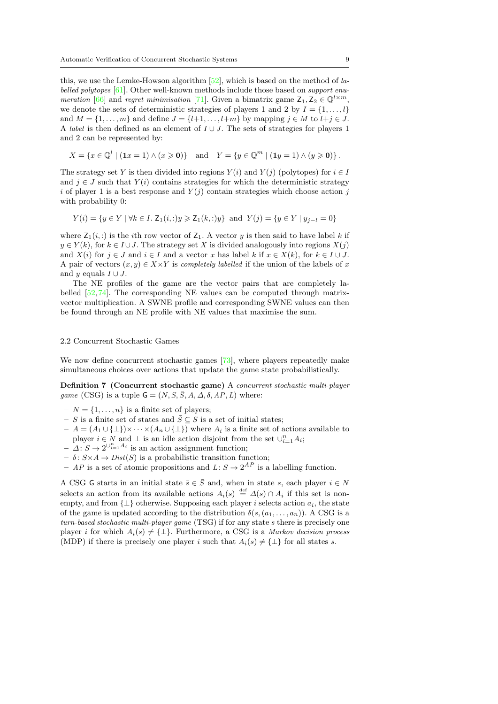this, we use the Lemke-Howson algorithm  $[52]$ , which is based on the method of labelled polytopes [\[61\]](#page-53-11). Other well-known methods include those based on support enu-meration [\[66\]](#page-53-13) and regret minimisation [\[71\]](#page-53-14). Given a bimatrix game  $Z_1, Z_2 \in \mathbb{Q}^{l \times m}$ , we denote the sets of deterministic strategies of players 1 and 2 by  $I = \{1, \ldots, l\}$ and  $M = \{1, \ldots, m\}$  and define  $J = \{l+1, \ldots, l+m\}$  by mapping  $j \in M$  to  $l+j \in J$ . A *label* is then defined as an element of  $I \cup J$ . The sets of strategies for players 1 and 2 can be represented by:

$$
X = \{x \in \mathbb{Q}^l \mid (\mathbf{1}x = 1) \land (x \geq 0)\} \quad \text{and} \quad Y = \{y \in \mathbb{Q}^m \mid (\mathbf{1}y = 1) \land (y \geq 0)\}.
$$

The strategy set Y is then divided into regions  $Y(i)$  and  $Y(j)$  (polytopes) for  $i \in I$ and  $j \in J$  such that  $Y(i)$  contains strategies for which the deterministic strategy i of player 1 is a best response and  $Y(j)$  contain strategies which choose action j with probability 0:

$$
Y(i) = \{ y \in Y \mid \forall k \in I. \ Z_1(i,:) y \geq Z_1(k,:) y \}
$$
 and  $Y(j) = \{ y \in Y \mid y_{j-l} = 0 \}$ 

where  $Z_1(i,:)$  is the *i*th row vector of  $Z_1$ . A vector y is then said to have label k if  $y \in Y(k)$ , for  $k \in I \cup J$ . The strategy set X is divided analogously into regions  $X(j)$ and  $X(i)$  for  $j \in J$  and  $i \in I$  and a vector x has label k if  $x \in X(k)$ , for  $k \in I \cup J$ . A pair of vectors  $(x, y) \in X \times Y$  is *completely labelled* if the union of the labels of x and y equals  $I \cup J$ .

The NE profiles of the game are the vector pairs that are completely labelled [\[52,](#page-53-2)[74\]](#page-54-2). The corresponding NE values can be computed through matrixvector multiplication. A SWNE profile and corresponding SWNE values can then be found through an NE profile with NE values that maximise the sum.

### 2.2 Concurrent Stochastic Games

We now define concurrent stochastic games [\[73\]](#page-53-15), where players repeatedly make simultaneous choices over actions that update the game state probabilistically.

Definition 7 (Concurrent stochastic game) A concurrent stochastic multi-player game (CSG) is a tuple  $\mathsf{G} = (N, S, \overline{S}, A, \Delta, \delta, AP, L)$  where:

- $-N = \{1, \ldots, n\}$  is a finite set of players;
- S is a finite set of states and  $\overline{S} \subseteq S$  is a set of initial states;
- $A = (A_1 \cup \{\perp\}) \times \cdots \times (A_n \cup \{\perp\})$  where  $A_i$  is a finite set of actions available to player  $i \in N$  and  $\perp$  is an idle action disjoint from the set  $\cup_{i=1}^{n} A_i$ ;
- $-\Delta: S \to 2^{\bigcup_{i=1}^{n} A_i}$  is an action assignment function;
- $\delta \colon S \times A \to Dist(S)$  is a probabilistic transition function;
- AP is a set of atomic propositions and  $L: S \to 2^{AP}$  is a labelling function.

A CSG G starts in an initial state  $\bar{s} \in \bar{S}$  and, when in state s, each player  $i \in N$ selects an action from its available actions  $A_i(s) \stackrel{\text{def}}{=} \Delta(s) \cap A_i$  if this set is nonempty, and from  $\{\perp\}$  otherwise. Supposing each player i selects action  $a_i$ , the state of the game is updated according to the distribution  $\delta(s,(a_1,\ldots,a_n))$ . A CSG is a turn-based stochastic multi-player game (TSG) if for any state s there is precisely one player i for which  $A_i(s) \neq {\perp}$ . Furthermore, a CSG is a Markov decision process (MDP) if there is precisely one player i such that  $A_i(s) \neq {\{\perp\}}$  for all states s.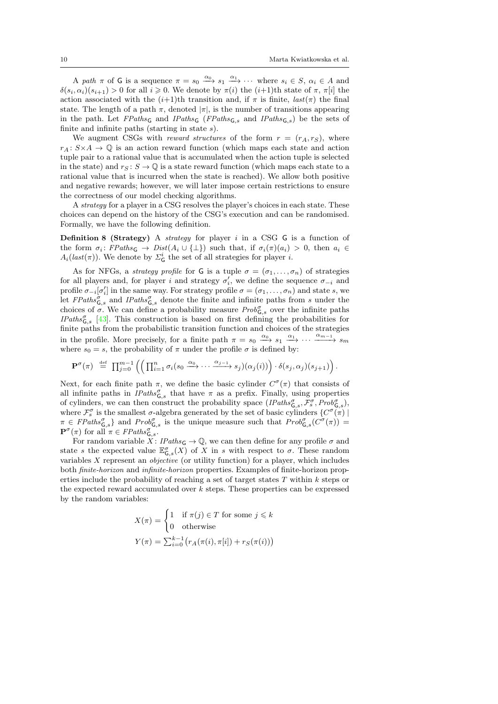A path  $\pi$  of G is a sequence  $\pi = s_0 \xrightarrow{\alpha_0} s_1 \xrightarrow{\alpha_1} \cdots$  where  $s_i \in S$ ,  $\alpha_i \in A$  and  $\delta(s_i, \alpha_i)(s_{i+1}) > 0$  for all  $i \geq 0$ . We denote by  $\pi(i)$  the  $(i+1)$ th state of  $\pi$ ,  $\pi[i]$  the action associated with the  $(i+1)$ th transition and, if  $\pi$  is finite,  $last(\pi)$  the final state. The length of a path  $\pi$ , denoted  $|\pi|$ , is the number of transitions appearing in the path. Let  $FPaths_{\mathsf{G}}$  and  $IPaths_{\mathsf{G},s}$  and  $IPaths_{\mathsf{G},s}$  be the sets of finite and infinite paths (starting in state  $s$ ).

We augment CSGs with *reward structures* of the form  $r = (r_A, r_S)$ , where  $r_A: S \times A \rightarrow \mathbb{Q}$  is an action reward function (which maps each state and action tuple pair to a rational value that is accumulated when the action tuple is selected in the state) and  $r_S : S \to \mathbb{Q}$  is a state reward function (which maps each state to a rational value that is incurred when the state is reached). We allow both positive and negative rewards; however, we will later impose certain restrictions to ensure the correctness of our model checking algorithms.

A strategy for a player in a CSG resolves the player's choices in each state. These choices can depend on the history of the CSG's execution and can be randomised. Formally, we have the following definition.

**Definition 8 (Strategy)** A *strategy* for player  $i$  in a CSG  $\mathsf{G}$  is a function of the form  $\sigma_i$ :  $FPaths\varsigma \rightarrow Dist(A_i \cup {\perp})$  such that, if  $\sigma_i(\pi)(a_i) > 0$ , then  $a_i \in$  $A_i(last(\pi))$ . We denote by  $\Sigma^i_{\mathsf{G}}$  the set of all strategies for player *i*.

As for NFGs, a *strategy profile* for G is a tuple  $\sigma = (\sigma_1, \ldots, \sigma_n)$  of strategies for all players and, for player i and strategy  $\sigma'_i$ , we define the sequence  $\sigma_{-i}$  and profile  $\sigma_{-i}[\sigma'_i]$  in the same way. For strategy profile  $\sigma = (\sigma_1, \ldots, \sigma_n)$  and state s, we let  $FPaths_{\mathsf{G},s}^{\sigma}$  and  $IPaths_{\mathsf{G},s}^{\sigma}$  denote the finite and infinite paths from s under the choices of  $\sigma$ . We can define a probability measure  $Prob_{\mathsf{G},s}^{\sigma}$  over the infinite paths IPaths $\zeta_{\mathsf{G},s}$  [\[43\]](#page-52-13). This construction is based on first defining the probabilities for finite paths from the probabilistic transition function and choices of the strategies in the profile. More precisely, for a finite path  $\pi = s_0 \xrightarrow{\alpha_0} s_1 \xrightarrow{\alpha_1} \cdots \xrightarrow{\alpha_{m-1}} s_m$ where  $s_0 = s$ , the probability of  $\pi$  under the profile  $\sigma$  is defined by:

$$
\mathbf{P}^{\sigma}(\pi) \stackrel{\text{def}}{=} \prod_{j=0}^{m-1} \left( \left( \prod_{i=1}^{n} \sigma_i(s_0 \xrightarrow{\alpha_0} \cdots \xrightarrow{\alpha_{j-1}} s_j)(\alpha_j(i)) \right) \cdot \delta(s_j, \alpha_j)(s_{j+1}) \right).
$$

Next, for each finite path  $\pi$ , we define the basic cylinder  $C^{\sigma}(\pi)$  that consists of all infinite paths in  $\text{IPaths}_{\mathsf{G},s}^{\sigma}$  that have  $\pi$  as a prefix. Finally, using properties of cylinders, we can then construct the probability space  $(Plaths_{\mathsf{G},s}^{\sigma}, \mathcal{F}_{s}^{\sigma}, Prob_{\mathsf{G},s}^{\sigma}),$ where  $\mathcal{F}_{s}^{\sigma}$  is the smallest  $\sigma$ -algebra generated by the set of basic cylinders  $\{C^{\sigma}(\pi) \mid$  $\pi \in \text{FPaths}_{G,s}^{\sigma}$  and  $\text{Prob}_{G,s}^{\sigma}$  is the unique measure such that  $\text{Prob}_{G,s}^{\sigma}(C^{\sigma}(\pi)) =$  $\mathbf{P}^{\sigma}(\pi)$  for all  $\pi \in FPaths_{\mathsf{G},s}^{\sigma}$ .

For random variable  $X: \text{Paths}_\mathsf{G} \to \mathbb{Q}$ , we can then define for any profile  $\sigma$  and state s the expected value  $\mathbb{E}^{\sigma}_{\mathsf{G},s}(X)$  of X in s with respect to  $\sigma$ . These random variables  $X$  represent an *objective* (or utility function) for a player, which includes both finite-horizon and infinite-horizon properties. Examples of finite-horizon properties include the probability of reaching a set of target states  $T$  within  $k$  steps or the expected reward accumulated over  $k$  steps. These properties can be expressed by the random variables:

$$
X(\pi) = \begin{cases} 1 & \text{if } \pi(j) \in T \text{ for some } j \leq k \\ 0 & \text{otherwise} \end{cases}
$$

$$
Y(\pi) = \sum_{i=0}^{k-1} \left( r_A(\pi(i), \pi[i]) + r_S(\pi(i)) \right)
$$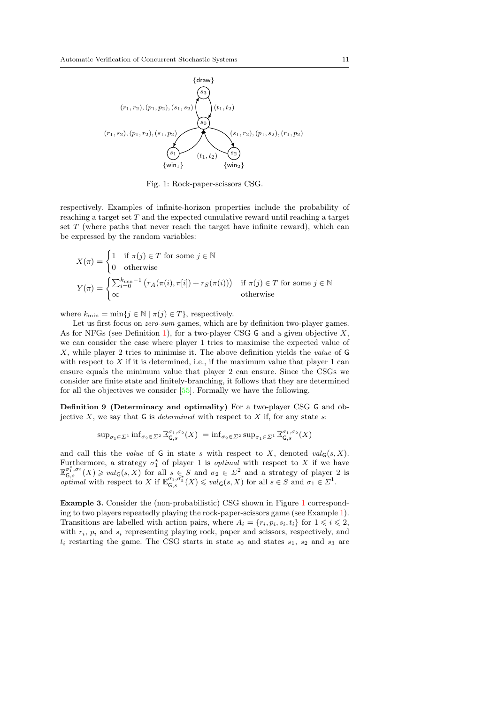<span id="page-10-0"></span>

Fig. 1: Rock-paper-scissors CSG.

respectively. Examples of infinite-horizon properties include the probability of reaching a target set  $T$  and the expected cumulative reward until reaching a target set  $T$  (where paths that never reach the target have infinite reward), which can be expressed by the random variables:

$$
X(\pi) = \begin{cases} 1 & \text{if } \pi(j) \in T \text{ for some } j \in \mathbb{N} \\ 0 & \text{otherwise} \end{cases}
$$
  

$$
Y(\pi) = \begin{cases} \sum_{i=0}^{k_{\min}-1} (r_A(\pi(i), \pi[i]) + r_S(\pi(i))) & \text{if } \pi(j) \in T \text{ for some } j \in \mathbb{N} \\ \infty & \text{otherwise} \end{cases}
$$

where  $k_{\min} = \min\{j \in \mathbb{N} \mid \pi(j) \in T\}$ , respectively.

Let us first focus on *zero-sum* games, which are by definition two-player games. As for NFGs (see Definition [1\)](#page-4-0), for a two-player CSG  $\mathsf G$  and a given objective X. we can consider the case where player 1 tries to maximise the expected value of  $X$ , while player 2 tries to minimise it. The above definition yields the *value* of  $G$ with respect to  $X$  if it is determined, i.e., if the maximum value that player 1 can ensure equals the minimum value that player 2 can ensure. Since the CSGs we consider are finite state and finitely-branching, it follows that they are determined for all the objectives we consider [\[55\]](#page-53-16). Formally we have the following.

Definition 9 (Determinacy and optimality) For a two-player CSG G and objective  $X$ , we say that G is *determined* with respect to  $X$  if, for any state  $s$ :

<span id="page-10-1"></span>
$$
\sup_{\sigma_1 \in \Sigma^1} \inf_{\sigma_2 \in \Sigma^2} \mathbb{E}^{\sigma_1, \sigma_2}_{\mathsf{G}, s}(X) = \inf_{\sigma_2 \in \Sigma^2} \sup_{\sigma_1 \in \Sigma^1} \mathbb{E}^{\sigma_1, \sigma_2}_{\mathsf{G}, s}(X)
$$

and call this the value of G in state s with respect to X, denoted  $val_G(s, X)$ . Furthermore, a strategy  $\sigma_1^*$  of player 1 is *optimal* with respect to X if we have  $\mathbb{E}_{\mathsf{G},s}^{\sigma_1^*,\sigma_2}(X) \geqslant val_{\mathsf{G}}(s,X)$  for all  $s \in S$  and  $\sigma_2 \in \Sigma^2$  and a strategy of player 2 is  $\sigma_{\mathbf{G},s}$  (x)  $\leq$  and  $\sigma_{\mathbf{G},s}$  (x)  $\leq$   $\sigma_{\mathbf{G},s}$  and  $\sigma_{\mathbf{G}}$  (s, X) for all  $s \in S$  and  $\sigma_{\mathbf{1}} \in \Sigma^1$ .

Example 3. Consider the (non-probabilistic) CSG shown in Figure [1](#page-10-0) corresponding to two players repeatedly playing the rock-paper-scissors game (see Example [1\)](#page-5-0). Transitions are labelled with action pairs, where  $A_i = \{r_i, p_i, s_i, t_i\}$  for  $1 \leq i \leq 2$ , with  $r_i$ ,  $p_i$  and  $s_i$  representing playing rock, paper and scissors, respectively, and  $t_i$  restarting the game. The CSG starts in state  $s_0$  and states  $s_1$ ,  $s_2$  and  $s_3$  are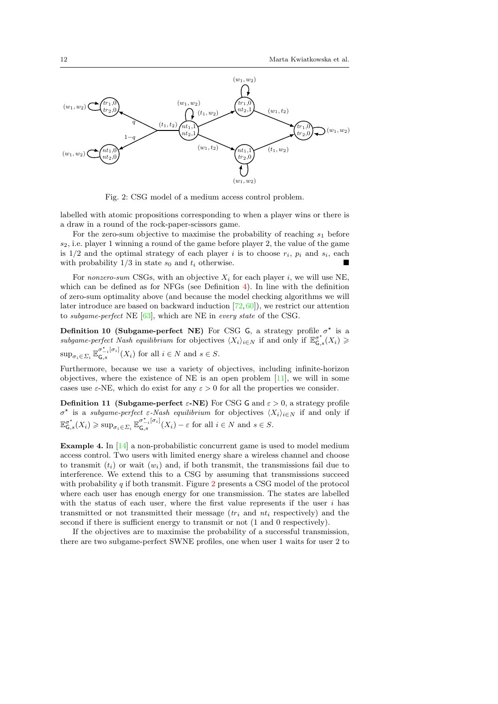<span id="page-11-0"></span>

Fig. 2: CSG model of a medium access control problem.

labelled with atomic propositions corresponding to when a player wins or there is a draw in a round of the rock-paper-scissors game.

For the zero-sum objective to maximise the probability of reaching  $s_1$  before  $s_2$ , i.e. player 1 winning a round of the game before player 2, the value of the game is  $1/2$  and the optimal strategy of each player i is to choose  $r_i$ ,  $p_i$  and  $s_i$ , each with probability  $1/3$  in state  $s_0$  and  $t_i$  otherwise.

For nonzero-sum CSGs, with an objective  $X_i$  for each player i, we will use NE, which can be defined as for NFGs (see Definition [4\)](#page-6-2). In line with the definition of zero-sum optimality above (and because the model checking algorithms we will later introduce are based on backward induction [\[72,](#page-53-17)[60\]](#page-53-10)), we restrict our attention to subgame-perfect NE [\[63\]](#page-53-1), which are NE in every state of the CSG.

Definition 10 (Subgame-perfect NE) For CSG G, a strategy profile  $\sigma^*$  is a subgame-perfect Nash equilibrium for objectives  $\langle X_i \rangle_{i \in N}$  if and only if  $\mathbb{E}^{\sigma^*}_{\mathsf{G},s}(X_i) \geq$  $\sup_{\sigma_i \in \Sigma_i} \mathbb{E}_{\mathsf{G},s}^{\sigma_{-i}^{\star}[\sigma_i]}$  $G_{\mathsf{G},s}^{\sigma_{-i}(\sigma_i)}(X_i)$  for all  $i \in N$  and  $s \in S$ .

Furthermore, because we use a variety of objectives, including infinite-horizon objectives, where the existence of NE is an open problem  $[11]$ , we will in some cases use  $\varepsilon$ -NE, which do exist for any  $\varepsilon > 0$  for all the properties we consider.

Definition 11 (Subgame-perfect  $\varepsilon$ -NE) For CSG G and  $\varepsilon > 0$ , a strategy profile  $\sigma^*$  is a *subgame-perfect* ε-Nash equilibrium for objectives  $\langle X_i \rangle_{i \in N}$  if and only if  $\mathbb{E}_{\mathsf{G},s}^{\sigma^{\star}}(X_i) \geqslant \sup_{\sigma_i \in \Sigma_i} \mathbb{E}_{\mathsf{G},s}^{\sigma^{\star}_{-i}[\sigma_i]}$  $G_{\mathsf{G},s}^{\sigma_{-i}[\sigma_{i}]}(X_i)-\varepsilon$  for all  $i\in\mathbb{N}$  and  $s\in\mathbb{S}$ .

<span id="page-11-1"></span>**Example 4.** In  $[14]$  a non-probabilistic concurrent game is used to model medium access control. Two users with limited energy share a wireless channel and choose to transmit  $(t_i)$  or wait  $(w_i)$  and, if both transmit, the transmissions fail due to interference. We extend this to a CSG by assuming that transmissions succeed with probability  $q$  if both transmit. Figure [2](#page-11-0) presents a CSG model of the protocol where each user has enough energy for one transmission. The states are labelled with the status of each user, where the first value represents if the user  $i$  has transmitted or not transmitted their message  $(tr<sub>i</sub>$  and  $nt<sub>i</sub>$  respectively) and the second if there is sufficient energy to transmit or not (1 and 0 respectively).

If the objectives are to maximise the probability of a successful transmission, there are two subgame-perfect SWNE profiles, one when user 1 waits for user 2 to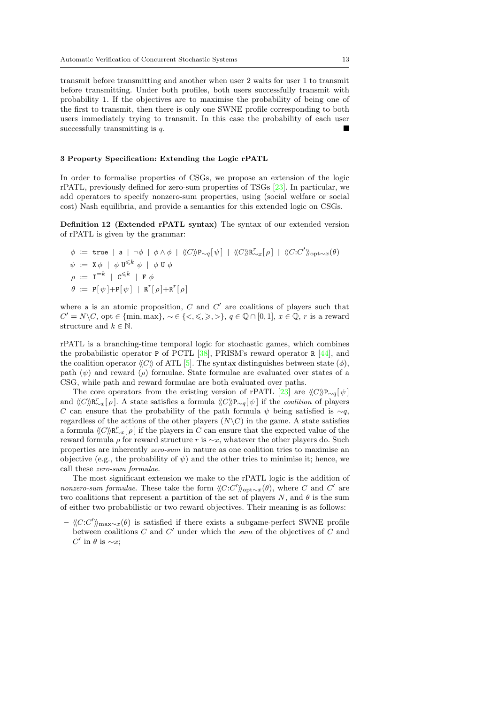transmit before transmitting and another when user 2 waits for user 1 to transmit before transmitting. Under both profiles, both users successfully transmit with probability 1. If the objectives are to maximise the probability of being one of the first to transmit, then there is only one SWNE profile corresponding to both users immediately trying to transmit. In this case the probability of each user successfully transmitting is  $q$ .

#### <span id="page-12-0"></span>3 Property Specification: Extending the Logic rPATL

In order to formalise properties of CSGs, we propose an extension of the logic rPATL, previously defined for zero-sum properties of TSGs [\[23\]](#page-52-0). In particular, we add operators to specify nonzero-sum properties, using (social welfare or social cost) Nash equilibria, and provide a semantics for this extended logic on CSGs.

Definition 12 (Extended rPATL syntax) The syntax of our extended version of rPATL is given by the grammar:

$$
\begin{aligned}\n\phi &:= \text{true} \mid \mathsf{a} \mid \neg \phi \mid \phi \land \phi \mid \langle\!\langle C \rangle\!\rangle \mathsf{P}_{\sim q}[\psi] \mid \langle\!\langle C \rangle\!\rangle \mathsf{R}_{\sim x}^r[\rho] \mid \langle\!\langle C : C' \rangle\!\rangle_{\text{opt} \sim x}(\theta) \\
\psi &:= \mathsf{X} \phi \mid \phi \mathsf{U}^{\leq k} \phi \mid \phi \mathsf{U} \phi \\
\rho &:= \mathsf{I}^{=k} \mid \mathsf{C}^{\leq k} \mid \mathsf{F} \phi \\
\theta &:= \mathsf{P}[\psi] + \mathsf{P}[\psi] \mid \mathsf{R}^r[\rho] + \mathsf{R}^r[\rho]\n\end{aligned}
$$

where a is an atomic proposition,  $C$  and  $C'$  are coalitions of players such that  $C' = N \backslash C$ , opt  $\in \{\min, \max\}, \sim \in \{\lt, \leq,\gt;,\gt\}, q \in \mathbb{Q} \cap [0,1], x \in \mathbb{Q}, r$  is a reward structure and  $k \in \mathbb{N}$ .

rPATL is a branching-time temporal logic for stochastic games, which combines the probabilistic operator P of PCTL  $[38]$ , PRISM's reward operator R  $[44]$ , and the coalition operator  $\langle C \rangle$  of ATL [\[5\]](#page-51-5). The syntax distinguishes between state ( $\phi$ ), path  $(\psi)$  and reward  $(\rho)$  formulae. State formulae are evaluated over states of a CSG, while path and reward formulae are both evaluated over paths.

The core operators from the existing version of rPATL [\[23\]](#page-52-0) are  $\langle\langle C\rangle P_{\sim q}[\psi]$ and  $\langle\langle C \rangle \langle \mathbf{R}^r_{\sim x}[\rho]$ . A state satisfies a formula  $\langle\langle C \rangle \rangle \langle \mathbf{P}_{\sim q}[\psi]$  if the *coalition* of players C can ensure that the probability of the path formula  $\psi$  being satisfied is ∼q, regardless of the actions of the other players  $(N\setminus C)$  in the game. A state satisfies a formula  $\langle C \rangle \mathbb{R}_{\infty}^r[\rho]$  if the players in C can ensure that the expected value of the reward formula  $\rho$  for reward structure r is  $\sim x$ , whatever the other players do. Such properties are inherently zero-sum in nature as one coalition tries to maximise an objective (e.g., the probability of  $\psi$ ) and the other tries to minimise it; hence, we call these zero-sum formulae.

The most significant extension we make to the rPATL logic is the addition of nonzero-sum formulae. These take the form  $\langle C: C' \rangle_{\text{opt} \sim x}(\theta)$ , where C and C' are two coalitions that represent a partition of the set of players N, and  $\theta$  is the sum of either two probabilistic or two reward objectives. Their meaning is as follows:

–  $\langle C:C'\rangle$ <sub>max∼x</sub>(θ) is satisfied if there exists a subgame-perfect SWNE profile between coalitions  $C$  and  $C'$  under which the sum of the objectives of  $C$  and  $C'$  in  $\theta$  is  $\sim x$ ;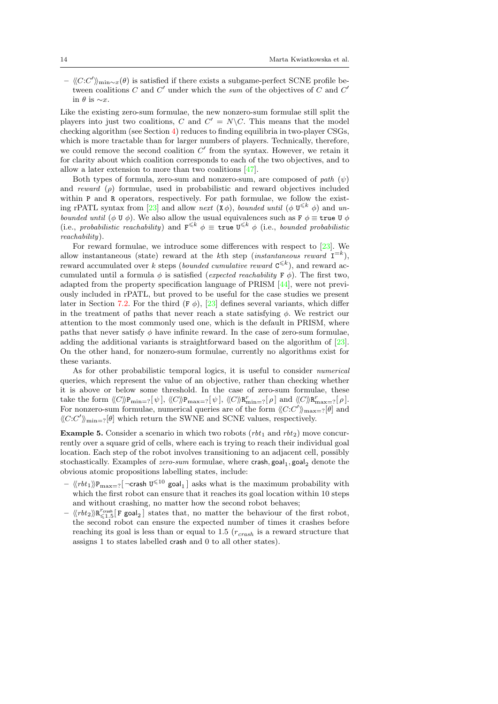$\langle \langle C:C' \rangle \rangle_{\text{min}\sim x}(\theta)$  is satisfied if there exists a subgame-perfect SCNE profile between coalitions C and  $C'$  under which the sum of the objectives of C and  $C'$ in  $\theta$  is  $\sim x$ .

Like the existing zero-sum formulae, the new nonzero-sum formulae still split the players into just two coalitions, C and  $C' = N\backslash C$ . This means that the model checking algorithm (see Section [4\)](#page-16-0) reduces to finding equilibria in two-player CSGs, which is more tractable than for larger numbers of players. Technically, therefore, we could remove the second coalition  $C'$  from the syntax. However, we retain it for clarity about which coalition corresponds to each of the two objectives, and to allow a later extension to more than two coalitions [\[47\]](#page-53-18).

Both types of formula, zero-sum and nonzero-sum, are composed of path  $(\psi)$ and reward  $(\rho)$  formulae, used in probabilistic and reward objectives included within P and R operators, respectively. For path formulae, we follow the exist-ing rPATL syntax from [\[23\]](#page-52-0) and allow *next*  $(X \phi)$ , *bounded until*  $(\phi \mathbf{U}^{\leq k} \phi)$  and unbounded until ( $\phi \, \mathbf{U} \, \phi$ ). We also allow the usual equivalences such as  $\mathbf{F} \, \phi \equiv \mathbf{true} \, \mathbf{U} \, \phi$ (i.e., probabilistic reachability) and  $F^{\leq k} \phi \equiv \text{true } U^{\leq k} \phi$  (i.e., bounded probabilistic reachability).

For reward formulae, we introduce some differences with respect to [\[23\]](#page-52-0). We allow instantaneous (state) reward at the kth step (*instantaneous reward*  $I^{=k}$ ), reward accumulated over k steps (bounded cumulative reward  $\mathbf{C}^{\leq k}$ ), and reward accumulated until a formula  $\phi$  is satisfied (expected reachability F  $\phi$ ). The first two, adapted from the property specification language of PRISM [\[44\]](#page-52-3), were not previously included in rPATL, but proved to be useful for the case studies we present later in Section [7.2.](#page-41-0) For the third  $(F \phi)$ ,  $[23]$  defines several variants, which differ in the treatment of paths that never reach a state satisfying  $\phi$ . We restrict our attention to the most commonly used one, which is the default in PRISM, where paths that never satisfy  $\phi$  have infinite reward. In the case of zero-sum formulae, adding the additional variants is straightforward based on the algorithm of [\[23\]](#page-52-0). On the other hand, for nonzero-sum formulae, currently no algorithms exist for these variants.

As for other probabilistic temporal logics, it is useful to consider numerical queries, which represent the value of an objective, rather than checking whether it is above or below some threshold. In the case of zero-sum formulae, these take the form  $\langle C \rangle \mathbb{P}_{min=?}[\psi], \langle C \rangle \mathbb{P}_{max=?}[\psi], \langle C \rangle \mathbb{R}^r_{min=?}[\rho]$  and  $\langle \langle C \rangle \mathbb{R}^r_{max=?}[\rho]$ . For nonzero-sum formulae, numerical queries are of the form  $\langle C:C'\rangle_{\max=?} [\theta]$  and  $\langle C:C'\rangle_{\text{min}=?}[\theta]$  which return the SWNE and SCNE values, respectively.

<span id="page-13-0"></span>Example 5. Consider a scenario in which two robots  $(rbt<sub>1</sub>$  and  $rbt<sub>2</sub>)$  move concurrently over a square grid of cells, where each is trying to reach their individual goal location. Each step of the robot involves transitioning to an adjacent cell, possibly stochastically. Examples of *zero-sum* formulae, where crash,  $\text{goal}_1$ ,  $\text{goal}_2$  denote the obvious atomic propositions labelling states, include:

- $\langle\!\langle rbt_1\rangle\!\rangle\text{P}_{\text{max}=?}[\neg \text{crash U}^{\leqslant 10}$  goal $_1]$  asks what is the maximum probability with which the first robot can ensure that it reaches its goal location within 10 steps and without crashing, no matter how the second robot behaves;
- $\langle \langle rbt_2 \rangle \rangle R^r_{\le 1.5}[\text{F goal}_2]$  states that, no matter the behaviour of the first robot, the second robot can ensure the expected number of times it crashes before reaching its goal is less than or equal to 1.5  $(r_{crash}$  is a reward structure that assigns 1 to states labelled crash and 0 to all other states).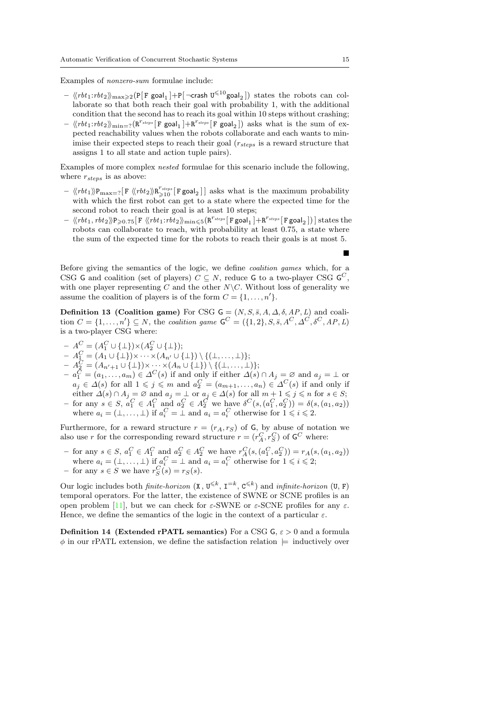Examples of nonzero-sum formulae include:

- $\langle\!\langle rbt_1:rbt_2\rangle\!\rangle_{\max\geqslant 2}$ (P[F goal<sub>1</sub>]+P[¬crash U $^{\leqslant 10}$ goal<sub>2</sub>]) states the robots can collaborate so that both reach their goal with probability 1, with the additional condition that the second has to reach its goal within 10 steps without crashing;
- $\langle \langle rbt_1:rbt_2 \rangle \rangle_{\text{min}=?} (R^{r_{steps}} [F \text{ goal}_1] + R^{r_{steps}} [F \text{ goal}_2])$  asks what is the sum of expected reachability values when the robots collaborate and each wants to minimise their expected steps to reach their goal  $(r_{steps}$  is a reward structure that assigns 1 to all state and action tuple pairs).

Examples of more complex nested formulae for this scenario include the following, where  $r_{steps}$  is as above:

- $\langle \langle rbt_1 \rangle \rangle P_{\text{max}=?}$  [F  $\langle \langle rbt_2 \rangle \rangle R_{\geq 10}^{r_{steps}}$  [F goal<sub>2</sub>]] asks what is the maximum probability with which the first robot can get to a state where the expected time for the second robot to reach their goal is at least 10 steps;
- $\ \left\langle \! \left\langle rbt_1, rbt_2 \right\rangle \! \right\rangle \!\! P_{\geqslant 0.75} [\text{ F } \left\langle \! \left\langle rbt_1{:}rbt_2 \right\rangle \! \right\rangle_{\min\leqslant 5} (\text{R}^{r_{steps}}[\text{ F goal}_1] + \text{R}^{r_{steps}}[\text{ F goal}_2]) \right] \text{states the}$ robots can collaborate to reach, with probability at least 0.75, a state where the sum of the expected time for the robots to reach their goals is at most 5.

Before giving the semantics of the logic, we define coalition games which, for a CSG G and coalition (set of players)  $C \subseteq N$ , reduce G to a two-player CSG  $G^C$ , with one player representing C and the other  $N\setminus C$ . Without loss of generality we assume the coalition of players is of the form  $C = \{1, \ldots, n'\}.$ 

Definition 13 (Coalition game) For CSG  $G = (N, S, \bar{s}, A, \Delta, \delta, AP, L)$  and coalition  $C = \{1, \ldots, n'\} \subseteq N$ , the coalition game  $\mathsf{G}^C = (\{1, 2\}, S, \overline{s}, A^C, \Delta^C, \delta^C, AP, L)$ is a two-player CSG where:

- $A^C_{\leq} = (A^C_1 \cup \{\perp\}) \times (A^C_2 \cup \{\perp\});$
- $-A_1^C=(A_1\cup\{\perp\})\times\cdots\times(A_{n'}\cup\{\perp\})\setminus\{(\perp,\ldots,\perp)\};$
- $-A_2^C = (A_{n'+1} \cup \{\perp\}) \times \cdots \times (A_n \cup \{\perp\}) \setminus \{(\perp, \ldots, \perp)\};$
- $a_1^C = (a_1, \ldots, a_m) \in \Delta^C(s)$  if and only if either  $\Delta(s) \cap A_j = \emptyset$  and  $a_j = \bot$  or  $a_j \in \Delta(s)$  for all  $1 \leqslant j \leqslant m$  and  $a_2^C = (a_{m+1}, \ldots, a_n) \in \Delta^C(s)$  if and only if either  $\Delta(s) \cap A_j = \emptyset$  and  $a_j = \bot$  or  $a_j \in \Delta(s)$  for all  $m + 1 \leq j \leq n$  for  $s \in S$ ;  $-$  for any  $s \in S$ ,  $a_1^C \in A_1^C$  and  $a_2^C \in A_2^C$  we have  $\delta^C(s, (a_1^C, a_2^C)) = \delta(s, (a_1, a_2))$
- where  $a_i = (\perp, \ldots, \perp)$  if  $a_i^C = \perp$  and  $a_i = a_i^C$  otherwise for  $1 \leq i \leq 2$ .

Furthermore, for a reward structure  $r = (r_A, r_S)$  of G, by abuse of notation we also use r for the corresponding reward structure  $r = (r_A^C, r_S^C)$  of  $\mathbf{G}^C$  where:

- for any  $s \in S$ ,  $a_1^C \in A_1^C$  and  $a_2^C \in A_2^C$  we have  $r_A^C(s,(a_1^C,a_2^C)) = r_A(s,(a_1,a_2))$ where  $a_i = (\perp, \ldots, \perp)$  if  $a_i^C = \perp$  and  $a_i = a_i^C$  otherwise for  $1 \leq i \leq 2$ ; - for any  $s \in S$  we have  $r_S^C(s) = r_S(s)$ .

Our logic includes both *finite-horizon*  $(X, U^{\leq k}, I^{=k}, C^{\leq k})$  and *infinite-horizon*  $(U, F)$ temporal operators. For the latter, the existence of SWNE or SCNE profiles is an open problem [\[11\]](#page-51-12), but we can check for  $\varepsilon$ -SWNE or  $\varepsilon$ -SCNE profiles for any  $\varepsilon$ . Hence, we define the semantics of the logic in the context of a particular  $\varepsilon$ .

<span id="page-14-0"></span>**Definition 14 (Extended rPATL semantics)** For a CSG  $\mathsf{G}, \varepsilon > 0$  and a formula  $\phi$  in our rPATL extension, we define the satisfaction relation  $\models$  inductively over

 $\blacksquare$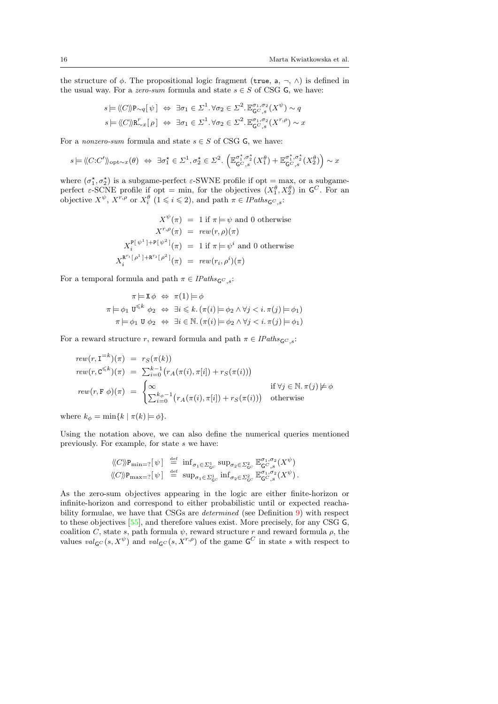the structure of  $\phi$ . The propositional logic fragment (true, a,  $\neg$ ,  $\wedge$ ) is defined in the usual way. For a *zero-sum* formula and state  $s \in S$  of CSG G, we have:

$$
s \models \langle\!\langle C \rangle\!\rangle \mathbf{P}_{\sim q}[\psi] \Leftrightarrow \exists \sigma_1 \in \Sigma^1. \forall \sigma_2 \in \Sigma^2. \mathbb{E}_{\mathsf{G} \subset \mathcal{S}}^{\sigma_1, \sigma_2}(X^{\psi}) \sim q
$$
  

$$
s \models \langle\!\langle C \rangle\!\rangle \mathbf{R}_{\sim x}^r[\rho] \Leftrightarrow \exists \sigma_1 \in \Sigma^1. \forall \sigma_2 \in \Sigma^2. \mathbb{E}_{\mathsf{G} \subset \mathcal{S}}^{\sigma_1, \sigma_2}(X^{r,\rho}) \sim x
$$

For a nonzero-sum formula and state  $s \in S$  of CSG G, we have:

$$
s \models \langle\!\langle C\mathpunct{:} C'\rangle\!\rangle_{\text{opt} \sim x}(\theta) \ \Leftrightarrow \ \exists \sigma_1^\star \in \varSigma^1, \sigma_2^\star \in \varSigma^2. \ \Big(\mathbb{E}_{\mathsf{G}^C,s}^{\sigma_1^\star,\sigma_2^\star}(X_1^\theta) + \mathbb{E}_{\mathsf{G}^C,s}^{\sigma_1^\star,\sigma_2^\star}(X_2^\theta)\Big) \sim x
$$

where  $(\sigma_1^*, \sigma_2^*)$  is a subgame-perfect  $\varepsilon$ -SWNE profile if opt = max, or a subgameperfect  $\varepsilon$ -SCNE profile if opt = min, for the objectives  $(X_1^{\theta}, X_2^{\theta})$  in  $\mathsf{G}^C$ . For an objective  $X^{\psi}$ ,  $X^{r,\rho}$  or  $X_i^{\theta}$   $(1 \leq i \leq 2)$ , and path  $\pi \in \text{Plaths}_{\mathsf{GC},s}$ :

$$
X^{\psi}(\pi) = 1 \text{ if } \pi \models \psi \text{ and } 0 \text{ otherwise}
$$

$$
X^{r,\rho}(\pi) = \text{rew}(r,\rho)(\pi)
$$

$$
X_i^{\mathbf{P}[\psi^1] + \mathbf{P}[\psi^2]}(\pi) = 1 \text{ if } \pi \models \psi^i \text{ and } 0 \text{ otherwise}
$$

$$
X_i^{\mathbf{R}^{r_1}[\rho^1] + \mathbf{R}^{r_2}[\rho^2]}(\pi) = \text{rew}(r_i, \rho^i)(\pi)
$$

For a temporal formula and path  $\pi \in$  IPaths<sub>GC ,s</sub>:

$$
\pi \models \mathbf{X} \phi \Leftrightarrow \pi(1) \models \phi
$$
  
\n
$$
\pi \models \phi_1 \mathbf{U}^{\leq k} \phi_2 \Leftrightarrow \exists i \leq k. (\pi(i) \models \phi_2 \land \forall j < i. \pi(j) \models \phi_1)
$$
  
\n
$$
\pi \models \phi_1 \mathbf{U} \phi_2 \Leftrightarrow \exists i \in \mathbb{N}. (\pi(i) \models \phi_2 \land \forall j < i. \pi(j) \models \phi_1)
$$

For a reward structure r, reward formula and path  $\pi \in \text{Plaths}_{\mathsf{G}^C}$  s:

$$
rew(r, \mathbf{I}^{=k})(\pi) = r_S(\pi(k))
$$
  
\n
$$
rew(r, \mathbf{C}^{\leq k})(\pi) = \sum_{i=0}^{k-1} (r_A(\pi(i), \pi[i]) + r_S(\pi(i)))
$$
  
\n
$$
rew(r, \mathbf{F} \phi)(\pi) = \begin{cases} \infty & \text{if } \forall j \in \mathbb{N}. \pi(j) \neq \phi \\ \sum_{i=0}^{k_{\phi}-1} (r_A(\pi(i), \pi[i]) + r_S(\pi(i))) & \text{otherwise} \end{cases}
$$

where  $k_{\phi} = \min\{k \mid \pi(k) \models \phi\}.$ 

Using the notation above, we can also define the numerical queries mentioned previously. For example, for state s we have:

$$
\begin{array}{rcl}\langle\!\langle C\rangle\!\rangle \mathrm{P}_{\mathrm{min}=?}[\hspace{0.1cm} \psi \hspace{0.1cm}] & \stackrel{\mathrm{def}}{=} \hspace{0.1cm} \inf_{\sigma_1\in \varSigma^1_{\mathsf{G}^C}} \sup_{\sigma_2\in \varSigma^2_{\mathsf{G}^C}} \mathbb{E}^{\sigma_1,\sigma_2}_{\mathsf{G}^C, s} (X^\psi)\\ \langle\!\langle C\rangle\!\rangle \mathrm{P}_{\mathrm{max}=?}[\hspace{0.1cm} \psi \hspace{0.1cm}] & \stackrel{\mathrm{def}}{=} \hspace{0.1cm} \sup_{\sigma_1\in \varSigma^1_{\mathsf{G}^C}} \inf_{\sigma_2\in \varSigma^2_{\mathsf{G}^C}} \mathbb{E}^{\sigma_1,\sigma_2}_{\mathsf{G}^C, s} (X^\psi)\,. \end{array}
$$

As the zero-sum objectives appearing in the logic are either finite-horizon or infinite-horizon and correspond to either probabilistic until or expected reachability formulae, we have that CSGs are *determined* (see Definition [9\)](#page-10-1) with respect to these objectives [\[55\]](#page-53-16), and therefore values exist. More precisely, for any CSG G, coalition C, state s, path formula  $\psi$ , reward structure r and reward formula  $\rho$ , the values  $val_{\mathsf{G}C}(s,X^{\psi})$  and  $val_{\mathsf{G}C}(s,X^{r,\rho})$  of the game  $\mathsf{G}C$  in state s with respect to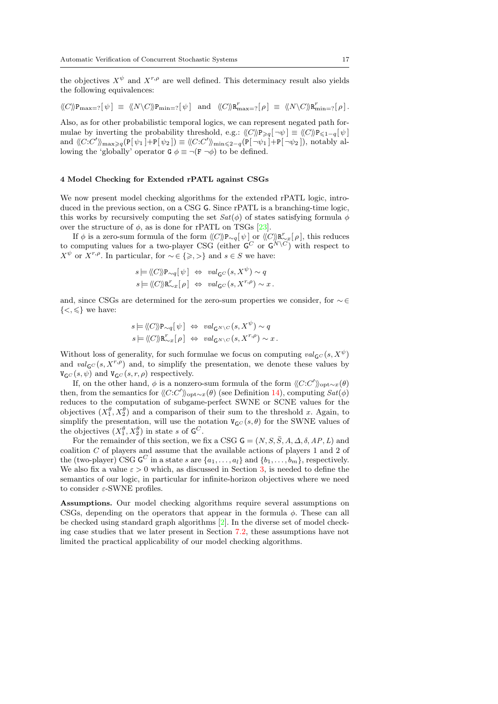the objectives  $X^{\psi}$  and  $X^{r,\rho}$  are well defined. This determinacy result also yields the following equivalences:

$$
\langle\!\langle C\rangle\!\rangle {\mathtt P}_{\max=?}[\,\psi\,]\;\equiv\;\langle\!\langle N\backslash C\rangle\!\rangle {\mathtt P}_{\min=?}[\,\psi\,]\ \ \, \textnormal{and}\ \ \, \langle\!\langle C\rangle\!\rangle {\mathtt R}^r_{\max=?}[\,\rho\,]\;\equiv\;\langle\!\langle N\backslash C\rangle\!\rangle {\mathtt R}^r_{\min=?}[\,\rho\,]\,.
$$

Also, as for other probabilistic temporal logics, we can represent negated path formulae by inverting the probability threshold, e.g.:  $\langle C \rangle P_{\geq q}[\neg \psi] \equiv \langle C \rangle P_{\leq 1-q}[\psi]$ and  $\langle\langle C:C'\rangle\rangle_{\max\geq q}(\mathbb{P}[\psi_1]+\mathbb{P}[\psi_2])\equiv \langle\langle C:C'\rangle\rangle_{\min\leq 2-q}(\mathbb{P}[\neg\psi_1]+\mathbb{P}[\neg\psi_2]),$  notably allowing the 'globally' operator  $G \phi \equiv \neg(F \neg \phi)$  to be defined.

## <span id="page-16-0"></span>4 Model Checking for Extended rPATL against CSGs

We now present model checking algorithms for the extended rPATL logic, introduced in the previous section, on a CSG G. Since rPATL is a branching-time logic, this works by recursively computing the set  $Sat(\phi)$  of states satisfying formula  $\phi$ over the structure of  $\phi$ , as is done for rPATL on TSGs [\[23\]](#page-52-0).

If  $\phi$  is a zero-sum formula of the form  $\langle\!\langle C \rangle \rangle P_{\sim q}[\psi]$  or  $\langle\!\langle C \rangle \rangle R_{\sim x}^r[\rho]$ , this reduces to computing values for a two-player CSG (either  $\mathsf{G}^C$  or  $\mathsf{G}^N\backslash\{C\}$ ) with respect to  $X^{\psi}$  or  $X^{r,\rho}$ . In particular, for  $\sim \in \{\geq,>\}$  and  $s \in S$  we have:

$$
\begin{aligned} s &\models \langle\!\langle C \rangle\!\rangle \mathrm{P}_{\sim q}[\psi] &\Leftrightarrow \; val_{\mathsf{G}^C}(s,X^\psi) \sim q \\ s &\models \langle\!\langle C \rangle\!\rangle \mathrm{R}^\tau_{\sim x}[\rho] &\Leftrightarrow \; val_{\mathsf{G}^C}(s,X^{r,\rho}) \sim x \,. \end{aligned}
$$

and, since CSGs are determined for the zero-sum properties we consider, for ∼ ∈  $\{<,\leqslant\}$  we have:

$$
s \models \langle\!\langle C \rangle\!\rangle \mathbf{P}_{\sim q} [\psi] \Leftrightarrow val_{\mathsf{G}^N \backslash C} (s, X^{\psi}) \sim q
$$
  

$$
s \models \langle\!\langle C \rangle\!\rangle \mathbf{R}_{\sim x}^r [\rho] \Leftrightarrow val_{\mathsf{G}^N \backslash C} (s, X^{r, \rho}) \sim x.
$$

Without loss of generality, for such formulae we focus on computing  $val_{\mathsf{G}^C}(s, X^{\psi})$ and  $val_{\mathsf{GC}}(s, X^{r,\rho})$  and, to simplify the presentation, we denote these values by  $V_{\mathsf{G}^C}(s,\psi)$  and  $V_{\mathsf{G}^C}(s,r,\rho)$  respectively.

If, on the other hand,  $\phi$  is a nonzero-sum formula of the form  $\langle\!\langle C:C'\rangle\!\rangle_{\text{opt}\sim x}(\theta)$ then, from the semantics for  $\langle\langle C:C'\rangle\rangle_{\text{opt}\sim x}(\theta)$  (see Definition [14\)](#page-14-0), computing  $Sat(\phi)$ reduces to the computation of subgame-perfect SWNE or SCNE values for the objectives  $(X_1^{\theta}, X_2^{\theta})$  and a comparison of their sum to the threshold x. Again, to simplify the presentation, will use the notation  $V_{\mathsf{G}^C}(s, \theta)$  for the SWNE values of the objectives  $(X_1^{\theta}, X_2^{\theta})$  in state s of  $\mathsf{G}^C$ .

For the remainder of this section, we fix a CSG  $\mathsf{G} = (N, S, \overline{S}, A, \Delta, \delta, AP, L)$  and coalition C of players and assume that the available actions of players 1 and 2 of the (two-player) CSG  $\mathsf{G}^C$  in a state s are  $\{a_1, \ldots, a_l\}$  and  $\{b_1, \ldots, b_m\}$ , respectively. We also fix a value  $\varepsilon > 0$  which, as discussed in Section [3,](#page-12-0) is needed to define the semantics of our logic, in particular for infinite-horizon objectives where we need to consider  $\varepsilon$ -SWNE profiles.

Assumptions. Our model checking algorithms require several assumptions on CSGs, depending on the operators that appear in the formula  $\phi$ . These can all be checked using standard graph algorithms [\[2\]](#page-51-13). In the diverse set of model checking case studies that we later present in Section [7.2,](#page-41-0) these assumptions have not limited the practical applicability of our model checking algorithms.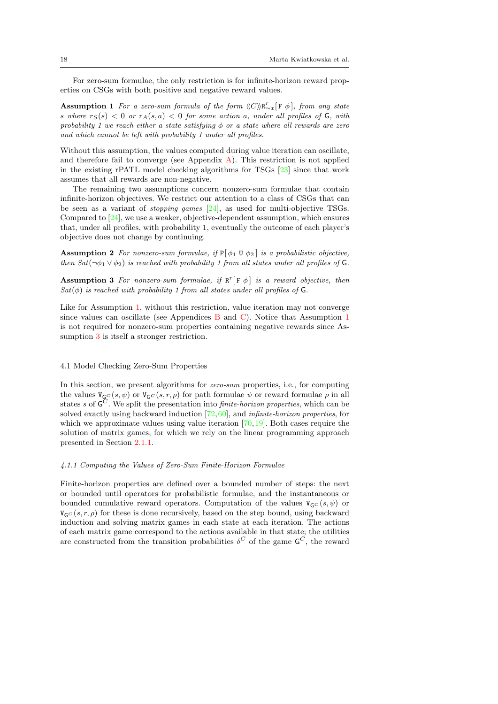<span id="page-17-0"></span>For zero-sum formulae, the only restriction is for infinite-horizon reward properties on CSGs with both positive and negative reward values.

**Assumption 1** For a zero-sum formula of the form  $\langle C \rangle \langle R_{\sim x}^r[F \phi]$ , from any state s where  $r_S(s) < 0$  or  $r_A(s, a) < 0$  for some action a, under all profiles of G, with probability 1 we reach either a state satisfying  $\phi$  or a state where all rewards are zero and which cannot be left with probability 1 under all profiles.

Without this assumption, the values computed during value iteration can oscillate, and therefore fail to converge (see Appendix [A\)](#page-54-3). This restriction is not applied in the existing rPATL model checking algorithms for TSGs [\[23\]](#page-52-0) since that work assumes that all rewards are non-negative.

The remaining two assumptions concern nonzero-sum formulae that contain infinite-horizon objectives. We restrict our attention to a class of CSGs that can be seen as a variant of *stopping games*  $[24]$ , as used for multi-objective TSGs. Compared to [\[24\]](#page-52-4), we use a weaker, objective-dependent assumption, which ensures that, under all profiles, with probability 1, eventually the outcome of each player's objective does not change by continuing.

<span id="page-17-3"></span>**Assumption 2** For nonzero-sum formulae, if  $P[\phi_1 \cup \phi_2]$  is a probabilistic objective, then  $Sat(\neg \phi_1 \vee \phi_2)$  is reached with probability 1 from all states under all profiles of G.

<span id="page-17-1"></span>**Assumption 3** For nonzero-sum formulae, if  $\mathbb{R}^r[\mathbf{F} \phi]$  is a reward objective, then  $Sat(\phi)$  is reached with probability 1 from all states under all profiles of G.

Like for Assumption [1,](#page-17-0) without this restriction, value iteration may not converge since values can oscillate (see Appendices [B](#page-54-4) and [C\)](#page-56-0). Notice that Assumption [1](#page-17-0) is not required for nonzero-sum properties containing negative rewards since Assumption  $3$  is itself a stronger restriction.

### <span id="page-17-2"></span>4.1 Model Checking Zero-Sum Properties

In this section, we present algorithms for zero-sum properties, i.e., for computing the values  $V_{\mathsf{G}^C}(s, \psi)$  or  $V_{\mathsf{G}^C}(s, r, \rho)$  for path formulae  $\psi$  or reward formulae  $\rho$  in all states s of  $\mathsf{G}^C$ . We split the presentation into *finite-horizon properties*, which can be solved exactly using backward induction [\[72,](#page-53-17)[60\]](#page-53-10), and infinite-horizon properties, for which we approximate values using value iteration  $[70,19]$  $[70,19]$ . Both cases require the solution of matrix games, for which we rely on the linear programming approach presented in Section [2.1.1.](#page-4-1)

## 4.1.1 Computing the Values of Zero-Sum Finite-Horizon Formulae

Finite-horizon properties are defined over a bounded number of steps: the next or bounded until operators for probabilistic formulae, and the instantaneous or bounded cumulative reward operators. Computation of the values  $V_{\mathsf{G}^C}(s, \psi)$  or  $V_{GC}(s,r,\rho)$  for these is done recursively, based on the step bound, using backward induction and solving matrix games in each state at each iteration. The actions of each matrix game correspond to the actions available in that state; the utilities are constructed from the transition probabilities  $\delta^C$  of the game  $\mathsf{G}^C$ , the reward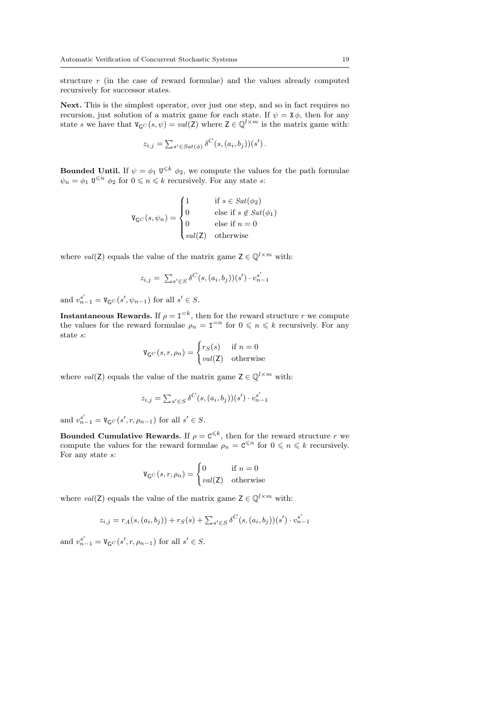structure r (in the case of reward formulae) and the values already computed recursively for successor states.

Next. This is the simplest operator, over just one step, and so in fact requires no recursion, just solution of a matrix game for each state. If  $\psi = \mathbf{X}\phi$ , then for any state s we have that  $V_{\mathsf{G}C}(s,\psi) = val(\mathsf{Z})$  where  $\mathsf{Z} \in \mathbb{Q}^{l \times m}$  is the matrix game with:

$$
z_{i,j} = \sum_{s' \in Sat(\phi)} \delta^C(s, (a_i, b_j))(s').
$$

**Bounded Until.** If  $\psi = \phi_1 \mathbf{U}^{\leq k} \phi_2$ , we compute the values for the path formulae  $\psi_n = \phi_1 \mathbf{U}^{\leq n} \phi_2$  for  $0 \leq n \leq k$  recursively. For any state s:

$$
\mathbf{V}_{\mathsf{G}^C}(s,\psi_n) = \begin{cases} 1 & \text{if } s \in \text{Sat}(\phi_2) \\ 0 & \text{else if } s \notin \text{Sat}(\phi_1) \\ 0 & \text{else if } n = 0 \\ \text{val}(\mathsf{Z}) & \text{otherwise} \end{cases}
$$

where val(Z) equals the value of the matrix game  $Z \in \mathbb{Q}^{l \times m}$  with:

$$
z_{i,j} = \sum_{s' \in S} \delta^{C}(s, (a_i, b_j))(s') \cdot v_{n-1}^{s'}
$$

and  $v_{n-1}^{s'} = V_{\mathsf{G}^C}(s', \psi_{n-1})$  for all  $s' \in S$ .

**Instantaneous Rewards.** If  $\rho = I^{-k}$ , then for the reward structure r we compute the values for the reward formulae  $\rho_n = I^{-n}$  for  $0 \leq n \leq k$  recursively. For any state s:

$$
\mathbf{V}_{\mathsf{G}^C}(s,r,\rho_n) = \begin{cases} r_S(s) & \text{if } n = 0\\ val(\mathsf{Z}) & \text{otherwise} \end{cases}
$$

where val(Z) equals the value of the matrix game  $Z \in \mathbb{Q}^{l \times m}$  with:

$$
z_{i,j} = \sum_{s' \in S} \delta^{C}(s, (a_i, b_j))(s') \cdot v_{n-1}^{s'}
$$

and  $v_{n-1}^{s'} = V_{\mathsf{G}^C}(s', r, \rho_{n-1})$  for all  $s' \in S$ .

Bounded Cumulative Rewards. If  $\rho = \mathbf{C}^{\leq k}$ , then for the reward structure r we compute the values for the reward formulae  $\rho_n = \mathbf{C}^{\leq n}$  for  $0 \leq n \leq k$  recursively. For any state s:

$$
\mathbf{V}_{\mathsf{G}^C}(s,r,\rho_n) = \begin{cases} 0 & \text{if } n = 0\\ val(\mathsf{Z}) & \text{otherwise} \end{cases}
$$

where val(Z) equals the value of the matrix game  $Z \in \mathbb{Q}^{l \times m}$  with:

$$
z_{i,j} = r_A(s, (a_i, b_j)) + r_S(s) + \sum_{s' \in S} \delta^{C}(s, (a_i, b_j))(s') \cdot v_{n-1}^{s'}
$$

and  $v_{n-1}^{s'} = V_{\mathsf{G}^C}(s', r, \rho_{n-1})$  for all  $s' \in S$ .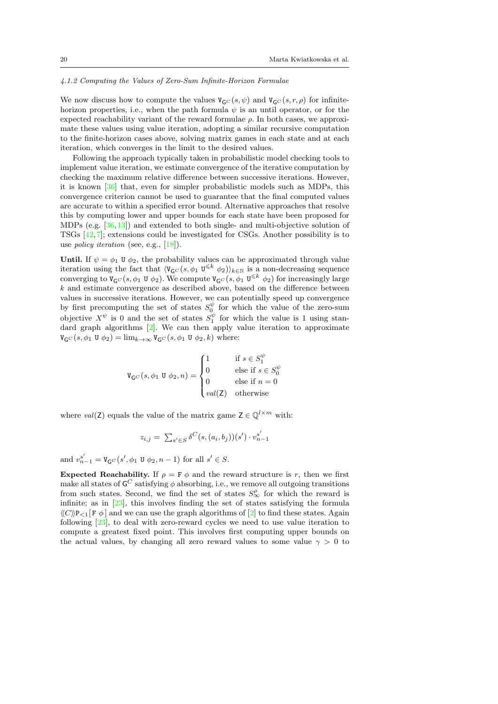#### <span id="page-19-0"></span>4.1.2 Computing the Values of Zero-Sum Infinite-Horizon Formulae

We now discuss how to compute the values  $V_{\mathbf{G}^C}(s,\psi)$  and  $V_{\mathbf{G}^C}(s,r,\rho)$  for infinitehorizon properties, i.e., when the path formula  $\psi$  is an until operator, or for the expected reachability variant of the reward formulae  $\rho$ . In both cases, we approximate these values using value iteration, adopting a similar recursive computation to the finite-horizon cases above, solving matrix games in each state and at each iteration, which converges in the limit to the desired values.

Following the approach typically taken in probabilistic model checking tools to implement value iteration, we estimate convergence of the iterative computation by checking the maximum relative difference between successive iterations. However, it is known [\[36\]](#page-52-15) that, even for simpler probabilistic models such as MDPs, this convergence criterion cannot be used to guarantee that the final computed values are accurate to within a specified error bound. Alternative approaches that resolve this by computing lower and upper bounds for each state have been proposed for MDPs (e.g. [\[36,](#page-52-15)[13\]](#page-51-15)) and extended to both single- and multi-objective solution of TSGs [\[42,](#page-52-2)[7\]](#page-51-16); extensions could be investigated for CSGs. Another possibility is to use policy iteration (see, e.g., [\[18\]](#page-51-3)).

Until. If  $\psi = \phi_1$  U  $\phi_2$ , the probability values can be approximated through value iteration using the fact that  $\langle V_{\mathsf{G}}(s, \phi_1 | \mathbf{U}^{\leq k} | \phi_2) \rangle_{k \in \mathbb{N}}$  is a non-decreasing sequence converging to  $V_{\mathsf{G}C}(s, \phi_1 \cup \phi_2)$ . We compute  $V_{\mathsf{G}C}(s, \phi_1 \cup^{\leq k} \phi_2)$  for increasingly large  $k$  and estimate convergence as described above, based on the difference between values in successive iterations. However, we can potentially speed up convergence by first precomputing the set of states  $S_0^{\psi}$  for which the value of the zero-sum objective  $X^{\psi}$  is 0 and the set of states  $S_1^{\psi}$  for which the value is 1 using standard graph algorithms [\[2\]](#page-51-13). We can then apply value iteration to approximate  $V_{\mathsf{G}}(s, \phi_1 \mathsf{U} \phi_2) = \lim_{k \to \infty} V_{\mathsf{G}}(s, \phi_1 \mathsf{U} \phi_2, k)$  where:

$$
\mathtt{V}_{\mathsf{G}^C}(s,\phi_1\ \mathtt{U}\ \phi_2,n)=\begin{cases} 1 & \text{if } s\in S_1^{\psi}\\ 0 & \text{else if } s\in S_0^{\psi}\\ 0 & \text{else if } n=0\\ val(\mathsf{Z}) & \text{otherwise} \end{cases}
$$

where val(Z) equals the value of the matrix game  $Z \in \mathbb{Q}^{l \times m}$  with:

$$
z_{i,j} = \sum_{s' \in S} \delta^{C}(s, (a_i, b_j))(s') \cdot v_{n-1}^{s'}
$$

and  $v_{n-1}^{s'} = V_{\mathsf{G}^C}(s', \phi_1 \mathsf{U} \phi_2, n-1)$  for all  $s' \in S$ .

Expected Reachability. If  $\rho = \mathbf{F} \phi$  and the reward structure is r, then we first make all states of  ${\mathsf G}^C$  satisfying  $\phi$  absorbing, i.e., we remove all outgoing transitions from such states. Second, we find the set of states  $S^{\rho}_{\infty}$  for which the reward is infinite; as in [\[23\]](#page-52-0), this involves finding the set of states satisfying the formula  $\langle\langle C\rangle P_{\leq 1} F \phi$  and we can use the graph algorithms of [\[2\]](#page-51-13) to find these states. Again following [\[23\]](#page-52-0), to deal with zero-reward cycles we need to use value iteration to compute a greatest fixed point. This involves first computing upper bounds on the actual values, by changing all zero reward values to some value  $\gamma > 0$  to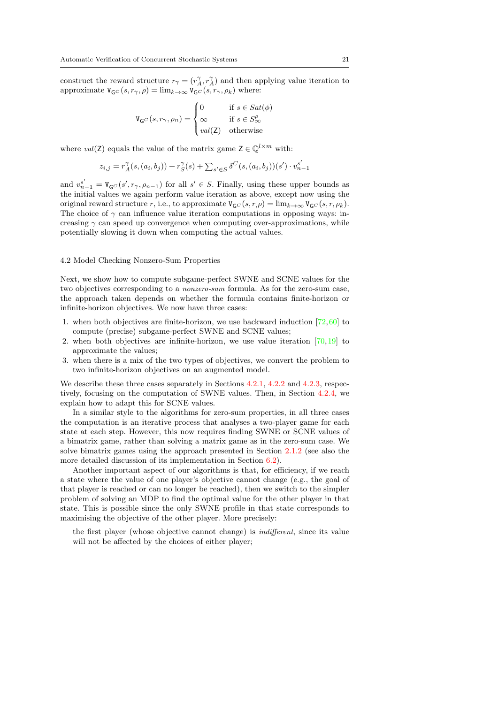construct the reward structure  $r_{\gamma} = (r_A^{\gamma}, r_A^{\gamma})$  and then applying value iteration to approximate  $V_{\mathsf{G}^C}(s,r_{\gamma},\rho) = \lim_{k\to\infty} V_{\mathsf{G}^C}(s,r_{\gamma},\rho_k)$  where:

$$
\mathtt{V}_{\mathsf{G}^C}(s,r_{\gamma},\rho_n)=\begin{cases}0\qquad \ \ \, \text{if}\,\, s\in Sat(\phi)\\\infty\qquad \ \ \, \text{if}\,\, s\in S^{\rho}_{\infty}\\val(\mathsf{Z})\quad \ \ \text{otherwise}\end{cases}
$$

where val(Z) equals the value of the matrix game  $Z \in \mathbb{Q}^{l \times m}$  with:

$$
z_{i,j} = r_A^{\gamma}(s,(a_i,b_j)) + r_S^{\gamma}(s) + \sum_{s' \in S} \delta^{C}(s,(a_i,b_j))(s') \cdot v_{n-1}^{s'}
$$

and  $v_{n-1}^{s'} = V_{\mathsf{G}^C}(s', r_{\gamma}, \rho_{n-1})$  for all  $s' \in S$ . Finally, using these upper bounds as the initial values we again perform value iteration as above, except now using the original reward structure r, i.e., to approximate  $V_{\mathsf{G}^C}(s,r,\rho) = \lim_{k \to \infty} V_{\mathsf{G}^C}(s,r,\rho_k)$ . The choice of  $\gamma$  can influence value iteration computations in opposing ways: increasing  $\gamma$  can speed up convergence when computing over-approximations, while potentially slowing it down when computing the actual values.

### <span id="page-20-0"></span>4.2 Model Checking Nonzero-Sum Properties

Next, we show how to compute subgame-perfect SWNE and SCNE values for the two objectives corresponding to a nonzero-sum formula. As for the zero-sum case, the approach taken depends on whether the formula contains finite-horizon or infinite-horizon objectives. We now have three cases:

- 1. when both objectives are finite-horizon, we use backward induction  $[72,60]$  $[72,60]$  to compute (precise) subgame-perfect SWNE and SCNE values;
- 2. when both objectives are infinite-horizon, we use value iteration  $[70,19]$  $[70,19]$  to approximate the values;
- 3. when there is a mix of the two types of objectives, we convert the problem to two infinite-horizon objectives on an augmented model.

We describe these three cases separately in Sections [4.2.1,](#page-21-0) [4.2.2](#page-23-0) and [4.2.3,](#page-25-0) respectively, focusing on the computation of SWNE values. Then, in Section [4.2.4,](#page-27-0) we explain how to adapt this for SCNE values.

In a similar style to the algorithms for zero-sum properties, in all three cases the computation is an iterative process that analyses a two-player game for each state at each step. However, this now requires finding SWNE or SCNE values of a bimatrix game, rather than solving a matrix game as in the zero-sum case. We solve bimatrix games using the approach presented in Section [2.1.2](#page-5-1) (see also the more detailed discussion of its implementation in Section [6.2\)](#page-35-0).

Another important aspect of our algorithms is that, for efficiency, if we reach a state where the value of one player's objective cannot change (e.g., the goal of that player is reached or can no longer be reached), then we switch to the simpler problem of solving an MDP to find the optimal value for the other player in that state. This is possible since the only SWNE profile in that state corresponds to maximising the objective of the other player. More precisely:

– the first player (whose objective cannot change) is indifferent, since its value will not be affected by the choices of either player;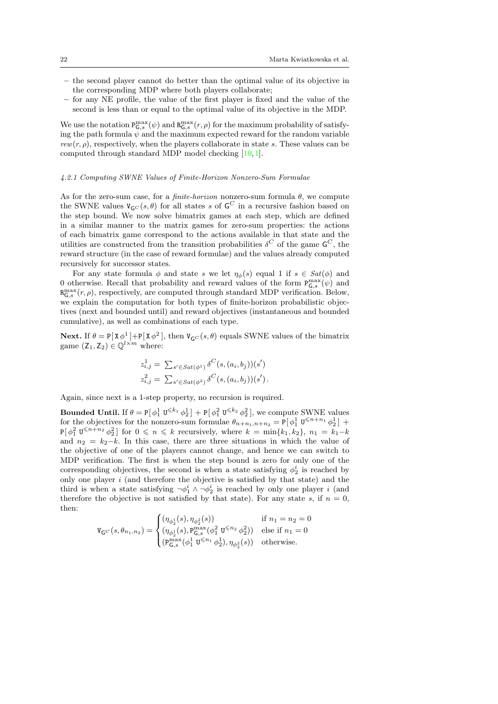- the second player cannot do better than the optimal value of its objective in the corresponding MDP where both players collaborate;
- for any NE profile, the value of the first player is fixed and the value of the second is less than or equal to the optimal value of its objective in the MDP.

We use the notation  $P_{\mathsf{G},s}^{\max}(\psi)$  and  $R_{\mathsf{G},s}^{\max}(r,\rho)$  for the maximum probability of satisfying the path formula  $\psi$  and the maximum expected reward for the random variable  $rew(r, \rho)$ , respectively, when the players collaborate in state s. These values can be computed through standard MDP model checking [\[10,](#page-51-17)[1\]](#page-51-18).

#### <span id="page-21-0"></span>4.2.1 Computing SWNE Values of Finite-Horizon Nonzero-Sum Formulae

As for the zero-sum case, for a *finite-horizon* nonzero-sum formula  $\theta$ , we compute the SWNE values  $V_{\mathsf{G}^C}(s,\theta)$  for all states s of  $\mathsf{G}^C$  in a recursive fashion based on the step bound. We now solve bimatrix games at each step, which are defined in a similar manner to the matrix games for zero-sum properties: the actions of each bimatrix game correspond to the actions available in that state and the utilities are constructed from the transition probabilities  $\delta^C$  of the game  $\mathsf{G}^C$ , the reward structure (in the case of reward formulae) and the values already computed recursively for successor states.

For any state formula  $\phi$  and state s we let  $\eta_{\phi}(s)$  equal 1 if  $s \in Sat(\phi)$  and 0 otherwise. Recall that probability and reward values of the form  $P_{\mathsf{G},s}^{\max}(\psi)$  and  $R_{\mathsf{G},s}^{\max}(r,\rho)$ , respectively, are computed through standard MDP verification. Below, we explain the computation for both types of finite-horizon probabilistic objectives (next and bounded until) and reward objectives (instantaneous and bounded cumulative), as well as combinations of each type.

**Next.** If  $\theta = P[X\phi^1] + P[X\phi^2]$ , then  $V_{\mathsf{G}C}(s,\theta)$  equals SWNE values of the bimatrix game  $(Z_1, Z_2) \in \mathbb{Q}^{l \times m}$  where:

$$
z_{i,j}^1 = \sum_{s' \in Sat(\phi^1)} \delta^C(s, (a_i, b_j))(s')
$$
  

$$
z_{i,j}^2 = \sum_{s' \in Sat(\phi^2)} \delta^C(s, (a_i, b_j))(s').
$$

Again, since next is a 1-step property, no recursion is required.

**Bounded Until.** If  $\theta = P[\phi_1^1 \mathbf{U}^{\leq k_1} \phi_2^1] + P[\phi_1^2 \mathbf{U}^{\leq k_2} \phi_2^2]$ , we compute SWNE values for the objectives for the nonzero-sum formulae  $\theta_{n+n_1,n+n_2} = \mathbb{P}[\phi_1^1 \mathbf{U}^{\leq n+n_1} \phi_2^1]$  +  $P[\phi_1^2 \mathbb{U}^{\leq n+n_2} \phi_2^2]$  for  $0 \leqslant n \leqslant k$  recursively, where  $k = \min\{k_1, k_2\}, n_1 = k_1 - k_2$ and  $n_2 = k_2-k$ . In this case, there are three situations in which the value of the objective of one of the players cannot change, and hence we can switch to MDP verification. The first is when the step bound is zero for only one of the corresponding objectives, the second is when a state satisfying  $\phi_2^i$  is reached by only one player  $i$  (and therefore the objective is satisfied by that state) and the third is when a state satisfying  $\neg \phi_1^i \wedge \neg \phi_2^i$  is reached by only one player i (and therefore the objective is not satisfied by that state). For any state s, if  $n = 0$ , then:

$$
\mathbf{V}_{\mathsf{G}^C}(s, \theta_{n_1, n_2}) = \begin{cases} (\eta_{\phi_2^1}(s), \eta_{\phi_2^2}(s)) & \text{if } n_1 = n_2 = 0\\ (\eta_{\phi_2^1}(s), \mathsf{P}_{\mathsf{G},s}^{\max}(\phi_1^2 \mathbf{U}^{\leq n_2} \phi_2^2)) & \text{else if } n_1 = 0\\ (\mathsf{P}_{\mathsf{G},s}^{\max}(\phi_1^1 \mathbf{U}^{\leq n_1} \phi_2^1), \eta_{\phi_2^2}(s)) & \text{otherwise.} \end{cases}
$$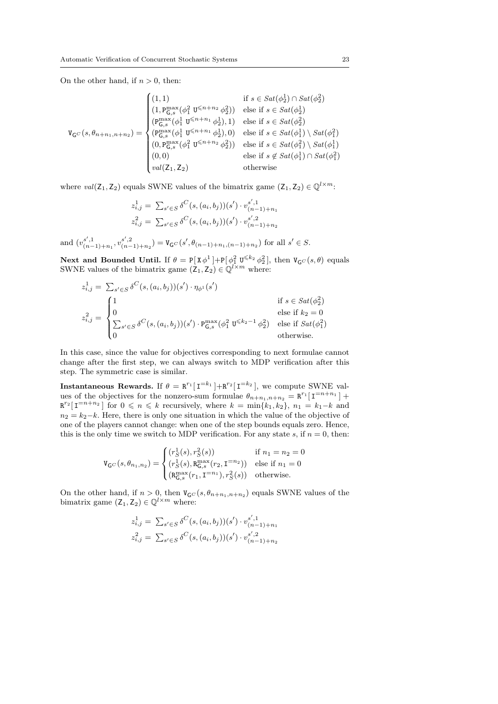On the other hand, if  $n > 0$ , then:

$$
\mathbf{V}_{\mathbf{G}^{C}}(s, \theta_{n+n_{1},n+n_{2}}) = \begin{cases}\n(1,1) & \text{if } s \in Sat(\phi_{2}^{1}) \cap Sat(\phi_{2}^{2}) \\
(1, \mathbf{P}_{\mathbf{G},s}^{\max}(\phi_{1}^{2} \mathbf{U}^{\leq n+n_{2}} \phi_{2}^{2})) & \text{else if } s \in Sat(\phi_{2}^{1}) \\
(\mathbf{P}_{\mathbf{G},s}^{\max}(\phi_{1}^{1} \mathbf{U}^{\leq n+n_{1}} \phi_{2}^{1}), 1) & \text{else if } s \in Sat(\phi_{2}^{2}) \\
(\mathbf{P}_{\mathbf{G},s}^{\max}(\phi_{1}^{1} \mathbf{U}^{\leq n+n_{1}} \phi_{2}^{1}), 0) & \text{else if } s \in Sat(\phi_{1}^{1}) \setminus Sat(\phi_{1}^{2}) \\
(0, \mathbf{P}_{\mathbf{G},s}^{\max}(\phi_{1}^{2} \mathbf{U}^{\leq n+n_{2}} \phi_{2}^{2})) & \text{else if } s \in Sat(\phi_{1}^{1}) \setminus Sat(\phi_{1}^{1}) \\
(0,0) & \text{else if } s \notin Sat(\phi_{1}^{1}) \cap Sat(\phi_{1}^{2}) \\
val(\mathbf{Z}_{1}, \mathbf{Z}_{2}) & \text{otherwise}\n\end{cases}
$$

where  $val(\mathsf{Z}_1, \mathsf{Z}_2)$  equals SWNE values of the bimatrix game  $(\mathsf{Z}_1, \mathsf{Z}_2) \in \mathbb{Q}^{l \times m}$ :

$$
z_{i,j}^1 = \sum_{s' \in S} \delta^C(s, (a_i, b_j))(s') \cdot v_{(n-1)+n_1}^{s',1}
$$
  

$$
z_{i,j}^2 = \sum_{s' \in S} \delta^C(s, (a_i, b_j))(s') \cdot v_{(n-1)+n_2}^{s',2}
$$

and  $(v_{(n-1)+n_1}^{s',1}, v_{(n-1)+n_2}^{s',2}) = V_{\mathsf{G}^C}(s', \theta_{(n-1)+n_1,(n-1)+n_2})$  for all  $s' \in S$ .

Next and Bounded Until. If  $\theta = P[X\phi^1] + P[\phi_1^2 \mathbf{U}^{\leq k_2} \phi_2^2]$ , then  $V_{\mathsf{G}}(s,\theta)$  equals SWNE values of the bimatrix game  $(\mathsf{Z}_1, \mathsf{Z}_2) \in \mathbb{Q}^{l \times m}$  where:

$$
z_{i,j}^1 = \sum_{s' \in S} \delta^C(s, (a_i, b_j))(s') \cdot \eta_{\phi^1}(s')
$$
  
if  $s \in Sat(\phi_2^2)$   

$$
z_{i,j}^2 = \begin{cases} 1 & \text{if } s \in Sat(\phi_2^2) \\ 0 & \text{else if } k_2 = 0 \\ \sum_{s' \in S} \delta^C(s, (a_i, b_j))(s') \cdot P_{\mathsf{G},s}^{\max}(\phi_1^2 \mathbf{U}^{\leq k_2 - 1} \phi_2^2) & \text{else if } Sat(\phi_1^2) \\ 0 & \text{otherwise.} \end{cases}
$$

In this case, since the value for objectives corresponding to next formulae cannot change after the first step, we can always switch to MDP verification after this step. The symmetric case is similar.

**Instantaneous Rewards.** If  $\theta = \mathbb{R}^{r_1}[\mathbf{I}^{=k_1}] + \mathbb{R}^{r_2}[\mathbf{I}^{=k_2}]$ , we compute SWNE values of the objectives for the nonzero-sum formulae  $\theta_{n+n_1,n+n_2} = \mathbb{R}^{r_1}[\mathbf{I}^{=n+n_1}] +$  $\mathbb{R}^{r_2}[\mathbf{I}^{=n+n_2}]$  for  $0 \leqslant n \leqslant k$  recursively, where  $k = \min\{k_1, k_2\}, n_1 = k_1 - k$  and  $n_2 = k_2-k$ . Here, there is only one situation in which the value of the objective of one of the players cannot change: when one of the step bounds equals zero. Hence, this is the only time we switch to MDP verification. For any state s, if  $n = 0$ , then:

$$
\mathtt{V}_{\mathsf{G}^C}(s, \theta_{n_1, n_2}) = \begin{cases} (r_{\mathsf{S}}^1(s), r_{\mathsf{S}}^2(s)) & \text{if } n_1 = n_2 = 0\\ (r_{\mathsf{S}}^1(s), \mathtt{R}_{\mathsf{G}, s}^{\max}(r_2, \mathtt{I}^{=n_2})) & \text{else if } n_1 = 0\\ (\mathtt{R}_{\mathsf{G}, s}^{\max}(r_1, \mathtt{I}^{=n_1}), r_{\mathsf{S}}^2(s)) & \text{otherwise.} \end{cases}
$$

On the other hand, if  $n > 0$ , then  $V_{\mathsf{G}}(s, \theta_{n+n_1,n+n_2})$  equals SWNE values of the bimatrix game  $(Z_1, Z_2) \in \mathbb{Q}^{l \times m}$  where:

$$
z_{i,j}^1 = \sum_{s' \in S} \delta^C(s,(a_i,b_j))(s') \cdot v_{(n-1)+n_1}^{s',1}
$$
  

$$
z_{i,j}^2 = \sum_{s' \in S} \delta^C(s,(a_i,b_j))(s') \cdot v_{(n-1)+n_2}^{s',2}
$$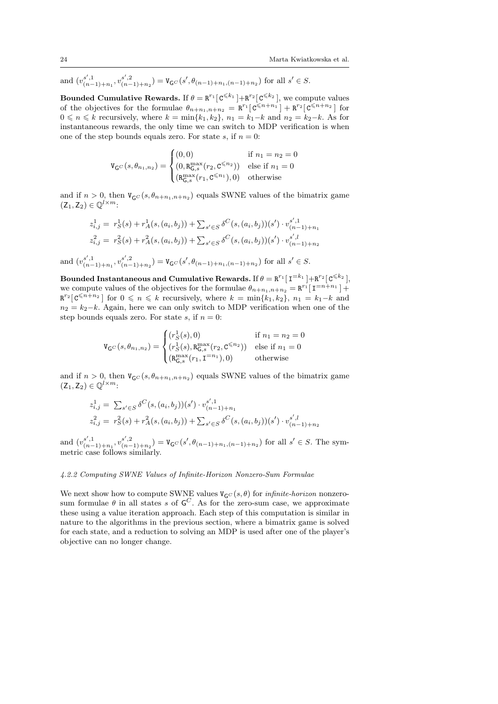and  $(v_{(n-1)+n_1}^{s',1}, v_{(n-1)+n_2}^{s',2}) = V_{\mathsf{G}^C}(s', \theta_{(n-1)+n_1,(n-1)+n_2})$  for all  $s' \in S$ .

Bounded Cumulative Rewards. If  $\theta = \mathbb{R}^{r_1} \left[ \mathbb{C}^{\leq k_1} \right] + \mathbb{R}^{r_2} \left[ \mathbb{C}^{\leq k_2} \right]$ , we compute values of the objectives for the formulae  $\theta_{n+n_1,n+n_2} = \mathbb{R}^{r_1} [\mathbf{C}^{\leq n+n_1}] + \mathbf{R}^{r_2} [\mathbf{C}^{\leq n+n_2}]$  for  $0 \leq n \leq k$  recursively, where  $k = \min\{k_1, k_2\}$ ,  $n_1 = k_1 - k$  and  $n_2 = k_2 - k$ . As for instantaneous rewards, the only time we can switch to MDP verification is when one of the step bounds equals zero. For state s, if  $n = 0$ :

$$
\mathtt{V}_{\mathsf{G}^C}(s, \theta_{n_1, n_2}) = \begin{cases} (0, 0) & \text{if } n_1 = n_2 = 0 \\ (0, \mathtt{R}_{\mathsf{G}, s}^{\max}(r_2, \mathtt{C}^{\leq n_2})) & \text{else if } n_1 = 0 \\ (\mathtt{R}_{\mathsf{G}, s}^{\max}(r_1, \mathtt{C}^{\leq n_1}), 0) & \text{otherwise} \end{cases}
$$

and if  $n > 0$ , then  $V_{\mathsf{G}C}(s, \theta_{n+n_1,n+n_2})$  equals SWNE values of the bimatrix game  $(Z_1, Z_2) \in \mathbb{Q}^{l \times m}$ :

$$
z_{i,j}^1 = r_S^1(s) + r_A^1(s,(a_i,b_j)) + \sum_{s' \in S} \delta^C(s,(a_i,b_j))(s') \cdot v_{(n-1)+n_1}^{s',1}
$$
  

$$
z_{i,j}^2 = r_S^2(s) + r_A^2(s,(a_i,b_j)) + \sum_{s' \in S} \delta^C(s,(a_i,b_j))(s') \cdot v_{(n-1)+n_2}^{s',1}
$$

and  $(v_{(n-1)+n_1}^{s',1}, v_{(n-1)+n_2}^{s',2}) = V_{\mathsf{G}^C}(s', \theta_{(n-1)+n_1,(n-1)+n_2})$  for all  $s' \in S$ .

Bounded Instantaneous and Cumulative Rewards. If  $\theta = \mathtt{R}^{r_1}[\, \mathtt{I}^{=k_1}\, ] + \mathtt{R}^{r_2}[\, \mathtt{C}^{\leqslant k_2}\, ],$ we compute values of the objectives for the formulae  $\theta_{n+n_1,n+n_2} = \mathbb{R}^{r_1} [\mathbb{I}^{=n+n_1}] +$  $\mathbb{R}^{r_2}[\mathfrak{C}^{\leqslant n+n_2}]$  for  $0 \leqslant n \leqslant k$  recursively, where  $k = \min\{k_1, k_2\}, n_1 = k_1 - k$  and  $n_2 = k_2 - k$ . Again, here we can only switch to MDP verification when one of the step bounds equals zero. For state s, if  $n = 0$ :

$$
\mathbf{V}_{\mathsf{G}^C}(s, \theta_{n_1, n_2}) = \begin{cases} (r_S^1(s), 0) & \text{if } n_1 = n_2 = 0\\ (r_S^1(s), \mathbf{R}_{\mathsf{G}, s}^{\max}(r_2, \mathsf{C}^{\le n_2})) & \text{else if } n_1 = 0\\ (\mathbf{R}_{\mathsf{G}, s}^{\max}(r_1, \mathsf{I}^{= n_1}), 0) & \text{otherwise} \end{cases}
$$

and if  $n > 0$ , then  $V_{\mathsf{G}C}(s, \theta_{n+n_1,n+n_2})$  equals SWNE values of the bimatrix game  $(Z_1, Z_2) \in \mathbb{Q}^{l \times m}$ :

$$
z_{i,j}^1 = \sum_{s' \in S} \delta^C(s, (a_i, b_j))(s') \cdot v_{(n-1)+n_1}^{s',1}
$$
  

$$
z_{i,j}^2 = r_S^2(s) + r_A^2(s, (a_i, b_j)) + \sum_{s' \in S} \delta^C(s, (a_i, b_j))(s') \cdot v_{(n-1)+n_2}^{s',l}
$$

and  $(v_{(n-1)+n_1}^{s',1}, v_{(n-1)+n_2}^{s',2}) = V_{\mathsf{G}^C}(s', \theta_{(n-1)+n_1,(n-1)+n_2})$  for all  $s' \in S$ . The symmetric case follows similarly.

## <span id="page-23-0"></span>4.2.2 Computing SWNE Values of Infinite-Horizon Nonzero-Sum Formulae

We next show how to compute SWNE values  $V_{\mathsf{G}^C}(s, \theta)$  for *infinite-horizon* nonzerosum formulae  $\theta$  in all states s of  $\mathsf{G}^C$ . As for the zero-sum case, we approximate these using a value iteration approach. Each step of this computation is similar in nature to the algorithms in the previous section, where a bimatrix game is solved for each state, and a reduction to solving an MDP is used after one of the player's objective can no longer change.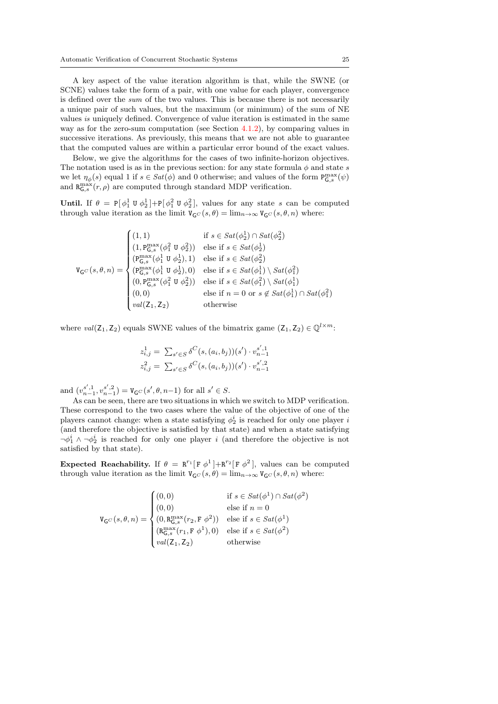A key aspect of the value iteration algorithm is that, while the SWNE (or SCNE) values take the form of a pair, with one value for each player, convergence is defined over the sum of the two values. This is because there is not necessarily a unique pair of such values, but the maximum (or minimum) of the sum of NE values is uniquely defined. Convergence of value iteration is estimated in the same way as for the zero-sum computation (see Section  $(4.1.2)$  $(4.1.2)$ ), by comparing values in successive iterations. As previously, this means that we are not able to guarantee that the computed values are within a particular error bound of the exact values.

Below, we give the algorithms for the cases of two infinite-horizon objectives. The notation used is as in the previous section: for any state formula  $\phi$  and state s we let  $\eta_{\phi}(s)$  equal 1 if  $s \in Sat(\phi)$  and 0 otherwise; and values of the form  $P_{\mathsf{G},s}^{\max}(\psi)$ and  $R_{\mathsf{G},s}^{\max}(r,\rho)$  are computed through standard MDP verification.

Until. If  $\theta = P[\phi_1^1 \cup \phi_2^1] + P[\phi_1^2 \cup \phi_2^2]$ , values for any state s can be computed through value iteration as the limit  $V_{\mathsf{G}}(s,\theta) = \lim_{n \to \infty} V_{\mathsf{G}}(s,\theta,n)$  where:

$$
\mathbf{V}_{\mathsf{G}^C}(s,\theta,n) = \begin{cases} (1,1) & \text{if } s \in Sat(\phi_2^1) \cap Sat(\phi_2^2) \\ (1,\mathbf{P}_{\mathsf{G},s}^{\max}(\phi_1^2 \mathbf{U} \phi_2^2)) & \text{else if } s \in Sat(\phi_2^1) \\ (\mathbf{P}_{\mathsf{G},s}^{\max}(\phi_1^1 \mathbf{U} \phi_2^1),1) & \text{else if } s \in Sat(\phi_2^2) \\ (\mathbf{P}_{\mathsf{G},s}^{\max}(\phi_1^1 \mathbf{U} \phi_2^1),0) & \text{else if } s \in Sat(\phi_1^1) \setminus Sat(\phi_1^2) \\ (0,\mathbf{P}_{\mathsf{G},s}^{\max}(\phi_1^2 \mathbf{U} \phi_2^2)) & \text{else if } s \in Sat(\phi_1^2) \setminus Sat(\phi_1^1) \\ (0,0) & \text{else if } n = 0 \text{ or } s \notin Sat(\phi_1^1) \cap Sat(\phi_1^2) \\ val(\mathsf{Z}_1,\mathsf{Z}_2) & \text{otherwise} \end{cases}
$$

where  $val(\mathsf{Z}_1, \mathsf{Z}_2)$  equals SWNE values of the bimatrix game  $(\mathsf{Z}_1, \mathsf{Z}_2) \in \mathbb{Q}^{l \times m}$ :

$$
z_{i,j}^1 = \sum_{s' \in S} \delta^C(s, (a_i, b_j))(s') \cdot v_{n-1}^{s', 1}
$$
  

$$
z_{i,j}^2 = \sum_{s' \in S} \delta^C(s, (a_i, b_j))(s') \cdot v_{n-1}^{s', 2}
$$

and  $(v_{n-1}^{s',1}, v_{n-1}^{s',2}) = V_{\mathsf{G}^C}(s', \theta, n-1)$  for all  $s' \in S$ .

As can be seen, there are two situations in which we switch to MDP verification. These correspond to the two cases where the value of the objective of one of the players cannot change: when a state satisfying  $\phi_2^i$  is reached for only one player *i* (and therefore the objective is satisfied by that state) and when a state satisfying  $\neg \phi_1^i \wedge \neg \phi_2^i$  is reached for only one player i (and therefore the objective is not satisfied by that state).

Expected Reachability. If  $\theta = \mathbb{R}^{r_1} [\mathbb{F} \phi^1] + \mathbb{R}^{r_2} [\mathbb{F} \phi^2]$ , values can be computed through value iteration as the limit  $V_{\mathsf{G}^C}(s, \theta) = \lim_{n \to \infty} V_{\mathsf{G}^C}(s, \theta, n)$  where:

$$
\mathbf{V}_{\mathsf{G}^C}(s,\theta,n) = \begin{cases}\n(0,0) & \text{if } s \in Sat(\phi^1) \cap Sat(\phi^2) \\
(0,0) & \text{else if } n = 0 \\
(0,\mathbf{R}_{\mathsf{G},s}^{\max}(r_2,\mathbf{F}\,\phi^2)) & \text{else if } s \in Sat(\phi^1) \\
(\mathbf{R}_{\mathsf{G},s}^{\max}(r_1,\mathbf{F}\,\phi^1),0) & \text{else if } s \in Sat(\phi^2) \\
val(\mathsf{Z}_1,\mathsf{Z}_2) & \text{otherwise}\n\end{cases}
$$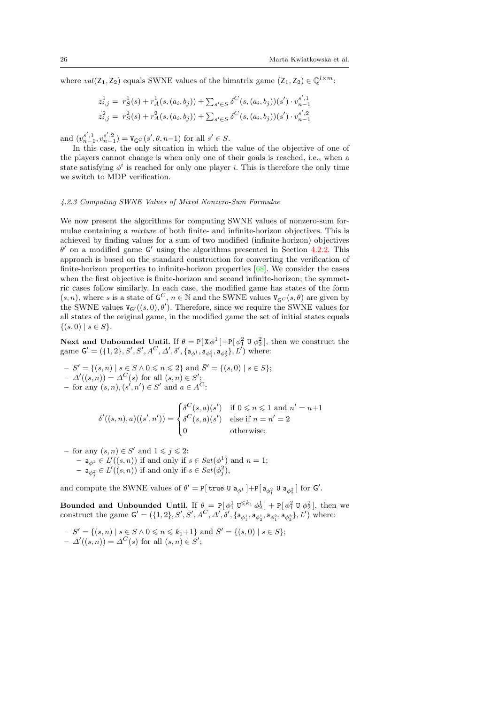where  $val(\mathsf{Z}_1, \mathsf{Z}_2)$  equals SWNE values of the bimatrix game  $(\mathsf{Z}_1, \mathsf{Z}_2) \in \mathbb{Q}^{l \times m}$ :

$$
z_{i,j}^1 = r_S^1(s) + r_A^1(s,(a_i,b_j)) + \sum_{s' \in S} \delta^C(s,(a_i,b_j))(s') \cdot v_{n-1}^{s',1}
$$
  

$$
z_{i,j}^2 = r_S^2(s) + r_A^2(s,(a_i,b_j)) + \sum_{s' \in S} \delta^C(s,(a_i,b_j))(s') \cdot v_{n-1}^{s',2}
$$

and  $(v_{n-1}^{s',1}, v_{n-1}^{s',2}) = V_{\mathsf{G}^C}(s', \theta, n-1)$  for all  $s' \in S$ .

In this case, the only situation in which the value of the objective of one of the players cannot change is when only one of their goals is reached, i.e., when a state satisfying  $\phi^i$  is reached for only one player *i*. This is therefore the only time we switch to MDP verification.

#### <span id="page-25-0"></span>4.2.3 Computing SWNE Values of Mixed Nonzero-Sum Formulae

We now present the algorithms for computing SWNE values of nonzero-sum formulae containing a mixture of both finite- and infinite-horizon objectives. This is achieved by finding values for a sum of two modified (infinite-horizon) objectives  $\theta'$  on a modified game  $\mathsf{G}'$  using the algorithms presented in Section [4.2.2.](#page-23-0) This approach is based on the standard construction for converting the verification of finite-horizon properties to infinite-horizon properties [\[68\]](#page-53-20). We consider the cases when the first objective is finite-horizon and second infinite-horizon; the symmetric cases follow similarly. In each case, the modified game has states of the form  $(s, n)$ , where s is a state of  $\mathsf{G}^C$ ,  $n \in \mathbb{N}$  and the SWNE values  $\mathsf{V}_{\mathsf{G}^C}(s, \theta)$  are given by the SWNE values  $V_{G'}((s, 0), \theta')$ . Therefore, since we require the SWNE values for all states of the original game, in the modified game the set of initial states equals  $\{(s, 0) \mid s \in S\}.$ 

Next and Unbounded Until. If  $\theta = P[X\phi^1] + P[\phi_1^2 \cup \phi_2^2]$ , then we construct the game  $G' = (\{1, 2\}, S', \bar{S}', A^C, \Delta', \delta', \{a_{\phi^1}, a_{\phi_1^2}, a_{\phi_2^2}\}, L')$  where:

- $-S' = \{(s, n) \mid s \in S \land 0 \leqslant n \leqslant 2\}$  and  $\overline{S}' = \{(s, 0) \mid s \in S\};$
- $\Delta'((s, n)) = \Delta^C(s)$  for all  $(s, n) \in S'$ ;
- for any  $(s, n), (s', n') \in S'$  and  $a \in A^C$ :

$$
\delta'((s,n),a)((s',n')) = \begin{cases} \delta^C(s,a)(s') & \text{if } 0 \leq n \leq 1 \text{ and } n' = n+1 \\ \delta^C(s,a)(s') & \text{else if } n = n' = 2 \\ 0 & \text{otherwise}; \end{cases}
$$

– for any  $(s, n) \in S'$  and  $1 \leqslant j \leqslant 2$ :  $- a_{\phi^1} \in L'((s, n))$  if and only if  $s \in Sat(\phi^1)$  and  $n = 1$ ;  $- a_{\phi_j^2} \in L'((s, n))$  if and only if  $s \in Sat(\phi_j^2)$ ,

and compute the SWNE values of  $\theta' = P[\text{true } U \mathsf{a}_{\phi^1}] + P[\mathsf{a}_{\phi_1^2} U \mathsf{a}_{\phi_2^2}]$  for  $\mathsf{G}'.$ 

Bounded and Unbounded Until. If  $\theta = P[\phi_1^1 \mathbb{U}^{\leq k_1} \phi_2^1] + P[\phi_1^2 \mathbb{U} \phi_2^2]$ , then we construct the game  $G' = (\{1, 2\}, S', \bar{S}', A^C, \Delta', \delta', \{a_{\phi_1^1}, a_{\phi_2^1}, a_{\phi_2^2}, a_{\phi_2^2}\}, L')$  where:

$$
- S' = \{ (s, n) \mid s \in S \land 0 \le n \le k_1 + 1 \} \text{ and } \overline{S}' = \{ (s, 0) \mid s \in S \};
$$
  

$$
- \Delta'((s, n)) = \Delta^C(s) \text{ for all } (s, n) \in S';
$$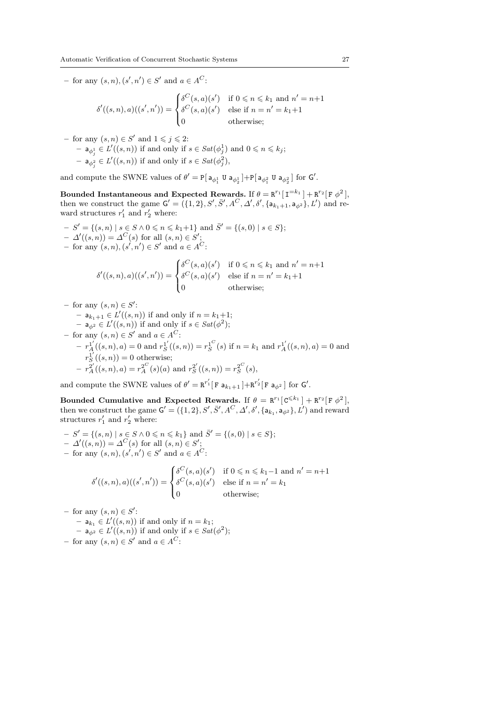- for any  $(s, n), (s', n') \in S'$  and  $a \in A^C$ :

$$
\delta'((s,n),a)((s',n')) = \begin{cases} \delta^C(s,a)(s') & \text{if } 0 \leq n \leq k_1 \text{ and } n' = n+1\\ \delta^C(s,a)(s') & \text{else if } n = n' = k_1+1\\ 0 & \text{otherwise}; \end{cases}
$$

- for any 
$$
(s, n) \in S'
$$
 and  $1 \leq j \leq 2$ :  
\n-  $\mathbf{a}_{\phi_j^1} \in L'((s, n))$  if and only if  $s \in Sat(\phi_j^1)$  and  $0 \leq n \leq k_j$ ;  
\n-  $\mathbf{a}_{\phi_j^2} \in L'((s, n))$  if and only if  $s \in Sat(\phi_j^2)$ ,

and compute the SWNE values of  $\theta' = P[\mathsf{a}_{\phi_1^1} \mathsf{U} \mathsf{a}_{\phi_2^1}] + P[\mathsf{a}_{\phi_1^2} \mathsf{U} \mathsf{a}_{\phi_2^2}]$  for  $\mathsf{G}'.$ 

Bounded Instantaneous and Expected Rewards. If  $\theta = \mathbf{R}^{r_1}[\mathbf{I}^{=k_1}] + \mathbf{R}^{r_2}[\mathbf{F} \phi^2],$ then we construct the game  $G' = (\{1, 2\}, S', \bar{S}', A^C, \Delta', \delta', \{a_{k_1+1}, a_{\phi^2}\}, L')$  and reward structures  $r'_1$  and  $r'_2$  where:

 $-S' = \{(s, n) \mid s \in S \land 0 \leq n \leq k_1+1\}$  and  $\overline{S}' = \{(s, 0) \mid s \in S\};$  $-\Delta'((s,n)) = \Delta^C(s)$  for all  $(s,n) \in S'$ ; - for any  $(s, n), (s', n') \in S'$  and  $a \in A^C$ :

$$
\delta'((s,n),a)((s',n')) = \begin{cases} \delta^C(s,a)(s') & \text{if } 0 \leq n \leq k_1 \text{ and } n' = n+1\\ \delta^C(s,a)(s') & \text{else if } n = n' = k_1+1\\ 0 & \text{otherwise}; \end{cases}
$$

 $-$  for any  $(s, n) \in S'$ :

- 
$$
a_{k_1+1} \in L'((s, n))
$$
 if and only if  $n = k_1+1$ ;

- $a_{\phi^2} \in L'((s, n))$  if and only if  $s \in Sat(\phi^2);$
- for any  $(s, n) \in S'$  and  $a \in A^C$ :  $-r_A^{1'}((s, n), a) = 0$  and  $r_S^{1'}((s, n)) = r_S^{1^C}(s)$  if  $n = k_1$  and  $r_A^{1'}((s, n), a) = 0$  and  $r_S^{1'}((s, n)) = 0$  otherwise;  $-r_A^{2'}((s, n), a) = r_A^{2^C}(s)(a)$  and  $r_S^{2'}((s, n)) = r_S^{2^C}(s)$ ,

and compute the SWNE values of  $\theta' = \mathbb{R}^{r'_1}[\mathbf{F} \mathbf{a}_{k_1+1} + \mathbb{R}^{r'_2}[\mathbf{F} \mathbf{a}_{\phi^2}]$  for  $\mathsf{G}'.$ 

Bounded Cumulative and Expected Rewards. If  $\theta = \mathbb{R}^{r_1} [\mathbf{C}^{\leq k_1}] + \mathbf{R}^{r_2} [\mathbf{F} \phi^2],$ then we construct the game  $G' = (\{1, 2\}, S', \bar{S}', A^C, \Delta', \delta', \{a_{k_1}, a_{\phi^2}\}, L')$  and reward structures  $r'_1$  and  $r'_2$  where:

 $-S' = \{(s, n) | s \in S \land 0 \leq n \leq k_1\}$  and  $\overline{S}' = \{(s, 0) | s \in S\};$  $-\Delta'((s,n)) = \Delta^C(s)$  for all  $(s,n) \in S'$ ; - for any  $(s, n), (s', n') \in S'$  and  $a \in A^C$ :

$$
\delta'((s,n),a)((s',n')) = \begin{cases} \delta^C(s,a)(s') & \text{if } 0 \leq n \leq k_1-1 \text{ and } n'=n+1\\ \delta^C(s,a)(s') & \text{else if } n=n'=k_1\\ 0 & \text{otherwise}; \end{cases}
$$

 $-$  for any  $(s, n) \in S'$ :

$$
- a_{k_1} \in L'((s, n))
$$
 if and only if  $n = k_1$ ;  
\n
$$
- a_{\phi^2} \in L'((s, n))
$$
 if and only if  $s \in Sat(\phi^2)$ ;  
\n
$$
- a_{\phi^2} \in L'((s, n))
$$
 if and only if  $s \in Sat(\phi^2)$ ;  
\n
$$
- a_{\phi^2} \in L'((s, n))
$$

- for any  $(s, n) \in S'$  and  $a \in A^C$ :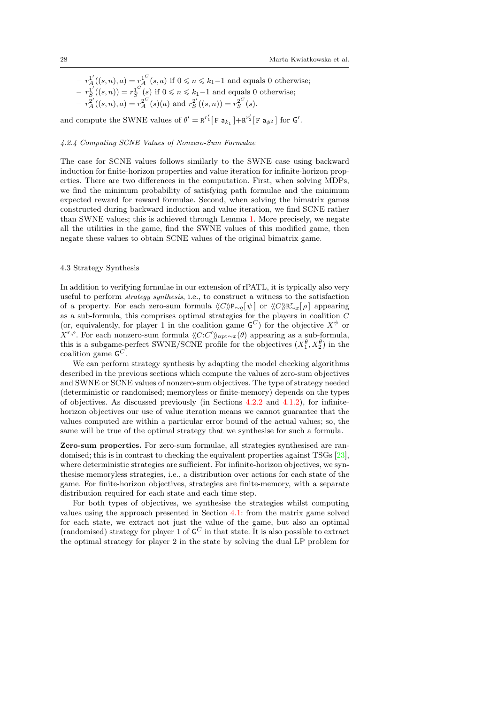$- r_A^{1'}((s, n), a) = r_A^{1^C}(s, a)$  if  $0 \le n \le k_1 - 1$  and equals 0 otherwise;  $-r_S^{1'}((s, n)) = r_S^{1^C}(s)$  if  $0 \le n \le k_1-1$  and equals 0 otherwise;  $-r_A^{2'}((s, n), a) = r_A^{2^C}(s)(a)$  and  $r_S^{2'}((s, n)) = r_S^{2^C}(s)$ .

and compute the SWNE values of  $\theta' = \mathbb{R}^{r'_1}[\mathbf{F} \mathbf{a}_{k_1}] + \mathbb{R}^{r'_2}[\mathbf{F} \mathbf{a}_{\phi^2}]$  for  $\mathsf{G}'.$ 

## <span id="page-27-0"></span>4.2.4 Computing SCNE Values of Nonzero-Sum Formulae

The case for SCNE values follows similarly to the SWNE case using backward induction for finite-horizon properties and value iteration for infinite-horizon properties. There are two differences in the computation. First, when solving MDPs, we find the minimum probability of satisfying path formulae and the minimum expected reward for reward formulae. Second, when solving the bimatrix games constructed during backward induction and value iteration, we find SCNE rather than SWNE values; this is achieved through Lemma [1.](#page-6-0) More precisely, we negate all the utilities in the game, find the SWNE values of this modified game, then negate these values to obtain SCNE values of the original bimatrix game.

### 4.3 Strategy Synthesis

In addition to verifying formulae in our extension of rPATL, it is typically also very useful to perform strategy synthesis, i.e., to construct a witness to the satisfaction of a property. For each zero-sum formula  $\langle\langle C\rangle P_{\sim q}[\psi]$  or  $\langle\langle C\rangle R_{\sim x}[\rho]$  appearing as a sub-formula, this comprises optimal strategies for the players in coalition C (or, equivalently, for player 1 in the coalition game  $\mathsf{G}^C$ ) for the objective  $X^{\psi}$  or  $X^{r,\rho}$ . For each nonzero-sum formula  $\langle\langle C:C'\rangle\rangle_{\text{opt}\sim x}(\theta)$  appearing as a sub-formula, this is a subgame-perfect SWNE/SCNE profile for the objectives  $(X_1^{\theta}, X_2^{\theta})$  in the coalition game  $\mathsf{G}^C$ .

We can perform strategy synthesis by adapting the model checking algorithms described in the previous sections which compute the values of zero-sum objectives and SWNE or SCNE values of nonzero-sum objectives. The type of strategy needed (deterministic or randomised; memoryless or finite-memory) depends on the types of objectives. As discussed previously (in Sections [4.2.2](#page-23-0) and [4.1.2\)](#page-19-0), for infinitehorizon objectives our use of value iteration means we cannot guarantee that the values computed are within a particular error bound of the actual values; so, the same will be true of the optimal strategy that we synthesise for such a formula.

Zero-sum properties. For zero-sum formulae, all strategies synthesised are randomised; this is in contrast to checking the equivalent properties against TSGs [\[23\]](#page-52-0), where deterministic strategies are sufficient. For infinite-horizon objectives, we synthesise memoryless strategies, i.e., a distribution over actions for each state of the game. For finite-horizon objectives, strategies are finite-memory, with a separate distribution required for each state and each time step.

For both types of objectives, we synthesise the strategies whilst computing values using the approach presented in Section [4.1:](#page-17-2) from the matrix game solved for each state, we extract not just the value of the game, but also an optimal (randomised) strategy for player 1 of  $\mathsf{G}^C$  in that state. It is also possible to extract the optimal strategy for player 2 in the state by solving the dual LP problem for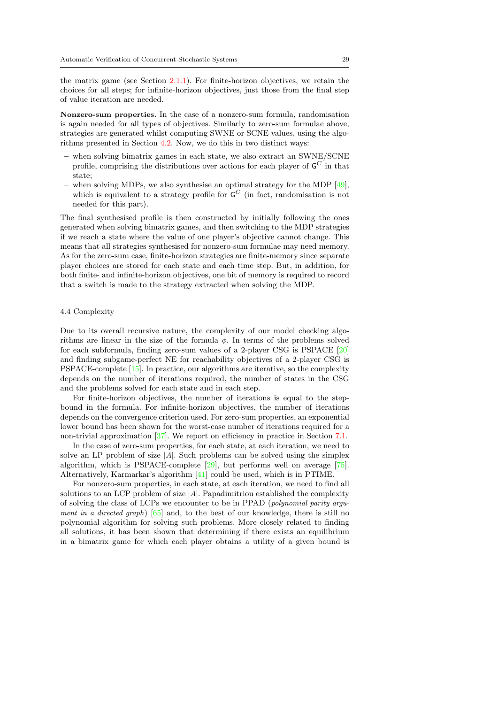the matrix game (see Section [2.1.1\)](#page-4-1). For finite-horizon objectives, we retain the choices for all steps; for infinite-horizon objectives, just those from the final step of value iteration are needed.

Nonzero-sum properties. In the case of a nonzero-sum formula, randomisation is again needed for all types of objectives. Similarly to zero-sum formulae above, strategies are generated whilst computing SWNE or SCNE values, using the algorithms presented in Section [4.2.](#page-20-0) Now, we do this in two distinct ways:

- when solving bimatrix games in each state, we also extract an SWNE/SCNE profile, comprising the distributions over actions for each player of  $\mathsf{G}^C$  in that state;
- when solving MDPs, we also synthesise an optimal strategy for the MDP  $[49]$ , which is equivalent to a strategy profile for  $\mathsf{G}^C$  (in fact, randomisation is not needed for this part).

The final synthesised profile is then constructed by initially following the ones generated when solving bimatrix games, and then switching to the MDP strategies if we reach a state where the value of one player's objective cannot change. This means that all strategies synthesised for nonzero-sum formulae may need memory. As for the zero-sum case, finite-horizon strategies are finite-memory since separate player choices are stored for each state and each time step. But, in addition, for both finite- and infinite-horizon objectives, one bit of memory is required to record that a switch is made to the strategy extracted when solving the MDP.

#### 4.4 Complexity

Due to its overall recursive nature, the complexity of our model checking algorithms are linear in the size of the formula  $\phi$ . In terms of the problems solved for each subformula, finding zero-sum values of a 2-player CSG is PSPACE [\[20\]](#page-51-19) and finding subgame-perfect NE for reachability objectives of a 2-player CSG is PSPACE-complete [\[15\]](#page-51-9). In practice, our algorithms are iterative, so the complexity depends on the number of iterations required, the number of states in the CSG and the problems solved for each state and in each step.

For finite-horizon objectives, the number of iterations is equal to the stepbound in the formula. For infinite-horizon objectives, the number of iterations depends on the convergence criterion used. For zero-sum properties, an exponential lower bound has been shown for the worst-case number of iterations required for a non-trivial approximation [\[37\]](#page-52-16). We report on efficiency in practice in Section [7.1.](#page-37-0)

In the case of zero-sum properties, for each state, at each iteration, we need to solve an LP problem of size |A|. Such problems can be solved using the simplex algorithm, which is PSPACE-complete [\[29\]](#page-52-17), but performs well on average [\[75\]](#page-54-5). Alternatively, Karmarkar's algorithm [\[41\]](#page-52-18) could be used, which is in PTIME.

For nonzero-sum properties, in each state, at each iteration, we need to find all solutions to an LCP problem of size  $|A|$ . Papadimitriou established the complexity of solving the class of LCPs we encounter to be in PPAD (polynomial parity argument in a directed graph)  $[65]$  and, to the best of our knowledge, there is still no polynomial algorithm for solving such problems. More closely related to finding all solutions, it has been shown that determining if there exists an equilibrium in a bimatrix game for which each player obtains a utility of a given bound is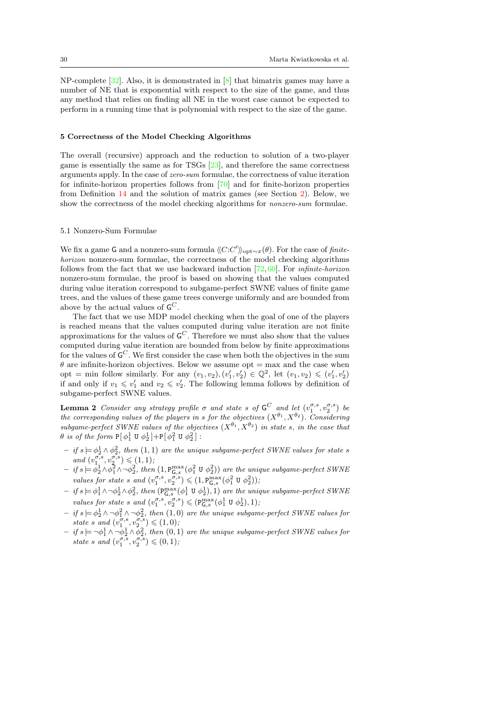NP-complete  $[32]$ . Also, it is demonstrated in  $[8]$  that bimatrix games may have a number of NE that is exponential with respect to the size of the game, and thus any method that relies on finding all NE in the worst case cannot be expected to perform in a running time that is polynomial with respect to the size of the game.

## 5 Correctness of the Model Checking Algorithms

The overall (recursive) approach and the reduction to solution of a two-player game is essentially the same as for TSGs [\[23\]](#page-52-0), and therefore the same correctness arguments apply. In the case of zero-sum formulae, the correctness of value iteration for infinite-horizon properties follows from [\[70\]](#page-53-19) and for finite-horizon properties from Definition [14](#page-14-0) and the solution of matrix games (see Section [2\)](#page-3-0). Below, we show the correctness of the model checking algorithms for nonzero-sum formulae.

### 5.1 Nonzero-Sum Formulae

We fix a game G and a nonzero-sum formula  $\langle\langle C:C'\rangle\rangle_{\text{opt}\sim x}(\theta)$ . For the case of finitehorizon nonzero-sum formulae, the correctness of the model checking algorithms follows from the fact that we use backward induction  $[72,60]$  $[72,60]$ . For *infinite-horizon* nonzero-sum formulae, the proof is based on showing that the values computed during value iteration correspond to subgame-perfect SWNE values of finite game trees, and the values of these game trees converge uniformly and are bounded from above by the actual values of  $\mathsf{G}^C$ .

The fact that we use MDP model checking when the goal of one of the players is reached means that the values computed during value iteration are not finite approximations for the values of  $\mathsf{G}^C$ . Therefore we must also show that the values computed during value iteration are bounded from below by finite approximations for the values of  $\mathsf{G}^C$ . We first consider the case when both the objectives in the sum  $\theta$  are infinite-horizon objectives. Below we assume opt = max and the case when opt = min follow similarly. For any  $(v_1, v_2), (v'_1, v'_2) \in \mathbb{Q}^2$ , let  $(v_1, v_2) \leqslant (v'_1, v'_2)$ if and only if  $v_1 \leqslant v_1'$  and  $v_2 \leqslant v_2'$ . The following lemma follows by definition of subgame-perfect SWNE values.

<span id="page-29-0"></span>**Lemma 2** Consider any strategy profile  $\sigma$  and state s of  $G^C$  and let  $(v_1^{\sigma,s}, v_2^{\sigma,s})$  be the corresponding values of the players in s for the objectives  $(X^{\theta_1}, X^{\theta_2})$ . Considering subgame-perfect SWNE values of the objectives  $(X^{\theta_1}, X^{\theta_2})$  in state s, in the case that  $\theta$  is of the form  $P[\phi_1^1 \cup \phi_2^1] + P[\phi_1^2 \cup \phi_2^2]$ :

- $-$  if  $s \models \phi_2^1 \land \phi_2^2$ , then  $(1,1)$  are the unique subgame-perfect SWNE values for state s and  $(v_1^{\sigma,s}, v_2^{\sigma,s}) \leqslant (1,1)$ ;
- $-$  if  $s = \phi_2^1 \wedge \phi_1^2 \wedge \neg \phi_2^2$ , then  $(1, P_{\mathsf{G},s}^{\max}(\phi_1^2 \cup \phi_2^2))$  are the unique subgame-perfect SWNE values for state s and  $(v_1^{\sigma,s}, v_2^{\sigma,s}) \leq (1, P_{\mathsf{G},s}^{\max}(\phi_1^2 \cup \phi_2^2)),$
- $-$  if  $s \models \phi_1^1 \land \neg \phi_2^1 \land \phi_2^2$ , then  $(\mathsf{P}^{\max}_{\mathsf{G},s}(\phi_1^1 \mathsf{U} \; \phi_2^1), 1)$  are the unique subgame-perfect SWNE values for state s and  $(v_1^{\sigma,s}, v_2^{\sigma,s}) \leqslant (\mathbf{P}_{\mathsf{G},s}^{\max}(\phi_1^1 \mathbf{U} \phi_2^1), 1),$
- $-$  if  $s \models \phi_2^1 \land \neg \phi_1^2 \land \neg \phi_2^2$ , then  $(1,0)$  are the unique subgame-perfect SWNE values for state s and  $(v_1^{\sigma,s}, v_2^{\sigma,s}) \leqslant (1,0)$ ;
- $-$  if  $s \models \neg \phi_1^1 \land \neg \phi_2^1 \land \phi_2^2$ , then  $(0,1)$  are the unique subgame-perfect SWNE values for state s and  $(v_1^{\sigma,s}, v_2^{\sigma,s}) \leqslant (0,1)$ ;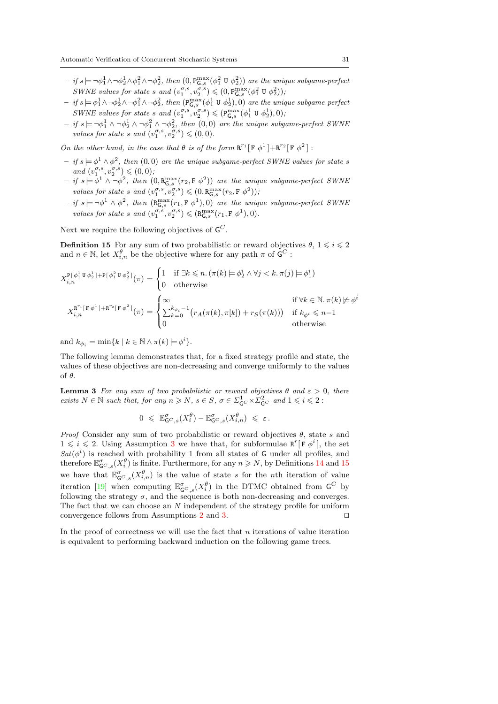- $-$  if  $s \models \neg \phi_1^1 \land \neg \phi_2^1 \land \phi_1^2 \land \neg \phi_2^2$ , then  $(0, P_{\mathsf{G},s}^{\max}(\phi_1^2 \cup \phi_2^2))$  are the unique subgame-perfect SWNE values for state s and  $(v_1^{\sigma,s}, v_2^{\sigma,s}) \leq (0, P_{G,s}^{\max}(\phi_1^2 \cup \phi_2^2)),$
- $-$  if  $s = \phi_1^1 \wedge \neg \phi_2^1 \wedge \neg \phi_1^2 \wedge \neg \phi_2^2$ , then  $(\mathsf{P}^{\max}_{\mathsf{G},s}(\phi_1^1 \mathsf{U} \phi_2^1), 0)$  are the unique subgame-perfect SWNE values for state s and  $(v_1^{\sigma,s}, v_2^{\sigma,s}) \leqslant (\mathbb{P}^{\max}_{\mathsf{G},s}(\phi_1^1 \mathsf{U} \phi_2^1), 0)$ ;
- $-$  if  $s \models \neg \phi_1^1 \land \neg \phi_2^1 \land \neg \phi_1^2 \land \neg \phi_2^2$ , then  $(0,0)$  are the unique subgame-perfect SWNE values for state s and  $(v_1^{\sigma,s}, v_2^{\sigma,s}) \leqslant (0,0)$ .

On the other hand, in the case that  $\theta$  is of the form  $R^{r_1}[F \phi^1] + R^{r_2}[F \phi^2]$ :

- $-$  if  $s \models \phi^1 \wedge \phi^2$ , then  $(0,0)$  are the unique subgame-perfect SWNE values for state s and  $(v_1^{\sigma,s}, v_2^{\sigma,s}) \leqslant (0,0)$ ,
- $-$  if  $s = \phi^1 \wedge \neg \phi^2$ , then  $(0, \mathsf{R}_{\mathsf{G},s}^{\max}(r_2, \mathsf{F} \ \phi^2))$  are the unique subgame-perfect SWNE values for state s and  $(v_1^{\sigma,s}, v_2^{\sigma,s}) \leqslant (0, R_{\mathsf{G},s}^{\max}(r_2, \mathsf{F} \phi^2));$
- <span id="page-30-0"></span> $-$  if  $s \models \neg \phi^1 \land \phi^2$ , then  $(R_{\mathsf{G},s}^{\max}(r_1, \mathsf{F} \phi^1), 0)$  are the unique subgame-perfect SWNE values for state s and  $(v_1^{\sigma,s}, v_2^{\sigma,s}) \leq (\mathbf{R}_{\mathsf{G},s}^{\max}(r_1, \mathbf{F} \phi^1), 0).$

Next we require the following objectives of  $\mathsf{G}^C$ .

**Definition 15** For any sum of two probabilistic or reward objectives  $\theta$ ,  $1 \leq i \leq 2$ and  $n \in \mathbb{N}$ , let  $X_{i,n}^{\theta}$  be the objective where for any path  $\pi$  of  $\mathsf{G}^C$ :

$$
X_{i,n}^{\mathbb{P}[\phi_1^1 \mathbf{U} \phi_2^1] + \mathbb{P}[\phi_1^2 \mathbf{U} \phi_2^2]}(\pi) = \begin{cases} 1 & \text{if } \exists k \leq n. (\pi(k) \models \phi_2^i \land \forall j < k. \pi(j) \models \phi_1^i) \\ 0 & \text{otherwise} \end{cases}
$$
\n
$$
X_{i,n}^{\mathbb{R}^{r_1}[\mathbf{F} \phi^1] + \mathbf{R}^{r_2}[\mathbf{F} \phi^2]}(\pi) = \begin{cases} \infty & \text{if } \forall k \in \mathbb{N}. \pi(k) \neq \phi^i \\ \sum_{k=0}^{k_{\phi_i}-1} (r_A(\pi(k), \pi[k]) + r_S(\pi(k))) & \text{if } k_{\phi^i} \leq n-1 \\ 0 & \text{otherwise} \end{cases}
$$

and  $k_{\phi_i} = \min\{k \mid k \in \mathbb{N} \wedge \pi(k) \models \phi^i\}.$ 

<span id="page-30-2"></span>The following lemma demonstrates that, for a fixed strategy profile and state, the values of these objectives are non-decreasing and converge uniformly to the values of θ.

**Lemma 3** For any sum of two probabilistic or reward objectives  $\theta$  and  $\varepsilon > 0$ , there exists  $N \in \mathbb{N}$  such that, for any  $n \geq N$ ,  $s \in S$ ,  $\sigma \in \Sigma_{\mathsf{G}^C}^1 \times \Sigma_{\mathsf{G}^C}^2$  and  $1 \leqslant i \leqslant 2$ :

<span id="page-30-1"></span>
$$
0\;\leqslant\; \mathbb{E}^{\sigma}_{\mathsf{G}^C,s}(X_i^{\theta}) - \mathbb{E}^{\sigma}_{\mathsf{G}^C,s}(X_{i,n}^{\theta}) \;\leqslant\; \varepsilon\,.
$$

*Proof* Consider any sum of two probabilistic or reward objectives  $\theta$ , state s and  $1 \leq i \leq 2$ . Using Assumption [3](#page-17-1) we have that, for subformulae  $\mathbb{R}^r[\mathbb{F} \phi^i]$ , the set  $Sat(\phi^i)$  is reached with probability 1 from all states of G under all profiles, and therefore  $\mathbb{E}^{\sigma}_{\mathsf{G}^C,s}(X_i^{\theta})$  is finite. Furthermore, for any  $n \geq N$ , by Definitions [14](#page-14-0) and [15](#page-30-0) we have that  $\mathbb{E}_{\mathsf{G}^C,s}^{\sigma}(X_{i,n}^{\theta})$  is the value of state s for the nth iteration of value iteration [\[19\]](#page-51-14) when computing  $\mathbb{E}^{\sigma}_{\mathsf{G}^C,s}(X_i^{\theta})$  in the DTMC obtained from  $\mathsf{G}^C$  by following the strategy  $\sigma$ , and the sequence is both non-decreasing and converges. The fact that we can choose an N independent of the strategy profile for uniform convergence follows from Assumptions [2](#page-17-3) and [3.](#page-17-1)  $\Box$ 

In the proof of correctness we will use the fact that  $n$  iterations of value iteration is equivalent to performing backward induction on the following game trees.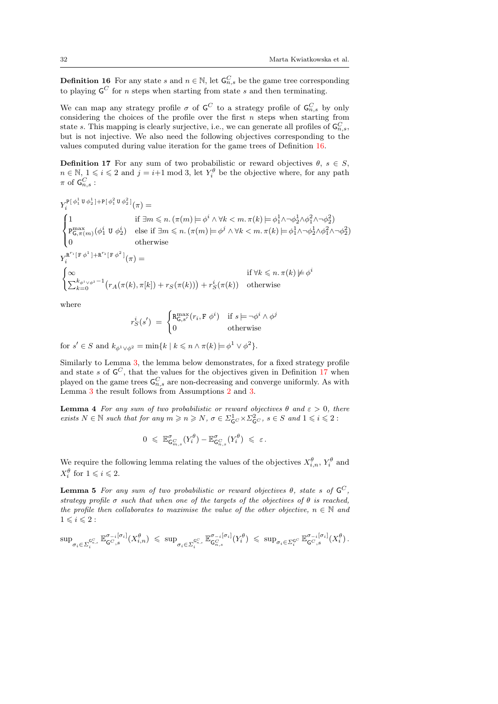<span id="page-31-0"></span> $^{2}_{2})$ 

**Definition 16** For any state s and  $n \in \mathbb{N}$ , let  $\mathsf{G}_{n,s}^C$  be the game tree corresponding to playing  $\mathsf{G}^C$  for *n* steps when starting from state *s* and then terminating.

We can map any strategy profile  $\sigma$  of  $\mathsf{G}^C$  to a strategy profile of  $\mathsf{G}_{n,s}^C$  by only considering the choices of the profile over the first  $n$  steps when starting from state s. This mapping is clearly surjective, i.e., we can generate all profiles of  $\mathsf{G}_{n,s}^C$ , but is not injective. We also need the following objectives corresponding to the values computed during value iteration for the game trees of Definition [16.](#page-30-1)

**Definition 17** For any sum of two probabilistic or reward objectives  $\theta$ ,  $s \in S$ ,  $n \in \mathbb{N}, 1 \leq i \leq 2$  and  $j = i+1 \mod 3$ , let  $Y_i^{\theta}$  be the objective where, for any path  $\pi$  of  ${\sf G}_{n,s}^C$  :

$$
Y_i^{\mathbb{P}[\phi_1^1 \mathbf{U} \phi_2^1] + \mathbb{P}[\phi_1^2 \mathbf{U} \phi_2^2]}(\pi) =
$$
\n
$$
\begin{cases}\n1 & \text{if } \exists m \leq n. (\pi(m) \models \phi^i \land \forall k < m. \pi(k) \models \phi_1^1 \land \neg \phi_2^1 \land \phi_1^2 \land \neg \phi_2^2) \\
P_{\mathsf{G}, \pi(m)}^{\max}(\phi_1^i \mathbf{U} \phi_2^i) & \text{else if } \exists m \leq n. (\pi(m) \models \phi^j \land \forall k < m. \pi(k) \models \phi_1^1 \land \neg \phi_2^1 \land \phi_1^2 \land \neg \phi_2^2) \\
0 & \text{otherwise}\n\end{cases}
$$
\n
$$
Y_i^{\mathbf{R}^r \mathbb{P}[\mathbf{F} \phi^1] + \mathbf{R}^{r_2}[\mathbf{F} \phi^2]}(\pi) =
$$
\n
$$
\begin{cases}\n\infty & \text{if } \forall k \leq n. \pi(k) \not\models \phi^i \\
\sum_{k=0}^{k_{\phi^1 \vee \phi^2} - 1} (r_A(\pi(k), \pi[k]) + r_S(\pi(k))) + r_S^i(\pi(k)) & \text{otherwise}\n\end{cases}
$$

where

$$
r_S^i(s') = \begin{cases} \mathbf{R}_{\mathsf{G},s'}^{\max}(r_i, \mathbf{F} \; \phi^i) & \text{if } s \models \neg \phi^i \land \phi^j \\ 0 & \text{otherwise} \end{cases}
$$

for  $s' \in S$  and  $k_{\phi^1 \vee \phi^2} = \min\{k \mid k \leq n \wedge \pi(k) \models \phi^1 \vee \phi^2\}.$ 

r

Similarly to Lemma [3,](#page-30-2) the lemma below demonstrates, for a fixed strategy profile and state s of  $\mathsf{G}^C$ , that the values for the objectives given in Definition [17](#page-31-0) when played on the game trees  $\mathsf{G}_{n,s}^C$  are non-decreasing and converge uniformly. As with Lemma [3](#page-30-2) the result follows from Assumptions [2](#page-17-3) and [3.](#page-17-1)

**Lemma 4** For any sum of two probabilistic or reward objectives  $\theta$  and  $\varepsilon > 0$ , there exists  $N \in \mathbb{N}$  such that for any  $m \geqslant n \geqslant N$ ,  $\sigma \in \Sigma_{\mathsf{G}^C}^1 \times \Sigma_{\mathsf{G}^C}^2$ ,  $s \in S$  and  $1 \leqslant i \leqslant 2$ :

<span id="page-31-2"></span><span id="page-31-1"></span>
$$
0\;\leqslant\; \mathbb{E}^{\sigma}_{\mathsf{G}_{m,s}^{C}}(Y_{i}^{\theta})-\mathbb{E}^{\sigma}_{\mathsf{G}_{n,s}^{C}}(Y_{i}^{\theta})\;\leqslant\; \varepsilon\,.
$$

We require the following lemma relating the values of the objectives  $X_{i,n}^{\theta}$ ,  $Y_i^{\theta}$  and  $X_i^{\theta}$  for  $1 \leqslant i \leqslant 2$ .

**Lemma 5** For any sum of two probabilistic or reward objectives  $\theta$ , state s of  $\mathsf{G}^C$ , strategy profile  $\sigma$  such that when one of the targets of the objectives of  $\theta$  is reached, the profile then collaborates to maximise the value of the other objective,  $n \in \mathbb{N}$  and  $1\leqslant i\leqslant 2$  :

$$
\sup\nolimits_{\sigma_i\in \Sigma_i^{\mathsf{G}^{\mathcal{C}}},\,} \mathbb{E}^{\sigma_{-i}[\sigma_i]}_{\mathsf{G}^{\mathcal{C}},s}(X_{i,n}^{\theta}) \leqslant \, \sup\nolimits_{\sigma_i\in \Sigma_i^{\mathsf{G}^{\mathcal{C}}},\,} \mathbb{E}^{\sigma_{-i}[\sigma_i]}_{\mathsf{G}^{\mathcal{C}}_{n,s}}(Y_i^{\theta}) \leqslant \, \sup\nolimits_{\sigma_i\in \Sigma_i^{\mathsf{G}^{\mathcal{C}}}} \mathbb{E}^{\sigma_{-i}[\sigma_i]}_{\mathsf{G}^{\mathcal{C}},s}(X_i^{\theta}).
$$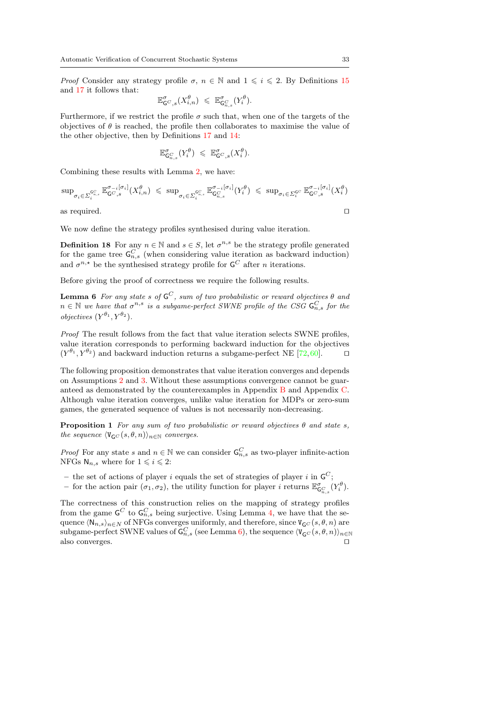*Proof* Consider any strategy profile  $\sigma$ ,  $n \in \mathbb{N}$  and  $1 \leq i \leq 2$ . By Definitions [15](#page-30-0) and [17](#page-31-0) it follows that:

$$
\mathbb{E}^{\sigma}_{\mathsf{G}^C,s}(X_{i,n}^{\theta}) \leqslant \mathbb{E}^{\sigma}_{\mathsf{G}_{n,s}^C}(Y_i^{\theta}).
$$

Furthermore, if we restrict the profile  $\sigma$  such that, when one of the targets of the objectives of  $\theta$  is reached, the profile then collaborates to maximise the value of the other objective, then by Definitions [17](#page-31-0) and [14:](#page-14-0)

<span id="page-32-0"></span>
$$
\mathbb{E}^{\sigma}_{\mathsf{G}_{n,s}^C}(Y_i^{\theta}) \leq \mathbb{E}^{\sigma}_{\mathsf{G}^C,s}(X_i^{\theta}).
$$

Combining these results with Lemma [2,](#page-29-0) we have:

$$
\sup_{\sigma_i \in \Sigma_i^{G^C_{*,s}}} \mathbb{E}_{\mathsf{G}^C, s}^{\sigma_{-i}[\sigma_i]}(X_{i,n}^{\theta}) \leq \sup_{\sigma_i \in \Sigma_i^{G^C_{*,s}}} \mathbb{E}_{\mathsf{G}^C_{n,s}}^{\sigma_{-i}[\sigma_i]}(Y_i^{\theta}) \leq \sup_{\sigma_i \in \Sigma_i^{G^C}} \mathbb{E}_{\mathsf{G}^C, s}^{\sigma_{-i}[\sigma_i]}(X_i^{\theta})
$$
  
as required.

We now define the strategy profiles synthesised during value iteration.

**Definition 18** For any  $n \in \mathbb{N}$  and  $s \in S$ , let  $\sigma^{n,s}$  be the strategy profile generated for the game tree  $\mathsf{G}_{n,s}^C$  (when considering value iteration as backward induction) and  $\sigma^{n,*}$  be the synthesised strategy profile for  $\mathsf{G}^C$  after *n* iterations.

Before giving the proof of correctness we require the following results.

**Lemma 6** For any state s of  $\mathsf{G}^C$ , sum of two probabilistic or reward objectives  $\theta$  and  $n \in \mathbb{N}$  we have that  $\sigma^{n,s}$  is a subgame-perfect SWNE profile of the CSG  $\mathsf{G}_{n,s}^C$  for the *objectives*  $(Y^{\theta_1}, Y^{\theta_2})$ .

Proof The result follows from the fact that value iteration selects SWNE profiles, value iteration corresponds to performing backward induction for the objectives  $(Y^{\theta_1}, Y^{\theta_2})$  and backward induction returns a subgame-perfect NE [\[72,](#page-53-17)[60\]](#page-53-10).  $\Box$ 

The following proposition demonstrates that value iteration converges and depends on Assumptions [2](#page-17-3) and [3.](#page-17-1) Without these assumptions convergence cannot be guaranteed as demonstrated by the counterexamples in Appendix [B](#page-54-4) and Appendix [C.](#page-56-0) Although value iteration converges, unlike value iteration for MDPs or zero-sum games, the generated sequence of values is not necessarily non-decreasing.

<span id="page-32-1"></span>**Proposition 1** For any sum of two probabilistic or reward objectives  $\theta$  and state s, the sequence  $\langle V_{GC}(s, \theta, n)\rangle_{n\in\mathbb{N}}$  converges.

*Proof* For any state s and  $n \in \mathbb{N}$  we can consider  $\mathsf{G}_{n,s}^C$  as two-player infinite-action NFGs  $N_{n,s}$  where for  $1 \leq i \leq 2$ :

- the set of actions of player i equals the set of strategies of player i in  $\mathsf{G}^C$ ;
- for the action pair  $(\sigma_1, \sigma_2)$ , the utility function for player i returns  $\mathbb{E}^{\sigma}_{\mathsf{G}_{n,s}^{C}}(Y_i^{\theta})$ .

The correctness of this construction relies on the mapping of strategy profiles from the game  $\mathsf{G}^C$  to  $\mathsf{G}^C_{n,s}$  being surjective. Using Lemma [4,](#page-31-1) we have that the sequence  $\langle \mathsf{N}_{n,s} \rangle_{n \in \mathbb{N}}$  of NFGs converges uniformly, and therefore, since  $\mathsf{V}_{\mathsf{G}^C}(s, \theta, n)$  are  $\sup$ game-perfect SWNE values of  ${\sf G}_{n,s}^C$  (see Lemma [6\)](#page-32-0), the sequence  $\langle {\tt V}_{\sf G}C(s,\theta,n)\rangle_{n\in{\mathbb N}}$ also converges.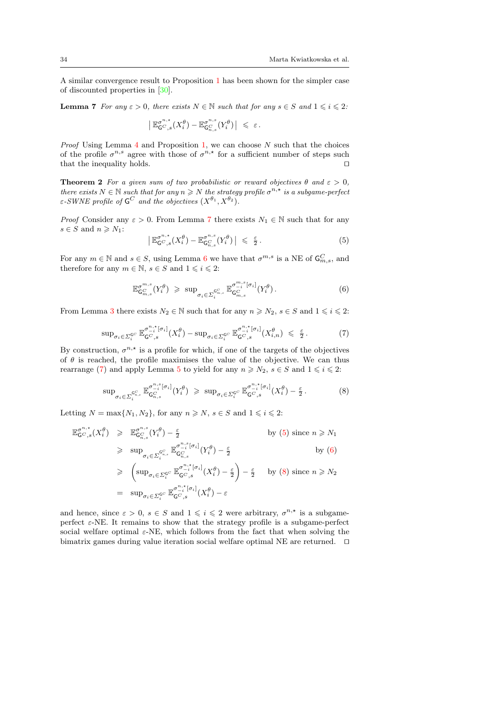A similar convergence result to Proposition [1](#page-32-1) has been shown for the simpler case of discounted properties in [\[30\]](#page-52-20).

**Lemma 7** For any  $\varepsilon > 0$ , there exists  $N \in \mathbb{N}$  such that for any  $s \in S$  and  $1 \leq i \leq 2$ :

<span id="page-33-0"></span>
$$
\left| \mathbb{E}_{\mathsf{G}^{C},s}^{\sigma^{n,\star}}(X_i^{\theta}) - \mathbb{E}_{\mathsf{G}_{n,s}^{C}}^{\sigma^{n,s}}(Y_i^{\theta}) \right| \leq \varepsilon.
$$

*Proof* Using Lemma  $4$  and Proposition [1,](#page-32-1) we can choose N such that the choices of the profile  $\sigma^{n,s}$  agree with those of  $\sigma^{n,*}$  for a sufficient number of steps such that the inequality holds.  $\Box$ 

**Theorem 2** For a given sum of two probabilistic or reward objectives  $\theta$  and  $\varepsilon > 0$ , there exists  $N \in \mathbb{N}$  such that for any  $n \geq N$  the strategy profile  $\sigma^{n,*}$  is a subgame-perfect  $\varepsilon$ -SWNE profile of  $\mathsf{G}^C$  and the objectives  $(X^{\theta_1}, X^{\theta_2})$ .

*Proof* Consider any  $\varepsilon > 0$ . From Lemma [7](#page-33-0) there exists  $N_1 \in \mathbb{N}$  such that for any  $s \in S$  and  $n \geqslant N_1$ :

<span id="page-33-3"></span><span id="page-33-2"></span>
$$
\left| \mathbb{E}_{\mathsf{G}^{C},s}^{\sigma^{n,*}}(X_i^{\theta}) - \mathbb{E}_{\mathsf{G}_n^C,s}^{\sigma^{n,*}}(Y_i^{\theta}) \right| \leq \frac{\varepsilon}{2}.
$$
 (5)

For any  $m \in \mathbb{N}$  and  $s \in S$ , using Lemma [6](#page-32-0) we have that  $\sigma^{m,s}$  is a NE of  $\mathsf{G}_{m,s}^C$ , and therefore for any  $m \in \mathbb{N}$ ,  $s \in S$  and  $1 \leq i \leq 2$ :

<span id="page-33-4"></span>
$$
\mathbb{E}_{\mathsf{G}_{m,s}^{C}}^{\sigma^{m,s}}(Y_{i}^{\theta}) \geqslant \sup_{\sigma_{i}\in \Sigma_{i}^{\mathsf{G}_{m,s}^{C}}}\mathbb{E}_{\mathsf{G}_{m,s}^{C}}^{\sigma^{m,s}_{-i}[\sigma_{i}]}(Y_{i}^{\theta}).
$$
\n
$$
(6)
$$

<span id="page-33-1"></span>From Lemma [3](#page-30-2) there exists  $N_2 \in \mathbb{N}$  such that for any  $n \ge N_2$ ,  $s \in S$  and  $1 \le i \le 2$ :

$$
\sup_{\sigma_i \in \Sigma_i^{\mathcal{G}^C}} \mathbb{E}_{\mathsf{G}^C, s}^{\sigma_{-i}^{n, \star} [\sigma_i]}(X_i^{\theta}) - \sup_{\sigma_i \in \Sigma_i^{\mathcal{G}^C}} \mathbb{E}_{\mathsf{G}^C, s}^{\sigma_{-i}^{n, \star} [\sigma_i]}(X_{i,n}^{\theta}) \leq \frac{\varepsilon}{2}.
$$
 (7)

By construction,  $\sigma^{n,*}$  is a profile for which, if one of the targets of the objectives of  $\theta$  is reached, the profile maximises the value of the objective. We can thus rearrange [\(7\)](#page-33-1) and apply Lemma [5](#page-31-2) to yield for any  $n \ge N_2$ ,  $s \in S$  and  $1 \le i \le 2$ :

$$
\sup_{\sigma_i \in \Sigma_i^{G_n^C}} \mathbb{E}_{\mathsf{G}_{n,s}^{G}}^{\sigma_{-i}^{n,s}[\sigma_i]}(Y_i^{\theta}) \geqslant \sup_{\sigma_i \in \Sigma_i^{G^C}} \mathbb{E}_{\mathsf{G}_{n,s}^{G^C}}^{\sigma_{-i}^{n,t}[\sigma_i]}(X_i^{\theta}) - \frac{\varepsilon}{2}.
$$
 (8)

Letting  $N = \max\{N_1, N_2\}$ , for any  $n \ge N$ ,  $s \in S$  and  $1 \le i \le 2$ :

$$
\mathbb{E}_{\mathsf{G}C,s}^{\sigma^{n,*}}(X_i^{\theta}) \geq \mathbb{E}_{\mathsf{G}_{n,s}^{\sigma^{n,s}}}(Y_i^{\theta}) - \frac{\varepsilon}{2} \qquad \qquad \text{by (5) since } n \geq N_1
$$
  

$$
\geq \sup_{\sigma_i \in \Sigma_i^{\mathsf{G}_{n,s}^{\mathsf{G}}}} \mathbb{E}_{\mathsf{G}_{n,s}^{\mathsf{G}'^{-1}}(\sigma_i)}^{\sigma^{n,s}[\sigma_i]}(Y_i^{\theta}) - \frac{\varepsilon}{2} \qquad \qquad \text{by (6)}
$$

$$
\geq \left( \sup_{\sigma_i \in \Sigma_i^{G^C}} \mathbb{E}_{\mathsf{G}^C, s}^{\sigma_{-i}^{n,*}[\sigma_i]}(X_i^{\theta}) - \frac{\varepsilon}{2} \right) - \frac{\varepsilon}{2} \quad \text{by (8) since } n \geq N_2
$$

$$
= \sup_{\sigma_i \in \Sigma_i^{G^C}} \mathbb{E}_{\mathsf{G}^C, s}^{\sigma_{-i}^{n,*}[\sigma_i]}(X_i^{\theta}) - \varepsilon
$$

and hence, since  $\varepsilon > 0$ ,  $s \in S$  and  $1 \leqslant i \leqslant 2$  were arbitrary,  $\sigma^{n,*}$  is a subgameperfect  $\varepsilon$ -NE. It remains to show that the strategy profile is a subgame-perfect social welfare optimal  $\varepsilon$ -NE, which follows from the fact that when solving the bimatrix games during value iteration social welfare optimal NE are returned.  $\square$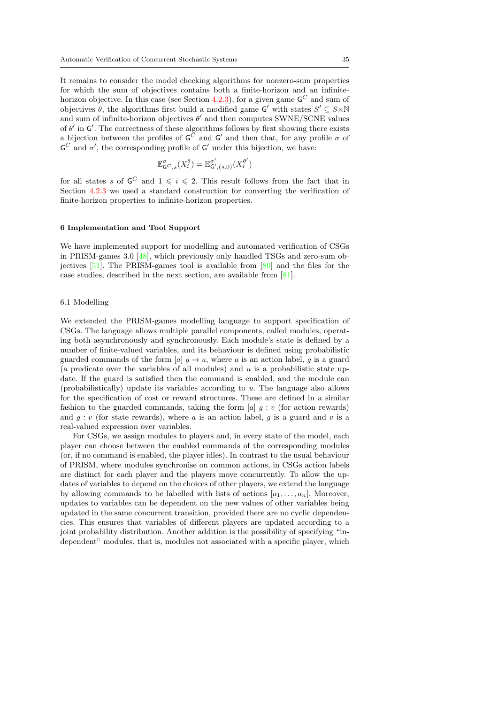It remains to consider the model checking algorithms for nonzero-sum properties for which the sum of objectives contains both a finite-horizon and an infinite-horizon objective. In this case (see Section [4.2.3\)](#page-25-0), for a given game  $\mathsf{G}^C$  and sum of objectives  $\theta$ , the algorithms first build a modified game G' with states  $S' \subseteq S \times \mathbb{N}$ and sum of infinite-horizon objectives  $\theta'$  and then computes SWNE/SCNE values of  $\theta'$  in  $\mathsf{G}'$ . The correctness of these algorithms follows by first showing there exists a bijection between the profiles of  $\mathsf{G}^C$  and  $\mathsf{G}'$  and then that, for any profile  $\sigma$  of  $\mathsf{G}^C$  and  $\sigma'$ , the corresponding profile of  $\mathsf{G}'$  under this bijection, we have:

$$
\mathbb{E}^{\sigma}_{\mathsf{G}^C,s}(X^{\theta}_i)=\mathbb{E}^{\sigma'}_{\mathsf{G}',(s,0)}(X^{\theta'}_i)
$$

for all states s of  $\mathsf{G}^C$  and  $1 \leqslant i \leqslant 2$ . This result follows from the fact that in Section [4.2.3](#page-25-0) we used a standard construction for converting the verification of finite-horizon properties to infinite-horizon properties.

## 6 Implementation and Tool Support

We have implemented support for modelling and automated verification of CSGs in PRISM-games 3.0 [\[48\]](#page-53-3), which previously only handled TSGs and zero-sum objectives [\[51\]](#page-53-0). The PRISM-games tool is available from [\[80\]](#page-54-6) and the files for the case studies, described in the next section, are available from [\[81\]](#page-54-7).

#### 6.1 Modelling

We extended the PRISM-games modelling language to support specification of CSGs. The language allows multiple parallel components, called modules, operating both asynchronously and synchronously. Each module's state is defined by a number of finite-valued variables, and its behaviour is defined using probabilistic guarded commands of the form [a]  $g \to u$ , where a is an action label, g is a guard (a predicate over the variables of all modules) and  $u$  is a probabilistic state update. If the guard is satisfied then the command is enabled, and the module can (probabilistically) update its variables according to u. The language also allows for the specification of cost or reward structures. These are defined in a similar fashion to the guarded commands, taking the form  $[a]$  g: v (for action rewards) and  $q: v$  (for state rewards), where a is an action label, q is a guard and v is a real-valued expression over variables.

For CSGs, we assign modules to players and, in every state of the model, each player can choose between the enabled commands of the corresponding modules (or, if no command is enabled, the player idles). In contrast to the usual behaviour of PRISM, where modules synchronise on common actions, in CSGs action labels are distinct for each player and the players move concurrently. To allow the updates of variables to depend on the choices of other players, we extend the language by allowing commands to be labelled with lists of actions  $[a_1, \ldots, a_n]$ . Moreover, updates to variables can be dependent on the new values of other variables being updated in the same concurrent transition, provided there are no cyclic dependencies. This ensures that variables of different players are updated according to a joint probability distribution. Another addition is the possibility of specifying "independent" modules, that is, modules not associated with a specific player, which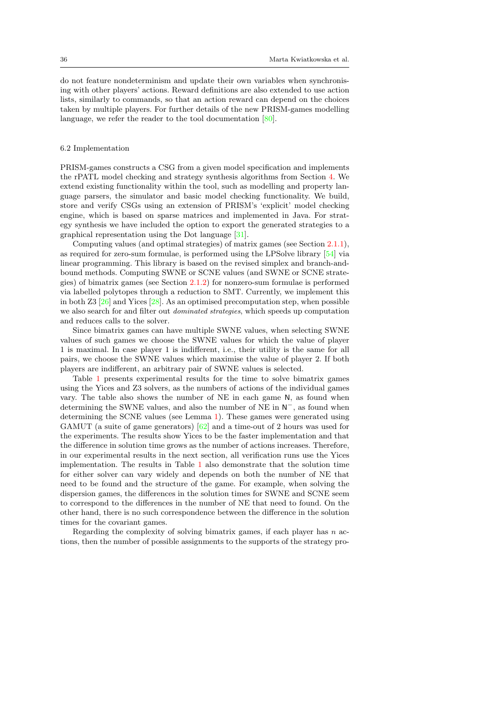do not feature nondeterminism and update their own variables when synchronising with other players' actions. Reward definitions are also extended to use action lists, similarly to commands, so that an action reward can depend on the choices taken by multiple players. For further details of the new PRISM-games modelling language, we refer the reader to the tool documentation  $[80]$ .

### <span id="page-35-0"></span>6.2 Implementation

PRISM-games constructs a CSG from a given model specification and implements the rPATL model checking and strategy synthesis algorithms from Section [4.](#page-16-0) We extend existing functionality within the tool, such as modelling and property language parsers, the simulator and basic model checking functionality. We build, store and verify CSGs using an extension of PRISM's 'explicit' model checking engine, which is based on sparse matrices and implemented in Java. For strategy synthesis we have included the option to export the generated strategies to a graphical representation using the Dot language [\[31\]](#page-52-21).

Computing values (and optimal strategies) of matrix games (see Section [2.1.1\)](#page-4-1), as required for zero-sum formulae, is performed using the LPSolve library [\[54\]](#page-53-23) via linear programming. This library is based on the revised simplex and branch-andbound methods. Computing SWNE or SCNE values (and SWNE or SCNE strategies) of bimatrix games (see Section [2.1.2\)](#page-5-1) for nonzero-sum formulae is performed via labelled polytopes through a reduction to SMT. Currently, we implement this in both  $Z3$  [ $26$ ] and Yices [ $28$ ]. As an optimised precomputation step, when possible we also search for and filter out dominated strategies, which speeds up computation and reduces calls to the solver.

Since bimatrix games can have multiple SWNE values, when selecting SWNE values of such games we choose the SWNE values for which the value of player 1 is maximal. In case player 1 is indifferent, i.e., their utility is the same for all pairs, we choose the SWNE values which maximise the value of player 2. If both players are indifferent, an arbitrary pair of SWNE values is selected.

Table [1](#page-36-0) presents experimental results for the time to solve bimatrix games using the Yices and Z3 solvers, as the numbers of actions of the individual games vary. The table also shows the number of NE in each game N, as found when determining the SWNE values, and also the number of NE in  $N^-$ , as found when determining the SCNE values (see Lemma [1\)](#page-6-0). These games were generated using GAMUT (a suite of game generators) [\[62\]](#page-53-24) and a time-out of 2 hours was used for the experiments. The results show Yices to be the faster implementation and that the difference in solution time grows as the number of actions increases. Therefore, in our experimental results in the next section, all verification runs use the Yices implementation. The results in Table [1](#page-36-0) also demonstrate that the solution time for either solver can vary widely and depends on both the number of NE that need to be found and the structure of the game. For example, when solving the dispersion games, the differences in the solution times for SWNE and SCNE seem to correspond to the differences in the number of NE that need to found. On the other hand, there is no such correspondence between the difference in the solution times for the covariant games.

Regarding the complexity of solving bimatrix games, if each player has  $n$  actions, then the number of possible assignments to the supports of the strategy pro-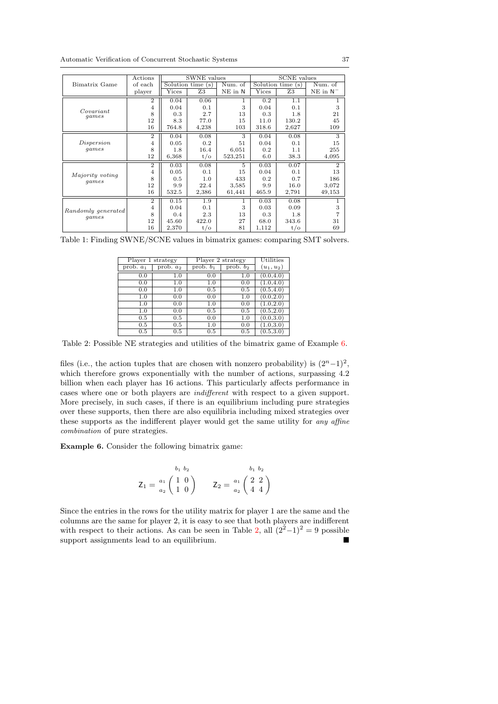<span id="page-36-0"></span>

|                    | Actions        | SWNE values           |                |         | <b>SCNE</b> values |                   |                |  |
|--------------------|----------------|-----------------------|----------------|---------|--------------------|-------------------|----------------|--|
| Bimatrix Game      | of each        | $Solution$ time $(s)$ |                | Num. of |                    | Solution time (s) | Num. of        |  |
|                    | player         | Yices                 | Z3             | NE in N | Yices              | Z <sub>3</sub>    | $NE$ in $N^-$  |  |
|                    | $\overline{2}$ | 0.04                  | 0.06           | 1       | 0.2                | 1.1               |                |  |
|                    | $\overline{4}$ | 0.04                  | 0.1            | 3       | 0.04               | 0.1               | 3              |  |
| Covariant<br>games | 8              | 0.3                   | 2.7            | 13      | 0.3                | 1.8               | 21             |  |
|                    | 12             | 8.3                   | 77.0           | 15      | 11.0               | 130.2             | 45             |  |
|                    | 16             | 764.8                 | 4,238          | 103     | 318.6              | 2,627             | 109            |  |
|                    | $\overline{2}$ | 0.04                  | 0.08           | 3       | 0.04               | 0.08              | 3              |  |
| Dispersion         | $\overline{4}$ | 0.05                  | 0.2            | 51      | 0.04               | 0.1               | 15             |  |
| games              | 8              | 1.8                   | 16.4           | 6.051   | 0.2                | 1.1               | 255            |  |
|                    | 12             | 6,368                 | $t/\mathrm{o}$ | 523,251 | 6.0                | 38.3              | 4,095          |  |
|                    | $\overline{2}$ | 0.03                  | 0.08           | 5       | 0.03               | 0.07              | $\overline{2}$ |  |
|                    | $\overline{4}$ | 0.05                  | 0.1            | 15      | 0.04               | 0.1               | 13             |  |
| Majority voting    | 8              | 0.5                   | 1.0            | 433     | 0.2                | 0.7               | 186            |  |
| games              | 12             | 9.9                   | 22.4           | 3,585   | 9.9                | 16.0              | 3,072          |  |
|                    | 16             | 532.5                 | 2,386          | 61,441  | 465.9              | 2,791             | 49,153         |  |
|                    | $\overline{2}$ | 0.15                  | 1.9            | 1       | 0.03               | 0.08              |                |  |
| Randomly generated | $\overline{4}$ | 0.04                  | 0.1            | 3       | 0.03               | 0.09              | 3              |  |
|                    | 8              | 0.4                   | 2.3            | 13      | 0.3                | 1.8               |                |  |
| games              | 12             | 45.60                 | 422.0          | 27      | 68.0               | 343.6             | 31             |  |
|                    | 16             | 2,370                 | $t/\mathrm{o}$ | 81      | 1,112              | $t/\mathrm{o}$    | 69             |  |

<span id="page-36-2"></span>Table 1: Finding SWNE/SCNE values in bimatrix games: comparing SMT solvers.

| Player 1 strategy |             |                                  | Player 2 strategy              | Utilities    |
|-------------------|-------------|----------------------------------|--------------------------------|--------------|
| prob. $a_1$       | prob. $a_2$ | $\overline{\text{prob}}$ . $b_1$ | $\overline{\text{prob. } b_2}$ | $(u_1, u_2)$ |
| 0.0               | 1.0         | 0.0                              | 1.0                            | (0.0, 4.0)   |
| 0.0               | 1.0         | 1.0                              | 0.0                            | (1.0, 4.0)   |
| 0.0               | 1.0         | 0.5                              | 0.5                            | (0.5, 4.0)   |
| 1.0               | 0.0         | 0.0                              | 1.0                            | (0.0, 2.0)   |
| 1.0               | 0.0         | 1.0                              | 0.0                            | (1.0, 2.0)   |
| 1.0               | 0.0         | 0.5                              | 0.5                            | (0.5, 2.0)   |
| 0.5               | 0.5         | 0.0                              | 1.0                            | (0.0, 3.0)   |
| 0.5               | $0.5\,$     | 1.0                              | 0.0                            | 1.0, 3.0     |
| 0.5               | 0.5         | $0.5\,$                          | 0.5                            | (0.5.3.0)    |

Table 2: Possible NE strategies and utilities of the bimatrix game of Example [6.](#page-36-1)

files (i.e., the action tuples that are chosen with nonzero probability) is  $(2<sup>n</sup> - 1)<sup>2</sup>$ , which therefore grows exponentially with the number of actions, surpassing  $4.2$ billion when each player has 16 actions. This particularly affects performance in cases where one or both players are indifferent with respect to a given support. More precisely, in such cases, if there is an equilibrium including pure strategies over these supports, then there are also equilibria including mixed strategies over these supports as the indifferent player would get the same utility for any affine combination of pure strategies.

<span id="page-36-1"></span>Example 6. Consider the following bimatrix game:

$$
Z_1 = \frac{a_1}{a_2} \begin{pmatrix} 1 & 0 \\ 1 & 0 \end{pmatrix} \qquad Z_2 = \frac{a_1}{a_2} \begin{pmatrix} 2 & 2 \\ 4 & 4 \end{pmatrix}
$$

Since the entries in the rows for the utility matrix for player 1 are the same and the columns are the same for player 2, it is easy to see that both players are indifferent with respect to their actions. As can be seen in Table [2,](#page-36-2) all  $(2^2-1)^2 = 9$  possible support assignments lead to an equilibrium.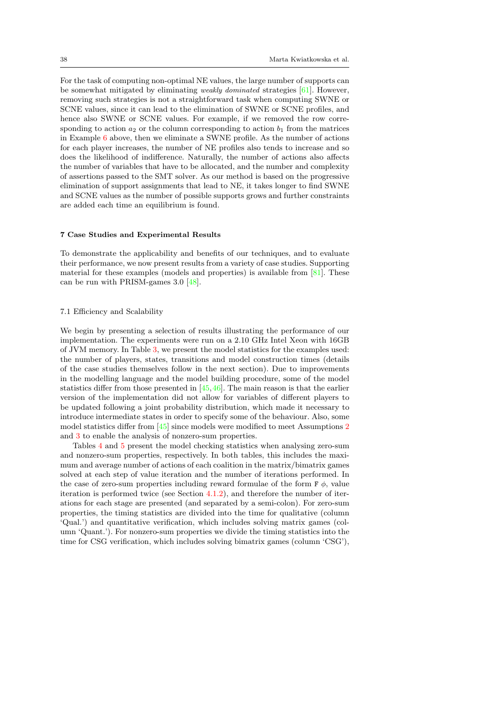For the task of computing non-optimal NE values, the large number of supports can be somewhat mitigated by eliminating *weakly dominated* strategies  $[61]$ . However, removing such strategies is not a straightforward task when computing SWNE or SCNE values, since it can lead to the elimination of SWNE or SCNE profiles, and hence also SWNE or SCNE values. For example, if we removed the row corresponding to action  $a_2$  or the column corresponding to action  $b_1$  from the matrices in Example [6](#page-36-1) above, then we eliminate a SWNE profile. As the number of actions for each player increases, the number of NE profiles also tends to increase and so does the likelihood of indifference. Naturally, the number of actions also affects the number of variables that have to be allocated, and the number and complexity of assertions passed to the SMT solver. As our method is based on the progressive elimination of support assignments that lead to NE, it takes longer to find SWNE and SCNE values as the number of possible supports grows and further constraints are added each time an equilibrium is found.

### 7 Case Studies and Experimental Results

To demonstrate the applicability and benefits of our techniques, and to evaluate their performance, we now present results from a variety of case studies. Supporting material for these examples (models and properties) is available from [\[81\]](#page-54-7). These can be run with PRISM-games 3.0 [\[48\]](#page-53-3).

#### <span id="page-37-0"></span>7.1 Efficiency and Scalability

We begin by presenting a selection of results illustrating the performance of our implementation. The experiments were run on a 2.10 GHz Intel Xeon with 16GB of JVM memory. In Table [3,](#page-38-0) we present the model statistics for the examples used: the number of players, states, transitions and model construction times (details of the case studies themselves follow in the next section). Due to improvements in the modelling language and the model building procedure, some of the model statistics differ from those presented in [\[45,](#page-52-1)[46\]](#page-52-5). The main reason is that the earlier version of the implementation did not allow for variables of different players to be updated following a joint probability distribution, which made it necessary to introduce intermediate states in order to specify some of the behaviour. Also, some model statistics differ from [\[45\]](#page-52-1) since models were modified to meet Assumptions [2](#page-17-3) and [3](#page-17-1) to enable the analysis of nonzero-sum properties.

Tables [4](#page-39-0) and [5](#page-40-0) present the model checking statistics when analysing zero-sum and nonzero-sum properties, respectively. In both tables, this includes the maximum and average number of actions of each coalition in the matrix/bimatrix games solved at each step of value iteration and the number of iterations performed. In the case of zero-sum properties including reward formulae of the form  $F \phi$ , value iteration is performed twice (see Section [4.1.2\)](#page-19-0), and therefore the number of iterations for each stage are presented (and separated by a semi-colon). For zero-sum properties, the timing statistics are divided into the time for qualitative (column 'Qual.') and quantitative verification, which includes solving matrix games (column 'Quant.'). For nonzero-sum properties we divide the timing statistics into the time for CSG verification, which includes solving bimatrix games (column 'CSG'),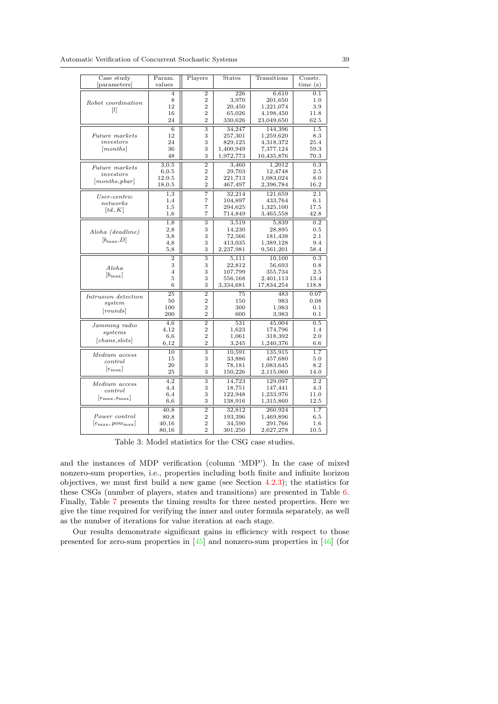<span id="page-38-0"></span>

| Case study                              | Param.          | Players                   | <b>States</b>    | Transitions | Constr.          |
|-----------------------------------------|-----------------|---------------------------|------------------|-------------|------------------|
| [parameters]                            | values          |                           |                  |             | time $(s)$       |
|                                         | $\overline{4}$  | $\overline{2}$            | $\overline{226}$ | 6,610       | 0.1              |
|                                         | 8               | $\overline{2}$            | 3,970            | 201,650     | 1.0              |
| Robot coordination                      | 12              | $\overline{2}$            | 20,450           | 1,221,074   | 3.9              |
| $\lceil l \rceil$                       | 16              | $\overline{2}$            | 65,026           | 4,198,450   | 11.8             |
|                                         | 24              | $\overline{2}$            | 330,626          | 23,049,650  | 62.5             |
|                                         | $\overline{6}$  | $\overline{\overline{3}}$ | 34,247           | 144,396     | 1.5              |
| Future markets                          | 12              | 3                         | 257,301          | 1,259,620   | 8.3              |
| investors                               | 24              | 3                         | 829,125          | 4,318,372   | 25.4             |
| [months]                                | 36              | 3                         | 1,400,949        | 7,377,124   | 59.3             |
|                                         | 48              | 3                         | 1,972,773        | 10,435,876  | 70.3             |
|                                         | 3,0.5           | $\overline{2}$            | 3,460            | 1,2012      | 0.3              |
| Future markets                          | 6, 0.5          | $\overline{2}$            | 29,703           | 12,4748     | 2.5              |
| investors                               | 12,0.5          | $\overline{2}$            | 221,713          | 1,083,024   | 8.0              |
| [months, polar]                         | 18,0.5          | $\overline{2}$            | 467,497          | 2,396,784   | 16.2             |
|                                         | 1,3             | 7                         | 32,214           | 121,659     | 2.1              |
| $User\text{-}centric$                   | 1,4             | 7                         | 104,897          | 433,764     | 6.1              |
| networks                                | 1,5             | 7                         | 294,625          | 1,325,100   | 17.5             |
| $\lceil td, K\rceil$                    | 1,6             | 7                         | 714,849          | 3,465,558   | 42.8             |
|                                         | 1,8             | $\overline{\overline{3}}$ | 3,519            | 5,839       | 0.2              |
| Aloha (deadline)                        | 2,8             | 3                         | 14,230           | 28,895      | 0.5              |
|                                         | 3,8             | 3                         | 72,566           | 181,438     | 2.1              |
| $[b_{\max}, D]$                         | 4,8             | 3                         | 413,035          | 1,389,128   | 9.4              |
|                                         | 5,8             | 3                         | 2,237,981        | 9,561,201   | 58.4             |
|                                         | $\overline{2}$  | 3                         | 5,111            | 10,100      | 0.3              |
| Aloha                                   | 3               | 3                         | 22,812           | 56,693      | 0.8              |
| $[b_{\max}]$                            | $\overline{4}$  | 3                         | 107,799          | 355,734     | 2.5              |
|                                         | 5               | 3                         | 556,168          | 2,401,113   | 13.4             |
|                                         | 6               | 3                         | 3,334,681        | 17,834,254  | 118.8            |
| Intrusion detection                     | $\overline{25}$ | $\overline{2}$            | 75               | 483         | 0.07             |
| system                                  | 50              | $\overline{2}$            | 150              | 983         | 0.08             |
| [rounds]                                | 100             | $\overline{2}$            | 300              | 1,983       | 0.1              |
|                                         | 200             | $\overline{2}$            | 600              | 3,983       | 0.1              |
| Jamming radio                           | 4,6             | $\overline{2}$            | 531              | 45,004      | 0.5              |
| systems                                 | 4,12            | $\overline{2}$            | 1,623            | 174,796     | 1.4              |
| $[{\it chans}, {\it slots}]$            | 6,6             | $\overline{2}$            | 1,061            | 318,392     | 2.0              |
|                                         | 6.12            | $\overline{2}$            | 3,245            | 1,240,376   | 6.6              |
| Medium access                           | 10              | $\overline{\overline{3}}$ | 10,591           | 135,915     | 1.7              |
| control                                 | 15              | 3                         | 33,886           | 457,680     | 5.0              |
| $[e_{\max}]$                            | 20              | 3                         | 78,181           | 1,083,645   | 8.2              |
|                                         | 25              | 3                         | 150,226          | 2,115,060   | 14.0             |
| Medium access                           | 4,2             | $\overline{3}$            | 14,723           | 129,097     | $\overline{2.2}$ |
| control                                 | 4,4             | 3                         | 18,751           | 147,441     | 4.3              |
| $\left e_{\rm max},\!_{\rm max}\right $ | 6,4             | 3                         | 122,948          | 1,233,976   | 11.0             |
|                                         | 6,6             | 3                         | 138,916          | 1,315,860   | 12.5             |
|                                         | 40,8            | $\overline{2}$            | 32,812           | 260,924     | 1.7              |
| Power control                           | 80.8            | $\overline{2}$            | 193,396          | 1,469,896   | 6.5              |
| $ e_{\max}, pow_{\max} $                | 40,16           | $\overline{2}$            | 34,590           | 291,766     | 1.6              |
|                                         | 80,16           | $\overline{2}$            | 301,250          | 2,627,278   | 10.5             |

Table 3: Model statistics for the CSG case studies.

and the instances of MDP verification (column 'MDP'). In the case of mixed nonzero-sum properties, i.e., properties including both finite and infinite horizon objectives, we must first build a new game (see Section [4.2.3\)](#page-25-0); the statistics for these CSGs (number of players, states and transitions) are presented in Table [6.](#page-41-1) Finally, Table [7](#page-41-2) presents the timing results for three nested properties. Here we give the time required for verifying the inner and outer formula separately, as well as the number of iterations for value iteration at each stage.

Our results demonstrate significant gains in efficiency with respect to those presented for zero-sum properties in [\[45\]](#page-52-1) and nonzero-sum properties in [\[46\]](#page-52-5) (for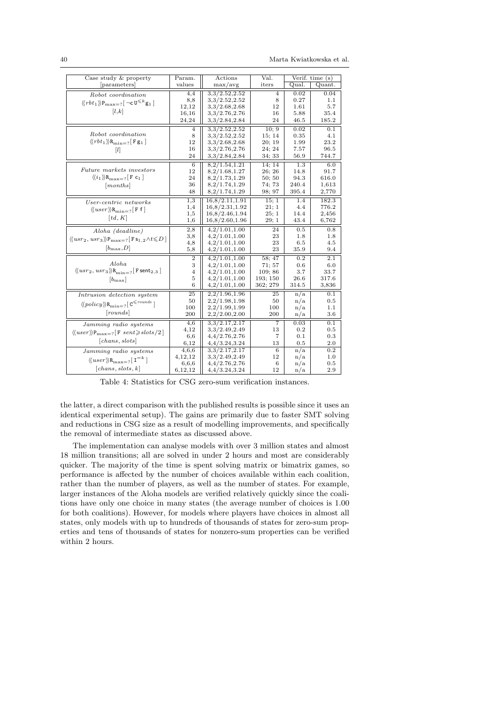40 Marta Kwiatkowska et al.

<span id="page-39-0"></span>

| Case study & property                                                                                           | Param.         | Actions        | Val.            |       | $\overline{\text{Verify. time}}(s)$ |
|-----------------------------------------------------------------------------------------------------------------|----------------|----------------|-----------------|-------|-------------------------------------|
| [parameters]                                                                                                    | values         | max/avg        | iters           | Qual. | Quant.                              |
| Robot coordination                                                                                              | 4,4            | 3,3/2,52,2.52  | 4               | 0.02  | 0.04                                |
| $\langle \langle rbt_1 \rangle \rangle P_{\text{max}=?} \left[ \neg c \mathbf{U}^{\leq k} \mathbf{g}_1 \right]$ | 8,8            | 3,3/2.52,2.52  | 8               | 0.27  | 1.1                                 |
|                                                                                                                 | 12,12          | 3,3/2.68,2.68  | 12              | 1.61  | 5.7                                 |
| [l,k]                                                                                                           | 16,16          | 3,3/2.76,2.76  | 16              | 5.88  | 35.4                                |
|                                                                                                                 | 24,24          | 3,3/2.84,2.84  | 24              | 46.5  | 185.2                               |
|                                                                                                                 | $\overline{4}$ | 3,3/2,52,2.52  | 10:9            | 0.02  | 0.1                                 |
| Robot coordination                                                                                              | 8              | 3,3/2.52,2.52  | 15:14           | 0.35  | 4.1                                 |
| $\langle \langle rbt_1 \rangle \rangle R_{\text{min}=?}$ [F g <sub>1</sub> ]                                    | 12             | 3,3/2.68,2.68  | 20:19           | 1.99  | 23.2                                |
| $[l]$                                                                                                           | 16             | 3,3/2.76,2.76  | 24: 24          | 7.57  | 96.5                                |
|                                                                                                                 | 24             | 3,3/2.84,2.84  | 34; 33          | 56.9  | 744.7                               |
|                                                                                                                 | 6              | 8,2/1.54,1.21  | 14:14           | 1.3   | 6.0                                 |
| <i>Future markets investors</i>                                                                                 | 12             | 8,2/1.68,1.27  | 26; 26          | 14.8  | 91.7                                |
| $\langle\langle i_1 \rangle\rangle R_{\text{max}=2}$ [F c <sub>1</sub> ]                                        | 24             | 8,2/1.73,1.29  | 50; 50          | 94.3  | 616.0                               |
| [months]                                                                                                        | 36             | 8,2/1.74,1.29  | 74; 73          | 240.4 | 1,613                               |
|                                                                                                                 | 48             | 8,2/1.74,1.29  | 98; 97          | 395.4 | 2,770                               |
| User-centric networks                                                                                           | 1,3            | 16,8/2.11,1.91 | 15; 1           | 1.4   | 182.3                               |
| $\langle \langle user \rangle \rangle R_{\text{min}=2}$ [F f]                                                   | 1,4            | 16,8/2.31,1.92 | 21; 1           | 4.4   | 776.2                               |
|                                                                                                                 | 1,5            | 16,8/2.46,1.94 | 25; 1           | 14.4  | 2,456                               |
| $\lceil td, K\rceil$                                                                                            | 1,6            | 16,8/2.60,1.96 | 29;1            | 43.4  | 6,762                               |
| Aloha (deadline)                                                                                                | 2,8            | 4,2/1.01,1.00  | 24              | 0.5   | 0.8                                 |
| $\langle \langle u s r_2, u s r_3 \rangle \rangle P_{\text{max}=?}$ [F s <sub>1,2</sub> $\land t \le D$ ]       | 3,8            | 4,2/1.01,1.00  | 23              | 1.8   | 1.8                                 |
|                                                                                                                 | 4,8            | 4,2/1.01,1.00  | 23              | 6.5   | 4.5                                 |
| $[b_{\max}, D]$                                                                                                 | 5,8            | 4,2/1.01,1.00  | 23              | 35.9  | 9.4                                 |
|                                                                                                                 | $\overline{2}$ | 4,2/1.01,1.00  | 58; 47          | 0.2   | 2.1                                 |
| Aloha                                                                                                           | 3              | 4,2/1.01,1.00  | 71: 57          | 0.6   | 6.0                                 |
| $\langle \langle usr_2,usr_3 \rangle \rangle R_{\text{min}=?}$ [F sent <sub>2,3</sub> ]                         | 4              | 4,2/1.01,1.00  | 109:86          | 3.7   | 33.7                                |
| $[b_{\max}]$                                                                                                    | 5              | 4,2/1.01,1.00  | 193; 150        | 26.6  | 317.6                               |
|                                                                                                                 | 6              | 4,2/1.01,1.00  | 362; 279        | 314.5 | 3,836                               |
| Intrusion detection system                                                                                      | 25             | 2,2/1.96,1.96  | 25              | n/a   | 0.1                                 |
| $\langle\!\langle policy \rangle\!\rangle {\bf R}_{\rm min=?}$ [ ${\tt C}^{\leqslant \:rounds}$ ]               | 50             | 2,2/1.98,1.98  | 50              | n/a   | 0.5                                 |
|                                                                                                                 | 100            | 2,2/1.99,1.99  | 100             | n/a   | 1.1                                 |
| [rounds]                                                                                                        | 200            | 2,2/2.00,2.00  | 200             | n/a   | $_{\rm 3.6}$                        |
| Jamming radio systems                                                                                           | 4,6            | 3,3/2,17,2.17  | 7               | 0.03  | 0.1                                 |
| $\langle \langle user \rangle \rangle P_{\text{max}=?}$ [F sent > slots / 2]                                    | 4,12           | 3,3/2.49,2.49  | 13              | 0.2   | 0.5                                 |
|                                                                                                                 | 6,6            | 4,4/2.76,2.76  | 7               | 0.1   | 0.3                                 |
| [chans, slots]                                                                                                  | 6,12           | 4,4/3.24,3.24  | 13              | 0.5   | 2.0                                 |
| Jamming radio systems                                                                                           | 4,6,6          | 3,3/2.17,2.17  | $6\overline{6}$ | n/a   | 0.2                                 |
| $\langle \langle user \rangle \rangle R_{\text{max}-2}$ [I <sup>=k</sup> ]                                      | 4, 12, 12      | 3,3/2.49,2.49  | 12              | n/a   | 1.0                                 |
|                                                                                                                 | 6,6,6          | 4,4/2.76,2.76  | 6               | n/a   | 0.5                                 |
| [chans, slots, k]                                                                                               | 6,12,12        | 4,4/3.24,3.24  | 12              | n/a   | 2.9                                 |

Table 4: Statistics for CSG zero-sum verification instances.

the latter, a direct comparison with the published results is possible since it uses an identical experimental setup). The gains are primarily due to faster SMT solving and reductions in CSG size as a result of modelling improvements, and specifically the removal of intermediate states as discussed above.

The implementation can analyse models with over 3 million states and almost 18 million transitions; all are solved in under 2 hours and most are considerably quicker. The majority of the time is spent solving matrix or bimatrix games, so performance is affected by the number of choices available within each coalition, rather than the number of players, as well as the number of states. For example, larger instances of the Aloha models are verified relatively quickly since the coalitions have only one choice in many states (the average number of choices is 1.00 for both coalitions). However, for models where players have choices in almost all states, only models with up to hundreds of thousands of states for zero-sum properties and tens of thousands of states for nonzero-sum properties can be verified within 2 hours.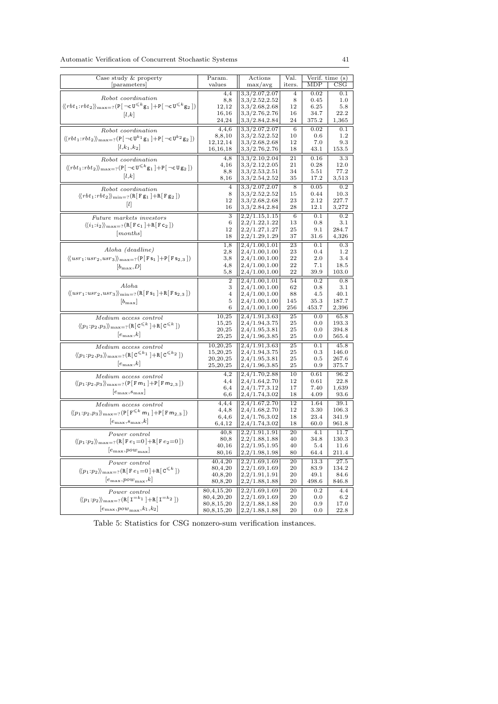<span id="page-40-0"></span>

| Case study & property<br>Param.<br>Verif. time (s)<br>Actions<br>values<br>iters.<br>MDP<br>$_{\rm CSG}$<br>parameters<br>$\max/\text{avg}$<br>3,3/2.07,2.07<br>0.02<br>0.1<br>4,4<br>$\overline{4}$<br>Robot coordination<br>3.3/2.52,2.52<br>8,8<br>8<br>0.45<br>1.0<br>$\langle\!\langle rbt_1\!:\!rbt_2\rangle\!\rangle_{\max=?}( {\tt P}[\,\neg {\tt c}\,{\tt U}^{\leqslant k}{\tt g}_1 \,]\!+\!{\tt P}[\,\neg {\tt c}\,{\tt U}^{\leqslant k}{\tt g}_2 \,])$<br>3,3/2.68,2.68<br>5.8<br>12,12<br>12<br>6.25<br>16,16<br>3,3/2.76,2.76<br>34.7<br>22.2<br>16<br>[l,k]<br>24,24<br>3,3/2.84,2.84<br>24<br>375.2<br>1,365<br>3,3/2.07,2.07<br>4,4,6<br>0.02<br>0.1<br>6<br>Robot coordination<br>3,3/2.52,2.52<br>1.2<br>8,8,10<br>10<br>0.6<br>$\langle\!\langle rbt_1\!:\!rbt_2\rangle\!\rangle_{\max=?}(\mathtt{P}[\,\neg\mathtt{c}\,\mathtt{U}^{k_1}\mathtt{g}_1\,]+ \mathtt{P}[\,\neg\mathtt{c}\,\mathtt{U}^{k_2}\mathtt{g}_2\,])$<br>12, 12, 14<br>3,3/2.68,2.68<br>12<br>7.0<br>9.3<br>$[l,k_1,k_2]$<br>16,16,18<br>3,3/2.76,2.76<br>18<br>43.1<br>153.5<br>3,3/2.10,2.04<br>21<br>0.16<br>3.3<br>4.8<br>Robot coordination<br>4,16<br>3,3/2.12,2.05<br>0.28<br>12.0<br>21<br>$\langle \langle rbt_1:rbt_2 \rangle \rangle_{\max=?} (P[\neg c \mathbf{U}^{\leq k} \mathbf{g}_1] + P[\neg c \mathbf{U} \mathbf{g}_2])$<br>3,3/2.53,2.51<br>34<br>5.51<br>77.2<br>8,8<br>$\lfloor l,k \rfloor$<br>3,3/2.54,2.52<br>8,16<br>35<br>17.2<br>3,513<br>3,3/2.07,2.07<br>0.05<br>0.2<br>$\overline{4}$<br>8<br>Robot coordination<br>3,3/2.52,2.52<br>8<br>15<br>0.44<br>10.3<br>$\langle \langle rbt_1:rbt_2 \rangle \rangle_{\text{min}=?} (\texttt{R}[\texttt{F} \texttt{g}_1] + \texttt{R}[\texttt{F} \texttt{g}_2])$<br>12<br>3,3/2.68,2.68<br>23<br>2.12<br>227.7<br>16<br>3,3/2.84,2.84<br>28<br>3,272<br>12.1<br>3<br>2,2/1.15,1.15<br>0.2<br>0.1<br>6<br>Future markets investors<br>2,2/1.22,1.22<br>13<br>3.1<br>6<br>$_{0.8}$<br>$\langle\langle i_1:i_2\rangle\rangle_{\max=?}$ (R[F c <sub>1</sub> ]+R[F c <sub>2</sub> ])<br>12<br>2,2/1.27,1.27<br>25<br>9.1<br>284.7<br>[months]<br>18<br>2,2/1.29,1.29<br>37<br>4,326<br>31.6<br>$\overline{23}$<br>1,8<br>2,4/1.00,1.01<br>0.3<br>0.1 |
|-----------------------------------------------------------------------------------------------------------------------------------------------------------------------------------------------------------------------------------------------------------------------------------------------------------------------------------------------------------------------------------------------------------------------------------------------------------------------------------------------------------------------------------------------------------------------------------------------------------------------------------------------------------------------------------------------------------------------------------------------------------------------------------------------------------------------------------------------------------------------------------------------------------------------------------------------------------------------------------------------------------------------------------------------------------------------------------------------------------------------------------------------------------------------------------------------------------------------------------------------------------------------------------------------------------------------------------------------------------------------------------------------------------------------------------------------------------------------------------------------------------------------------------------------------------------------------------------------------------------------------------------------------------------------------------------------------------------------------------------------------------------------------------------------------------------------------------------------------------------------------------------------------------------------------------------------------------------------------------------------------------------------------------------------------------------------------------------------------------------------------------------------------------------------------------------------------------|
|                                                                                                                                                                                                                                                                                                                                                                                                                                                                                                                                                                                                                                                                                                                                                                                                                                                                                                                                                                                                                                                                                                                                                                                                                                                                                                                                                                                                                                                                                                                                                                                                                                                                                                                                                                                                                                                                                                                                                                                                                                                                                                                                                                                                           |
|                                                                                                                                                                                                                                                                                                                                                                                                                                                                                                                                                                                                                                                                                                                                                                                                                                                                                                                                                                                                                                                                                                                                                                                                                                                                                                                                                                                                                                                                                                                                                                                                                                                                                                                                                                                                                                                                                                                                                                                                                                                                                                                                                                                                           |
|                                                                                                                                                                                                                                                                                                                                                                                                                                                                                                                                                                                                                                                                                                                                                                                                                                                                                                                                                                                                                                                                                                                                                                                                                                                                                                                                                                                                                                                                                                                                                                                                                                                                                                                                                                                                                                                                                                                                                                                                                                                                                                                                                                                                           |
|                                                                                                                                                                                                                                                                                                                                                                                                                                                                                                                                                                                                                                                                                                                                                                                                                                                                                                                                                                                                                                                                                                                                                                                                                                                                                                                                                                                                                                                                                                                                                                                                                                                                                                                                                                                                                                                                                                                                                                                                                                                                                                                                                                                                           |
|                                                                                                                                                                                                                                                                                                                                                                                                                                                                                                                                                                                                                                                                                                                                                                                                                                                                                                                                                                                                                                                                                                                                                                                                                                                                                                                                                                                                                                                                                                                                                                                                                                                                                                                                                                                                                                                                                                                                                                                                                                                                                                                                                                                                           |
|                                                                                                                                                                                                                                                                                                                                                                                                                                                                                                                                                                                                                                                                                                                                                                                                                                                                                                                                                                                                                                                                                                                                                                                                                                                                                                                                                                                                                                                                                                                                                                                                                                                                                                                                                                                                                                                                                                                                                                                                                                                                                                                                                                                                           |
|                                                                                                                                                                                                                                                                                                                                                                                                                                                                                                                                                                                                                                                                                                                                                                                                                                                                                                                                                                                                                                                                                                                                                                                                                                                                                                                                                                                                                                                                                                                                                                                                                                                                                                                                                                                                                                                                                                                                                                                                                                                                                                                                                                                                           |
|                                                                                                                                                                                                                                                                                                                                                                                                                                                                                                                                                                                                                                                                                                                                                                                                                                                                                                                                                                                                                                                                                                                                                                                                                                                                                                                                                                                                                                                                                                                                                                                                                                                                                                                                                                                                                                                                                                                                                                                                                                                                                                                                                                                                           |
|                                                                                                                                                                                                                                                                                                                                                                                                                                                                                                                                                                                                                                                                                                                                                                                                                                                                                                                                                                                                                                                                                                                                                                                                                                                                                                                                                                                                                                                                                                                                                                                                                                                                                                                                                                                                                                                                                                                                                                                                                                                                                                                                                                                                           |
|                                                                                                                                                                                                                                                                                                                                                                                                                                                                                                                                                                                                                                                                                                                                                                                                                                                                                                                                                                                                                                                                                                                                                                                                                                                                                                                                                                                                                                                                                                                                                                                                                                                                                                                                                                                                                                                                                                                                                                                                                                                                                                                                                                                                           |
|                                                                                                                                                                                                                                                                                                                                                                                                                                                                                                                                                                                                                                                                                                                                                                                                                                                                                                                                                                                                                                                                                                                                                                                                                                                                                                                                                                                                                                                                                                                                                                                                                                                                                                                                                                                                                                                                                                                                                                                                                                                                                                                                                                                                           |
|                                                                                                                                                                                                                                                                                                                                                                                                                                                                                                                                                                                                                                                                                                                                                                                                                                                                                                                                                                                                                                                                                                                                                                                                                                                                                                                                                                                                                                                                                                                                                                                                                                                                                                                                                                                                                                                                                                                                                                                                                                                                                                                                                                                                           |
|                                                                                                                                                                                                                                                                                                                                                                                                                                                                                                                                                                                                                                                                                                                                                                                                                                                                                                                                                                                                                                                                                                                                                                                                                                                                                                                                                                                                                                                                                                                                                                                                                                                                                                                                                                                                                                                                                                                                                                                                                                                                                                                                                                                                           |
|                                                                                                                                                                                                                                                                                                                                                                                                                                                                                                                                                                                                                                                                                                                                                                                                                                                                                                                                                                                                                                                                                                                                                                                                                                                                                                                                                                                                                                                                                                                                                                                                                                                                                                                                                                                                                                                                                                                                                                                                                                                                                                                                                                                                           |
|                                                                                                                                                                                                                                                                                                                                                                                                                                                                                                                                                                                                                                                                                                                                                                                                                                                                                                                                                                                                                                                                                                                                                                                                                                                                                                                                                                                                                                                                                                                                                                                                                                                                                                                                                                                                                                                                                                                                                                                                                                                                                                                                                                                                           |
|                                                                                                                                                                                                                                                                                                                                                                                                                                                                                                                                                                                                                                                                                                                                                                                                                                                                                                                                                                                                                                                                                                                                                                                                                                                                                                                                                                                                                                                                                                                                                                                                                                                                                                                                                                                                                                                                                                                                                                                                                                                                                                                                                                                                           |
|                                                                                                                                                                                                                                                                                                                                                                                                                                                                                                                                                                                                                                                                                                                                                                                                                                                                                                                                                                                                                                                                                                                                                                                                                                                                                                                                                                                                                                                                                                                                                                                                                                                                                                                                                                                                                                                                                                                                                                                                                                                                                                                                                                                                           |
|                                                                                                                                                                                                                                                                                                                                                                                                                                                                                                                                                                                                                                                                                                                                                                                                                                                                                                                                                                                                                                                                                                                                                                                                                                                                                                                                                                                                                                                                                                                                                                                                                                                                                                                                                                                                                                                                                                                                                                                                                                                                                                                                                                                                           |
|                                                                                                                                                                                                                                                                                                                                                                                                                                                                                                                                                                                                                                                                                                                                                                                                                                                                                                                                                                                                                                                                                                                                                                                                                                                                                                                                                                                                                                                                                                                                                                                                                                                                                                                                                                                                                                                                                                                                                                                                                                                                                                                                                                                                           |
|                                                                                                                                                                                                                                                                                                                                                                                                                                                                                                                                                                                                                                                                                                                                                                                                                                                                                                                                                                                                                                                                                                                                                                                                                                                                                                                                                                                                                                                                                                                                                                                                                                                                                                                                                                                                                                                                                                                                                                                                                                                                                                                                                                                                           |
| Aloha (deadline)                                                                                                                                                                                                                                                                                                                                                                                                                                                                                                                                                                                                                                                                                                                                                                                                                                                                                                                                                                                                                                                                                                                                                                                                                                                                                                                                                                                                                                                                                                                                                                                                                                                                                                                                                                                                                                                                                                                                                                                                                                                                                                                                                                                          |
| 2,4/1.00,1.00<br>23<br>2,8<br>0.4<br>1.2                                                                                                                                                                                                                                                                                                                                                                                                                                                                                                                                                                                                                                                                                                                                                                                                                                                                                                                                                                                                                                                                                                                                                                                                                                                                                                                                                                                                                                                                                                                                                                                                                                                                                                                                                                                                                                                                                                                                                                                                                                                                                                                                                                  |
| $\langle\!\langle usr_1:usr_2,usr_3\rangle\!\rangle_{\max=?}(\mathsf{P}[\,\mathsf{F}\,\mathsf{s}_1\,]\!+\!\mathsf{P}[\,\mathsf{F}\,\mathsf{s}_{2,3}\,])$<br>2,4/1.00,1.00<br>22<br>2.0<br>3,8<br>3.4<br>4,8<br>2,4/1.00,1.00<br>22<br>7.1<br>18.5                                                                                                                                                                                                                                                                                                                                                                                                                                                                                                                                                                                                                                                                                                                                                                                                                                                                                                                                                                                                                                                                                                                                                                                                                                                                                                                                                                                                                                                                                                                                                                                                                                                                                                                                                                                                                                                                                                                                                         |
| $[b_{\max}, D]$<br>5,8<br>2,4/1.00,1.00<br>22<br>39.9<br>103.0                                                                                                                                                                                                                                                                                                                                                                                                                                                                                                                                                                                                                                                                                                                                                                                                                                                                                                                                                                                                                                                                                                                                                                                                                                                                                                                                                                                                                                                                                                                                                                                                                                                                                                                                                                                                                                                                                                                                                                                                                                                                                                                                            |
| 2,4/1.00,1.01<br>0.2<br>0.8<br>$\boldsymbol{2}$<br>54                                                                                                                                                                                                                                                                                                                                                                                                                                                                                                                                                                                                                                                                                                                                                                                                                                                                                                                                                                                                                                                                                                                                                                                                                                                                                                                                                                                                                                                                                                                                                                                                                                                                                                                                                                                                                                                                                                                                                                                                                                                                                                                                                     |
| Aloha<br>3<br>2,4/1.00,1.00<br>62<br>3.1<br>0.8                                                                                                                                                                                                                                                                                                                                                                                                                                                                                                                                                                                                                                                                                                                                                                                                                                                                                                                                                                                                                                                                                                                                                                                                                                                                                                                                                                                                                                                                                                                                                                                                                                                                                                                                                                                                                                                                                                                                                                                                                                                                                                                                                           |
| $\langle \langle usr_1:usr_2,usr_3 \rangle \rangle_{\text{min} = ?} (\texttt{R}[\texttt{Fs}_1] + \texttt{R}[\texttt{Fs}_{2,3}])$<br>2,4/1.00,1.00<br>$\overline{4}$<br>88<br>4.5<br>40.1                                                                                                                                                                                                                                                                                                                                                                                                                                                                                                                                                                                                                                                                                                                                                                                                                                                                                                                                                                                                                                                                                                                                                                                                                                                                                                                                                                                                                                                                                                                                                                                                                                                                                                                                                                                                                                                                                                                                                                                                                  |
| 5<br>2,4/1.00,1.00<br>145<br>35.3<br>187.7<br>$[b_{\max}]$                                                                                                                                                                                                                                                                                                                                                                                                                                                                                                                                                                                                                                                                                                                                                                                                                                                                                                                                                                                                                                                                                                                                                                                                                                                                                                                                                                                                                                                                                                                                                                                                                                                                                                                                                                                                                                                                                                                                                                                                                                                                                                                                                |
| 2,4/1.00,1.00<br>256<br>453.7<br>2,396<br>6                                                                                                                                                                                                                                                                                                                                                                                                                                                                                                                                                                                                                                                                                                                                                                                                                                                                                                                                                                                                                                                                                                                                                                                                                                                                                                                                                                                                                                                                                                                                                                                                                                                                                                                                                                                                                                                                                                                                                                                                                                                                                                                                                               |
| 2,4/1.91,3.63<br>25<br>10,25<br>0.0<br>65.8<br>Medium access control                                                                                                                                                                                                                                                                                                                                                                                                                                                                                                                                                                                                                                                                                                                                                                                                                                                                                                                                                                                                                                                                                                                                                                                                                                                                                                                                                                                                                                                                                                                                                                                                                                                                                                                                                                                                                                                                                                                                                                                                                                                                                                                                      |
| 15,25<br>2,4/1.94,3.75<br>25<br>193.3<br>$_{0.0}$<br>$\langle\!\langle p_1\!:\!p_2\!:\!p_3\rangle\!\rangle_{\max=?} ({\tt R} \lbrack\!\lbrack\mathbf{C}^{\leqslant k}\rbrack\!\rbrack\!+\!{\tt R} \lbrack\!\lbrack\mathbf{C}^{\leqslant k}\rbrack\!\rbrack)$<br>20,25<br>2,4/1.95,3.81<br>25<br>0.0<br>394.8                                                                                                                                                                                                                                                                                                                                                                                                                                                                                                                                                                                                                                                                                                                                                                                                                                                                                                                                                                                                                                                                                                                                                                                                                                                                                                                                                                                                                                                                                                                                                                                                                                                                                                                                                                                                                                                                                              |
| $ e_{\max},k $<br>25<br>25,25<br>2,4/1.96,3.85<br>0.0<br>565.4                                                                                                                                                                                                                                                                                                                                                                                                                                                                                                                                                                                                                                                                                                                                                                                                                                                                                                                                                                                                                                                                                                                                                                                                                                                                                                                                                                                                                                                                                                                                                                                                                                                                                                                                                                                                                                                                                                                                                                                                                                                                                                                                            |
| $\overline{25}$<br>10,20,25<br>2,4/1.91,3.63<br>0.1<br>45.8<br>$\small \underline{Medium}\; access\; control$                                                                                                                                                                                                                                                                                                                                                                                                                                                                                                                                                                                                                                                                                                                                                                                                                                                                                                                                                                                                                                                                                                                                                                                                                                                                                                                                                                                                                                                                                                                                                                                                                                                                                                                                                                                                                                                                                                                                                                                                                                                                                             |
| 15,20,25<br>2,4/1.94,3.75<br>25<br>0.3<br>146.0<br>$\langle\!\langle p_1\!:\!p_2\!:\!p_3\rangle\!\rangle_{\max=?} ({\mathtt R}[\,\mathtt C^{\leqslant k_1}\,]\!+\!{\mathtt R}[\,\mathtt C^{\leqslant k_2}\,])$                                                                                                                                                                                                                                                                                                                                                                                                                                                                                                                                                                                                                                                                                                                                                                                                                                                                                                                                                                                                                                                                                                                                                                                                                                                                                                                                                                                                                                                                                                                                                                                                                                                                                                                                                                                                                                                                                                                                                                                            |
| 25<br>20,20,25<br>2,4/1.95,3.81<br>267.6<br>$_{0.5}$                                                                                                                                                                                                                                                                                                                                                                                                                                                                                                                                                                                                                                                                                                                                                                                                                                                                                                                                                                                                                                                                                                                                                                                                                                                                                                                                                                                                                                                                                                                                                                                                                                                                                                                                                                                                                                                                                                                                                                                                                                                                                                                                                      |
| $[e_{\max},k]$<br>25,20,25<br>25<br>$_{0.9}$<br>375.7<br>2,4/1.96,3.85                                                                                                                                                                                                                                                                                                                                                                                                                                                                                                                                                                                                                                                                                                                                                                                                                                                                                                                                                                                                                                                                                                                                                                                                                                                                                                                                                                                                                                                                                                                                                                                                                                                                                                                                                                                                                                                                                                                                                                                                                                                                                                                                    |
| 4,2<br>2,4/1.70,2.88<br>10<br>96.2<br>0.61<br>Medium access control                                                                                                                                                                                                                                                                                                                                                                                                                                                                                                                                                                                                                                                                                                                                                                                                                                                                                                                                                                                                                                                                                                                                                                                                                                                                                                                                                                                                                                                                                                                                                                                                                                                                                                                                                                                                                                                                                                                                                                                                                                                                                                                                       |
| 4,4<br>2,4/1.64,2.70<br>12<br>0.61<br>22.8<br>$\langle p_1: p_2, p_3 \rangle_{\max=?} (P[ F m_1 ] + P[ F m_{2,3} ] )$                                                                                                                                                                                                                                                                                                                                                                                                                                                                                                                                                                                                                                                                                                                                                                                                                                                                                                                                                                                                                                                                                                                                                                                                                                                                                                                                                                                                                                                                                                                                                                                                                                                                                                                                                                                                                                                                                                                                                                                                                                                                                     |
| 2,4/1.77,3.12<br>17<br>1,639<br>6,4<br>7.40<br>$\left e_{\rm max},\!_{\rm max}\right $<br>4.09<br>6,6<br>2,4/1.74,3.02<br>18<br>93.6                                                                                                                                                                                                                                                                                                                                                                                                                                                                                                                                                                                                                                                                                                                                                                                                                                                                                                                                                                                                                                                                                                                                                                                                                                                                                                                                                                                                                                                                                                                                                                                                                                                                                                                                                                                                                                                                                                                                                                                                                                                                      |
| 2,4/1.67,2.70<br>12<br>39.1<br>1.64                                                                                                                                                                                                                                                                                                                                                                                                                                                                                                                                                                                                                                                                                                                                                                                                                                                                                                                                                                                                                                                                                                                                                                                                                                                                                                                                                                                                                                                                                                                                                                                                                                                                                                                                                                                                                                                                                                                                                                                                                                                                                                                                                                       |
| 4,4,4<br>Medium access control<br>4,4,8<br>2,4/1.68,2.70<br>12<br>3.30<br>106.3                                                                                                                                                                                                                                                                                                                                                                                                                                                                                                                                                                                                                                                                                                                                                                                                                                                                                                                                                                                                                                                                                                                                                                                                                                                                                                                                                                                                                                                                                                                                                                                                                                                                                                                                                                                                                                                                                                                                                                                                                                                                                                                           |
| $\langle p_1 : p_2, p_3 \rangle_{\max=?} (P[F^{\leq k} m_1] + P[F m_{2,3}])$<br>6,4,6<br>2,4/1.76,3.02<br>18<br>23.4<br>341.9                                                                                                                                                                                                                                                                                                                                                                                                                                                                                                                                                                                                                                                                                                                                                                                                                                                                                                                                                                                                                                                                                                                                                                                                                                                                                                                                                                                                                                                                                                                                                                                                                                                                                                                                                                                                                                                                                                                                                                                                                                                                             |
| $[e_{\max}, s_{\max}, k]$<br>6,4,12<br>2,4/1.74,3.02<br>18<br>60.0<br>961.8                                                                                                                                                                                                                                                                                                                                                                                                                                                                                                                                                                                                                                                                                                                                                                                                                                                                                                                                                                                                                                                                                                                                                                                                                                                                                                                                                                                                                                                                                                                                                                                                                                                                                                                                                                                                                                                                                                                                                                                                                                                                                                                               |
| 2,2/1.91,1.91<br>20<br>4.1<br>40,8<br>11.7<br>Power control                                                                                                                                                                                                                                                                                                                                                                                                                                                                                                                                                                                                                                                                                                                                                                                                                                                                                                                                                                                                                                                                                                                                                                                                                                                                                                                                                                                                                                                                                                                                                                                                                                                                                                                                                                                                                                                                                                                                                                                                                                                                                                                                               |
| 2,2/1.88,1.88<br>40<br>34.8<br>130.3<br>80,8<br>$\langle\!\langle p_1\!:\!p_2\rangle\!\rangle_{\rm max=?}(\mathsf{R} \mathsf{[F} \,e_1\!=\!0\mathinner{]}+\mathsf{R} \mathsf{[F} \,e_2\!=\!0\mathinner{]})$                                                                                                                                                                                                                                                                                                                                                                                                                                                                                                                                                                                                                                                                                                                                                                                                                                                                                                                                                                                                                                                                                                                                                                                                                                                                                                                                                                                                                                                                                                                                                                                                                                                                                                                                                                                                                                                                                                                                                                                               |
| 2,2/1.95,1.95<br>40<br>$^{40,16}$<br>5.4<br>11.6<br>$\left[e_{\max}, pow_{\max}\right]$                                                                                                                                                                                                                                                                                                                                                                                                                                                                                                                                                                                                                                                                                                                                                                                                                                                                                                                                                                                                                                                                                                                                                                                                                                                                                                                                                                                                                                                                                                                                                                                                                                                                                                                                                                                                                                                                                                                                                                                                                                                                                                                   |
| 2,2/1.98,1.98<br>80,16<br>80<br>64.4<br>211.4                                                                                                                                                                                                                                                                                                                                                                                                                                                                                                                                                                                                                                                                                                                                                                                                                                                                                                                                                                                                                                                                                                                                                                                                                                                                                                                                                                                                                                                                                                                                                                                                                                                                                                                                                                                                                                                                                                                                                                                                                                                                                                                                                             |
| 2,2/1.69,1.69<br>40,4,20<br>13.3<br>27.5<br>20<br>Power control<br>2,2/1.69,1.69<br>20<br>83.9<br>134.2                                                                                                                                                                                                                                                                                                                                                                                                                                                                                                                                                                                                                                                                                                                                                                                                                                                                                                                                                                                                                                                                                                                                                                                                                                                                                                                                                                                                                                                                                                                                                                                                                                                                                                                                                                                                                                                                                                                                                                                                                                                                                                   |
| 80,4,20<br>$\langle\!\langle p_1\!:\!p_2\rangle\!\rangle_{\max=?}\bigl(\mathtt{R}\lbrack\!\lbrack\mathtt{F}\,e_1\!=\!0\,\rbrack\!+\!\mathtt{R}\lbrack\!\lbrack\mathtt{C}^{\leqslant k}\,\rbrack\!\bigr)\bigr)$<br>40,8,20<br>2,2/1.91,1.91<br>20<br>49.1<br>84.6                                                                                                                                                                                                                                                                                                                                                                                                                                                                                                                                                                                                                                                                                                                                                                                                                                                                                                                                                                                                                                                                                                                                                                                                                                                                                                                                                                                                                                                                                                                                                                                                                                                                                                                                                                                                                                                                                                                                          |
| $[e_{\max}, pow_{\max}, k]$<br>498.6<br>80,8,20<br>2,2/1.88,1.88<br>20<br>846.8                                                                                                                                                                                                                                                                                                                                                                                                                                                                                                                                                                                                                                                                                                                                                                                                                                                                                                                                                                                                                                                                                                                                                                                                                                                                                                                                                                                                                                                                                                                                                                                                                                                                                                                                                                                                                                                                                                                                                                                                                                                                                                                           |
| 80,4,15,20<br>2,2/1.69,1.69<br>20<br>0.2<br>4.4<br>Power control                                                                                                                                                                                                                                                                                                                                                                                                                                                                                                                                                                                                                                                                                                                                                                                                                                                                                                                                                                                                                                                                                                                                                                                                                                                                                                                                                                                                                                                                                                                                                                                                                                                                                                                                                                                                                                                                                                                                                                                                                                                                                                                                          |
| 80,4,20,20<br>2,2/1.69,1.69<br>6.2<br>20<br>0.0<br>$\langle\!\langle p_1\!:\!p_2\rangle\!\rangle_{\max=?} ({\tt R} [\ {\tt I}^{=k_1}\ ] \!+\! {\tt R} [\ {\tt I}^{=k_2}\ ] )$                                                                                                                                                                                                                                                                                                                                                                                                                                                                                                                                                                                                                                                                                                                                                                                                                                                                                                                                                                                                                                                                                                                                                                                                                                                                                                                                                                                                                                                                                                                                                                                                                                                                                                                                                                                                                                                                                                                                                                                                                             |
| 80,8,15,20<br>2,2/1.88,1.88<br>20<br>17.0<br>$_{0.9}$                                                                                                                                                                                                                                                                                                                                                                                                                                                                                                                                                                                                                                                                                                                                                                                                                                                                                                                                                                                                                                                                                                                                                                                                                                                                                                                                                                                                                                                                                                                                                                                                                                                                                                                                                                                                                                                                                                                                                                                                                                                                                                                                                     |
| $[e_{\max}, pow_{\max}, k_1, k_2]$<br>80,8,15,20<br>2,2/1.88,1.88<br>22.8<br>20<br>0.0                                                                                                                                                                                                                                                                                                                                                                                                                                                                                                                                                                                                                                                                                                                                                                                                                                                                                                                                                                                                                                                                                                                                                                                                                                                                                                                                                                                                                                                                                                                                                                                                                                                                                                                                                                                                                                                                                                                                                                                                                                                                                                                    |

| Table 5: Statistics for CSG nonzero-sum verification instances. |  |  |  |
|-----------------------------------------------------------------|--|--|--|
|-----------------------------------------------------------------|--|--|--|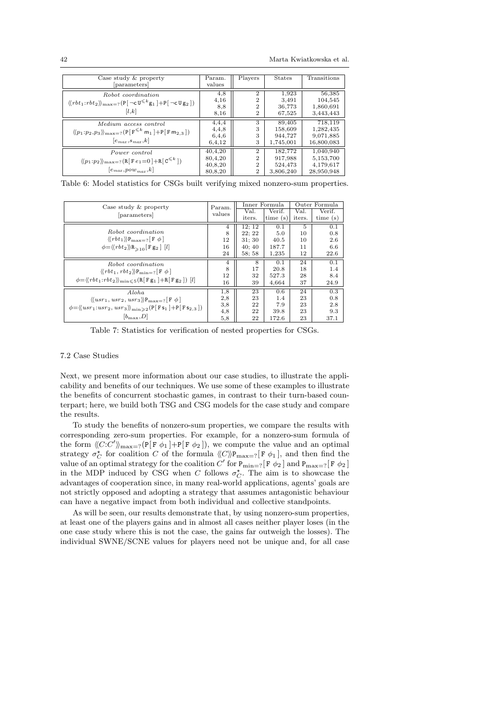<span id="page-41-1"></span>

| Case study & property<br>[parameters]                                                                                                          | Param.<br>values                         | Players                                                              | <b>States</b>                              | Transitions                                       |
|------------------------------------------------------------------------------------------------------------------------------------------------|------------------------------------------|----------------------------------------------------------------------|--------------------------------------------|---------------------------------------------------|
| Robot coordination<br>$\langle \langle rbt_1:rbt_2 \rangle \rangle_{\max=?} (P[\neg c \, U^{\leq k} g_1] + P[\neg c \, \text{U} g_2])$<br> l,k | 4,8<br>4,16<br>8,8<br>8,16               | $\overline{2}$<br>$\overline{2}$<br>$\overline{2}$<br>$\overline{2}$ | 1,923<br>3,491<br>36,773<br>67,525         | 56,385<br>104,545<br>1,860,691<br>3,443,443       |
| Medium access control<br>$\langle p_1:p_2,p_3 \rangle_{\max=?} (P[F^{\leq k} m_1] + P[F m_{2,3}])$<br>$ e_{max}, s_{max}, k $                  | 4,4,4<br>4,4,8<br>6,4,6<br>6,4,12        | 3<br>3<br>3<br>3                                                     | 89,405<br>158,609<br>944.727<br>1,745,001  | 718,119<br>1,282,435<br>9,071,885<br>16,800,083   |
| Power control<br>$\langle p_1 : p_2 \rangle_{\max}$ ? (R[Fe <sub>1</sub> =0]+R[C <sup><math>\le k</math></sup> ])<br>$ e_{max},pow_{max},k $   | 40,4,20<br>80,4,20<br>40,8,20<br>80,8,20 | $\overline{2}$<br>$\overline{2}$<br>$\overline{2}$<br>$\overline{2}$ | 182.772<br>917,988<br>524,473<br>3,806,240 | 1,040,940<br>5,153,700<br>4,179,617<br>28,950,948 |

Table 6: Model statistics for CSGs built verifying mixed nonzero-sum properties.

<span id="page-41-2"></span>

| Case study & property                                                                                                                                                               | Param. |        | Inner Formula |        | Outer Formula |
|-------------------------------------------------------------------------------------------------------------------------------------------------------------------------------------|--------|--------|---------------|--------|---------------|
|                                                                                                                                                                                     | values | Val.   | Verif.        | Val.   | Verif.        |
| [parameters]                                                                                                                                                                        |        | iters. | time(s)       | iters. | time(s)       |
|                                                                                                                                                                                     | 4      | 12: 12 | 0.1           | 5      | 0.1           |
| Robot coordination                                                                                                                                                                  | 8      | 22:22  | 5.0           | 10     | 0.8           |
| $\langle \langle rbt_1 \rangle \rangle P_{\text{max}=?}$ $\lceil F \phi \rceil$                                                                                                     | 12     | 31: 30 | 40.5          | 10     | 2.6           |
| $\phi = \langle \langle rbt_2 \rangle \rangle R_{\geq 10}$ [F g <sub>2</sub> ] [ <i>l</i> ]                                                                                         | 16     | 40:40  | 187.7         | 11     | 6.6           |
|                                                                                                                                                                                     | 24     | 58:58  | 1,235         | 12     | 22.6          |
| Robot coordination                                                                                                                                                                  | 4      | 8      | 0.1           | 24     | 0.1           |
| $\langle \langle rbt_1, rbt_2 \rangle \rangle P_{\min=?}$ $\lceil F \phi \rceil$<br>$\phi = \langle \langle rbt_1:rbt_2 \rangle \rangle_{\min \leqslant 5} (R[Fg_1] + R[Fg_2]) [l]$ | 8      | 17     | 20.8          | 18     | 1.4           |
|                                                                                                                                                                                     | 12     | 32     | 527.3         | 28     | 8.4           |
|                                                                                                                                                                                     | 16     | 39     | 4,664         | 37     | 24.9          |
| Aloha                                                                                                                                                                               | 1.8    | 23     | 0.6           | 24     | 0.3           |
| $\langle \langle usr_1,usr_2,usr_3 \rangle \rangle P_{\text{max}=?}$ [F $\phi$ ]                                                                                                    | 2,8    | 23     | 1.4           | 23     | 0.8           |
| $\phi = \langle (usr_1:usr_2,usr_3 \rangle \rangle_{\min \geq 2} (P[Fs_1] + P[Fs_{2.3}])$                                                                                           | 3,8    | 22     | 7.9           | 23     | 2.8           |
|                                                                                                                                                                                     | 4,8    | 22     | 39.8          | 23     | 9.3           |
| $ b_{\text{max}}, D $                                                                                                                                                               | 5,8    | 22     | 172.6         | 23     | 37.1          |

Table 7: Statistics for verification of nested properties for CSGs.

## <span id="page-41-0"></span>7.2 Case Studies

Next, we present more information about our case studies, to illustrate the applicability and benefits of our techniques. We use some of these examples to illustrate the benefits of concurrent stochastic games, in contrast to their turn-based counterpart; here, we build both TSG and CSG models for the case study and compare the results.

To study the benefits of nonzero-sum properties, we compare the results with corresponding zero-sum properties. For example, for a nonzero-sum formula of the form  $\langle C:C'\rangle_{\text{max}=?}(P[F \phi_1]+P[F \phi_2])$ , we compute the value and an optimal strategy  $\sigma_C^{\star}$  for coalition C of the formula  $\langle C \rangle \mathbb{P}_{\max=?}[F \phi_1]$ , and then find the value of an optimal strategy for the coalition  $C'$  for  $P_{\text{min}=?}[F \phi_2]$  and  $P_{\text{max}=?}[F \phi_2]$ in the MDP induced by CSG when C follows  $\sigma_C^*$ . The aim is to showcase the advantages of cooperation since, in many real-world applications, agents' goals are not strictly opposed and adopting a strategy that assumes antagonistic behaviour can have a negative impact from both individual and collective standpoints.

As will be seen, our results demonstrate that, by using nonzero-sum properties, at least one of the players gains and in almost all cases neither player loses (in the one case study where this is not the case, the gains far outweigh the losses). The individual SWNE/SCNE values for players need not be unique and, for all case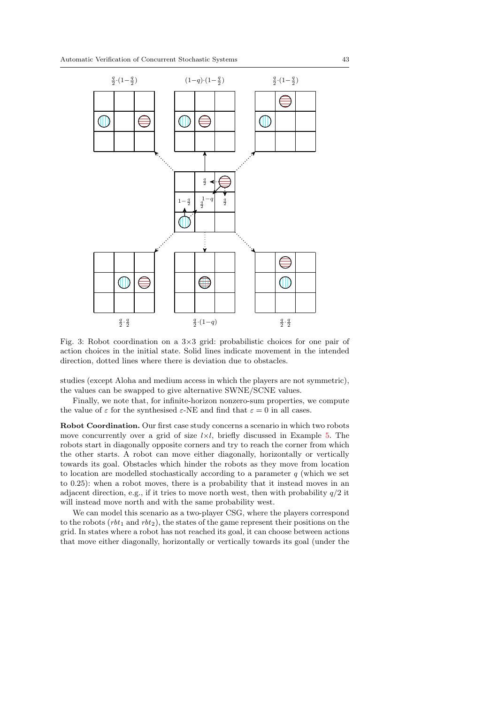<span id="page-42-0"></span>

Fig. 3: Robot coordination on a 3×3 grid: probabilistic choices for one pair of action choices in the initial state. Solid lines indicate movement in the intended direction, dotted lines where there is deviation due to obstacles.

studies (except Aloha and medium access in which the players are not symmetric), the values can be swapped to give alternative SWNE/SCNE values.

Finally, we note that, for infinite-horizon nonzero-sum properties, we compute the value of  $\varepsilon$  for the synthesised  $\varepsilon$ -NE and find that  $\varepsilon = 0$  in all cases.

Robot Coordination. Our first case study concerns a scenario in which two robots move concurrently over a grid of size  $l \times l$ , briefly discussed in Example [5.](#page-13-0) The robots start in diagonally opposite corners and try to reach the corner from which the other starts. A robot can move either diagonally, horizontally or vertically towards its goal. Obstacles which hinder the robots as they move from location to location are modelled stochastically according to a parameter  $q$  (which we set to 0.25): when a robot moves, there is a probability that it instead moves in an adjacent direction, e.g., if it tries to move north west, then with probability  $q/2$  it will instead move north and with the same probability west.

We can model this scenario as a two-player CSG, where the players correspond to the robots  $(rbt_1$  and  $rbt_2$ ), the states of the game represent their positions on the grid. In states where a robot has not reached its goal, it can choose between actions that move either diagonally, horizontally or vertically towards its goal (under the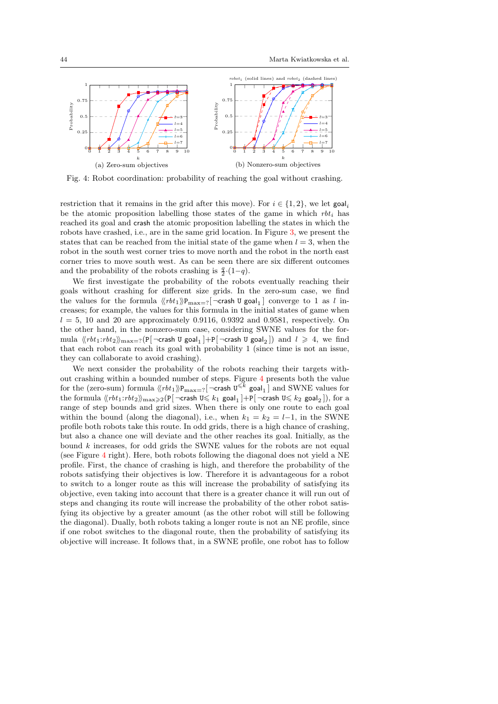<span id="page-43-0"></span>

Fig. 4: Robot coordination: probability of reaching the goal without crashing.

restriction that it remains in the grid after this move). For  $i \in \{1,2\}$ , we let goal, be the atomic proposition labelling those states of the game in which  $rbt_i$  has reached its goal and crash the atomic proposition labelling the states in which the robots have crashed, i.e., are in the same grid location. In Figure [3,](#page-42-0) we present the states that can be reached from the initial state of the game when  $l = 3$ , when the robot in the south west corner tries to move north and the robot in the north east corner tries to move south west. As can be seen there are six different outcomes and the probability of the robots crashing is  $\frac{q}{2} \cdot (1-q)$ .

We first investigate the probability of the robots eventually reaching their goals without crashing for different size grids. In the zero-sum case, we find the values for the formula  $\langle\langle rbt_1\rangle\rangle\mathbf{P}_{\max=?}[\neg \textsf{crash U goal}_1]$  converge to 1 as l increases; for example, the values for this formula in the initial states of game when  $l = 5$ , 10 and 20 are approximately 0.9116, 0.9392 and 0.9581, respectively. On the other hand, in the nonzero-sum case, considering SWNE values for the formula  $\langle \langle rbt_1:rbt_2 \rangle \rangle_{\text{max}=?}(\mathsf{P}[\neg \textsf{crash U goal}_1]+\mathsf{P}[\neg \textsf{crash U goal}_2])$  and  $l \geq 4$ , we find that each robot can reach its goal with probability 1 (since time is not an issue, they can collaborate to avoid crashing).

We next consider the probability of the robots reaching their targets without crashing within a bounded number of steps. Figure [4](#page-43-0) presents both the value for the (zero-sum) formula  $\langle\!\langle rbt_1\rangle\!\rangle P_{\text{max}=?}$   $\lceil \neg \text{crash U}^{\leq k} \text{ goal}_1 \rceil$  and SWNE values for the formula  $\langle\!\langle rbt_1:rbt_2\rangle\!\rangle_{\max\geqslant 2}$   $(\textsf{P}[\neg \textsf{crash U}\leqslant k_1 \textsf{ goal}_1\,]+\textsf{P}[\neg \textsf{crash U}\leqslant k_2 \textsf{ goal}_2\,]),$  for a range of step bounds and grid sizes. When there is only one route to each goal within the bound (along the diagonal), i.e., when  $k_1 = k_2 = l-1$ , in the SWNE profile both robots take this route. In odd grids, there is a high chance of crashing, but also a chance one will deviate and the other reaches its goal. Initially, as the bound k increases, for odd grids the SWNE values for the robots are not equal (see Figure [4](#page-43-0) right). Here, both robots following the diagonal does not yield a NE profile. First, the chance of crashing is high, and therefore the probability of the robots satisfying their objectives is low. Therefore it is advantageous for a robot to switch to a longer route as this will increase the probability of satisfying its objective, even taking into account that there is a greater chance it will run out of steps and changing its route will increase the probability of the other robot satisfying its objective by a greater amount (as the other robot will still be following the diagonal). Dually, both robots taking a longer route is not an NE profile, since if one robot switches to the diagonal route, then the probability of satisfying its objective will increase. It follows that, in a SWNE profile, one robot has to follow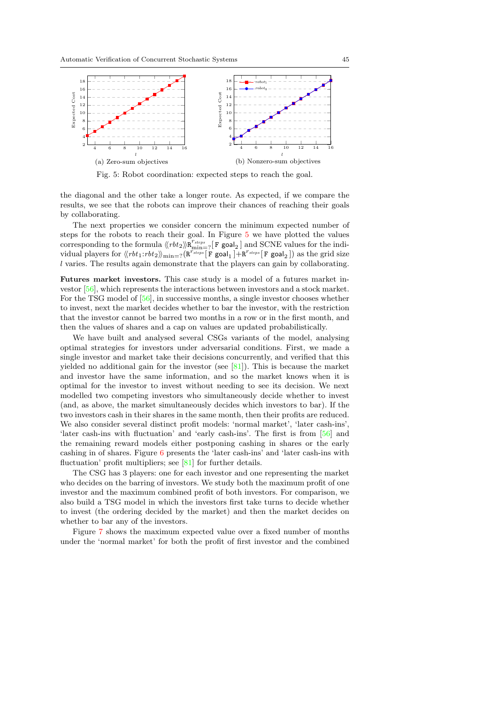<span id="page-44-0"></span>

Fig. 5: Robot coordination: expected steps to reach the goal.

the diagonal and the other take a longer route. As expected, if we compare the results, we see that the robots can improve their chances of reaching their goals by collaborating.

The next properties we consider concern the minimum expected number of steps for the robots to reach their goal. In Figure [5](#page-44-0) we have plotted the values corresponding to the formula  $\langle \langle rbt_2 \rangle \rangle \overline{\mathbf{R}}_{\min=2}^{r_{steps}}$  [**F** goal<sub>2</sub>] and SCNE values for the individual players for  $\langle \langle rbt_1:rbt_2 \rangle \rangle_{\text{min}=?} (R^{r_{steps}} [F \text{ goal}_1] + R^{r_{steps}} [F \text{ goal}_2])$  as the grid size l varies. The results again demonstrate that the players can gain by collaborating.

Futures market investors. This case study is a model of a futures market investor [\[56\]](#page-53-25), which represents the interactions between investors and a stock market. For the TSG model of [\[56\]](#page-53-25), in successive months, a single investor chooses whether to invest, next the market decides whether to bar the investor, with the restriction that the investor cannot be barred two months in a row or in the first month, and then the values of shares and a cap on values are updated probabilistically.

We have built and analysed several CSGs variants of the model, analysing optimal strategies for investors under adversarial conditions. First, we made a single investor and market take their decisions concurrently, and verified that this yielded no additional gain for the investor (see  $[81]$ ). This is because the market and investor have the same information, and so the market knows when it is optimal for the investor to invest without needing to see its decision. We next modelled two competing investors who simultaneously decide whether to invest (and, as above, the market simultaneously decides which investors to bar). If the two investors cash in their shares in the same month, then their profits are reduced. We also consider several distinct profit models: 'normal market', 'later cash-ins', 'later cash-ins with fluctuation' and 'early cash-ins'. The first is from [\[56\]](#page-53-25) and the remaining reward models either postponing cashing in shares or the early cashing in of shares. Figure [6](#page-45-0) presents the 'later cash-ins' and 'later cash-ins with fluctuation' profit multipliers; see [\[81\]](#page-54-7) for further details.

The CSG has 3 players: one for each investor and one representing the market who decides on the barring of investors. We study both the maximum profit of one investor and the maximum combined profit of both investors. For comparison, we also build a TSG model in which the investors first take turns to decide whether to invest (the ordering decided by the market) and then the market decides on whether to bar any of the investors.

Figure [7](#page-45-1) shows the maximum expected value over a fixed number of months under the 'normal market' for both the profit of first investor and the combined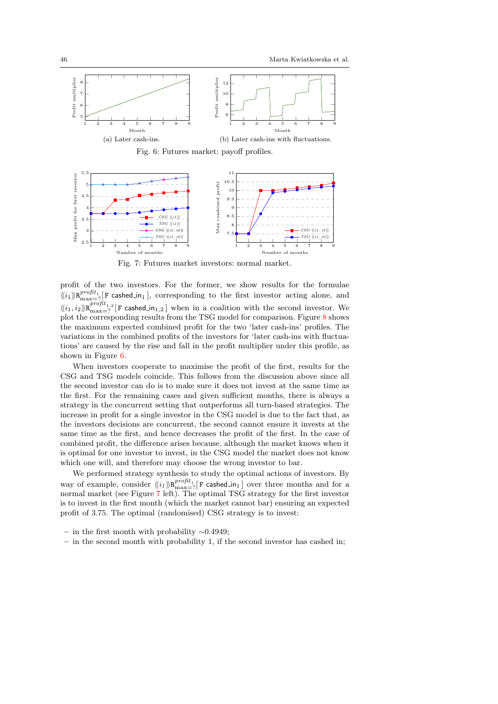<span id="page-45-0"></span>

<span id="page-45-1"></span>

Fig. 7: Futures market investors: normal market.

profit of the two investors. For the former, we show results for the formulae  $\langle\!\langle i_1\rangle\!\rangle\!R^{profit_1}_{\max=?}$  [F cashed in<sub>1</sub>], corresponding to the first investor acting alone, and  $\langle k_1, i_2 \rangle \mathbb{R}^{profit_{1,2}}_{\text{max}=?}$  [F cashed in<sub>1,2</sub>] when in a coalition with the second investor. We plot the corresponding results from the TSG model for comparison. Figure [8](#page-46-0) shows the maximum expected combined profit for the two 'later cash-ins' profiles. The variations in the combined profits of the investors for 'later cash-ins with fluctuations' are caused by the rise and fall in the profit multiplier under this profile, as shown in Figure [6.](#page-45-0)

When investors cooperate to maximise the profit of the first, results for the CSG and TSG models coincide. This follows from the discussion above since all the second investor can do is to make sure it does not invest at the same time as the first. For the remaining cases and given sufficient months, there is always a strategy in the concurrent setting that outperforms all turn-based strategies. The increase in profit for a single investor in the CSG model is due to the fact that, as the investors decisions are concurrent, the second cannot ensure it invests at the same time as the first, and hence decreases the profit of the first. In the case of combined profit, the difference arises because, although the market knows when it is optimal for one investor to invest, in the CSG model the market does not know which one will, and therefore may choose the wrong investor to bar.

We performed strategy synthesis to study the optimal actions of investors. By way of example, consider  $\langle\langle i_1\rangle\rangle R^{profit_1}_{\max=?}[F$  cashed  $\ln_1]$  over three months and for a normal market (see Figure [7](#page-45-1) left). The optimal TSG strategy for the first investor is to invest in the first month (which the market cannot bar) ensuring an expected profit of 3.75. The optimal (randomised) CSG strategy is to invest:

- in the first month with probability  $∼0.4949;$
- in the second month with probability 1, if the second investor has cashed in;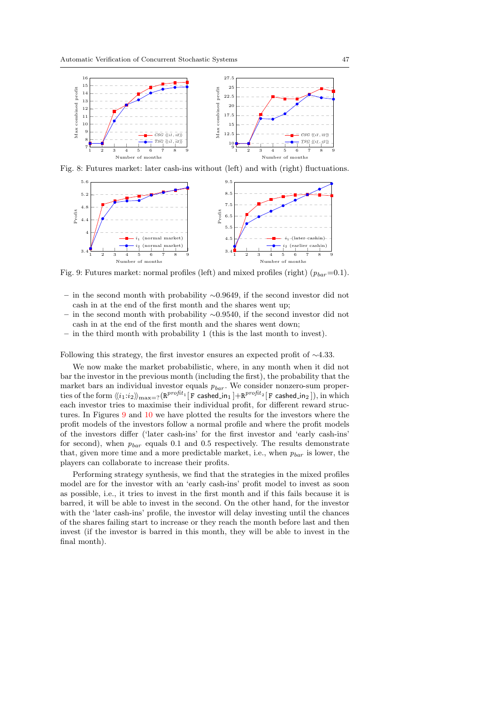<span id="page-46-0"></span>

Fig. 8: Futures market: later cash-ins without (left) and with (right) fluctuations.

<span id="page-46-1"></span>

Fig. 9: Futures market: normal profiles (left) and mixed profiles (right)  $(p_{bar}=0.1)$ .

- in the second month with probability ∼0.9649, if the second investor did not cash in at the end of the first month and the shares went up;
- in the second month with probability  $\sim$ 0.9540, if the second investor did not cash in at the end of the first month and the shares went down;
- in the third month with probability 1 (this is the last month to invest).

Following this strategy, the first investor ensures an expected profit of  $\sim$ 4.33.

We now make the market probabilistic, where, in any month when it did not bar the investor in the previous month (including the first), the probability that the market bars an individual investor equals  $p_{bar}$ . We consider nonzero-sum properties of the form  $\langle\!\langle i_1\!:\!i_2\rangle\!\rangle_{\rm max=?}(\texttt{R}^{profit_1}[\texttt{F}$  cashed\_in $_1$   $]+\texttt{R}^{profit_2}[\texttt{F}$  cashed\_in $_2$   $]),$  in which each investor tries to maximise their individual profit, for different reward structures. In Figures [9](#page-46-1) and [10](#page-47-0) we have plotted the results for the investors where the profit models of the investors follow a normal profile and where the profit models of the investors differ ('later cash-ins' for the first investor and 'early cash-ins' for second), when  $p_{bar}$  equals 0.1 and 0.5 respectively. The results demonstrate that, given more time and a more predictable market, i.e., when  $p_{bar}$  is lower, the players can collaborate to increase their profits.

Performing strategy synthesis, we find that the strategies in the mixed profiles model are for the investor with an 'early cash-ins' profit model to invest as soon as possible, i.e., it tries to invest in the first month and if this fails because it is barred, it will be able to invest in the second. On the other hand, for the investor with the 'later cash-ins' profile, the investor will delay investing until the chances of the shares failing start to increase or they reach the month before last and then invest (if the investor is barred in this month, they will be able to invest in the final month).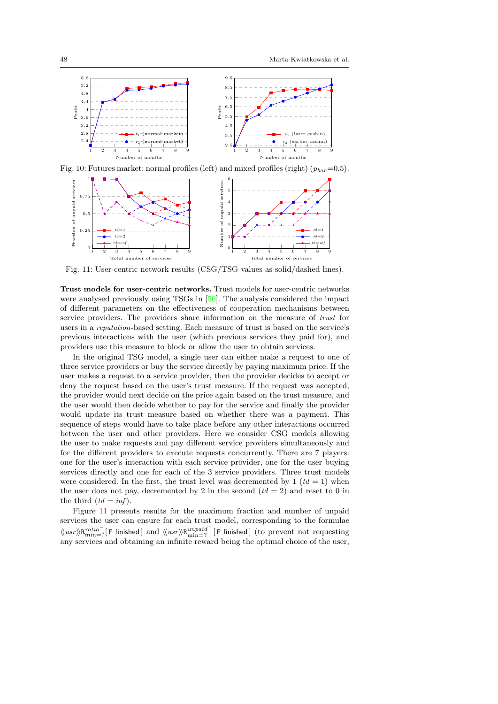<span id="page-47-0"></span>

Fig. 10: Futures market: normal profiles (left) and mixed profiles (right)  $(p_{bar}=0.5)$ .

<span id="page-47-1"></span>

Fig. 11: User-centric network results (CSG/TSG values as solid/dashed lines).

Trust models for user-centric networks. Trust models for user-centric networks were analysed previously using TSGs in [\[50\]](#page-53-26). The analysis considered the impact of different parameters on the effectiveness of cooperation mechanisms between service providers. The providers share information on the measure of trust for users in a reputation-based setting. Each measure of trust is based on the service's previous interactions with the user (which previous services they paid for), and providers use this measure to block or allow the user to obtain services.

In the original TSG model, a single user can either make a request to one of three service providers or buy the service directly by paying maximum price. If the user makes a request to a service provider, then the provider decides to accept or deny the request based on the user's trust measure. If the request was accepted, the provider would next decide on the price again based on the trust measure, and the user would then decide whether to pay for the service and finally the provider would update its trust measure based on whether there was a payment. This sequence of steps would have to take place before any other interactions occurred between the user and other providers. Here we consider CSG models allowing the user to make requests and pay different service providers simultaneously and for the different providers to execute requests concurrently. There are 7 players: one for the user's interaction with each service provider, one for the user buying services directly and one for each of the 3 service providers. Three trust models were considered. In the first, the trust level was decremented by 1 ( $td = 1$ ) when the user does not pay, decremented by 2 in the second  $(id = 2)$  and reset to 0 in the third  $(td = inf)$ .

Figure [11](#page-47-1) presents results for the maximum fraction and number of unpaid services the user can ensure for each trust model, corresponding to the formulae  $\langle\!\langle usr\rangle\!\rangle R^{ratio^-}_{\text{min}=?} [\,F \text{ finished }] \text{ and } \langle\!\langle usr\rangle\!\rangle R^{unpaid^-}_{\text{min}=?} [\,F \text{ finished }] \text{ (to prevent not requesting }]$ any services and obtaining an infinite reward being the optimal choice of the user,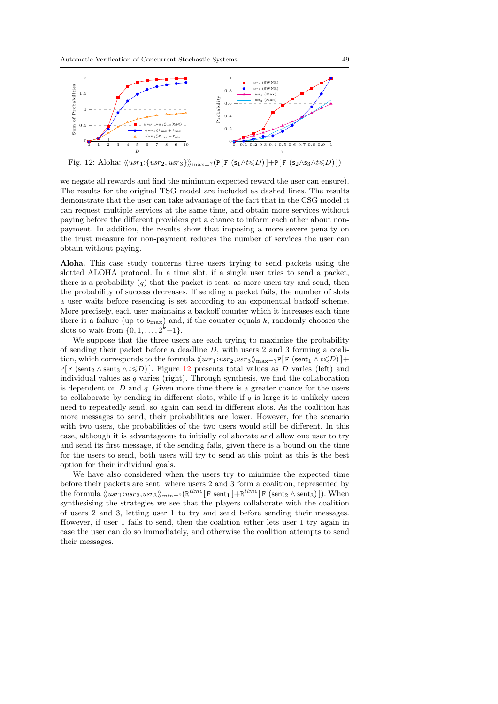<span id="page-48-0"></span>

Fig. 12: Aloha:  $\langle (usr_1:\{usr_2,usr_3\}\rangle)_{\max=?}(P[F (s_1 \land t \leq D)] + P[F (s_2 \land s_3 \land t \leq D)])$ 

we negate all rewards and find the minimum expected reward the user can ensure). The results for the original TSG model are included as dashed lines. The results demonstrate that the user can take advantage of the fact that in the CSG model it can request multiple services at the same time, and obtain more services without paying before the different providers get a chance to inform each other about nonpayment. In addition, the results show that imposing a more severe penalty on the trust measure for non-payment reduces the number of services the user can obtain without paying.

Aloha. This case study concerns three users trying to send packets using the slotted ALOHA protocol. In a time slot, if a single user tries to send a packet, there is a probability  $(q)$  that the packet is sent; as more users try and send, then the probability of success decreases. If sending a packet fails, the number of slots a user waits before resending is set according to an exponential backoff scheme. More precisely, each user maintains a backoff counter which it increases each time there is a failure (up to  $b_{\text{max}}$ ) and, if the counter equals k, randomly chooses the slots to wait from  $\{0, 1, ..., 2^k-1\}.$ 

We suppose that the three users are each trying to maximise the probability of sending their packet before a deadline  $D$ , with users 2 and 3 forming a coalition, which corresponds to the formula  $\langle \langle u s r_1: u s r_2, u s r_3 \rangle \rangle_{\max=?} P[F \text{ (sent}_1 \land t \leq D)] +$ P[F (sent<sub>2</sub>  $\wedge$  sent<sub>3</sub>  $\wedge$  t $\leq D$ )]. Figure [12](#page-48-0) presents total values as D varies (left) and individual values as  $q$  varies (right). Through synthesis, we find the collaboration is dependent on  $D$  and  $q$ . Given more time there is a greater chance for the users to collaborate by sending in different slots, while if  $q$  is large it is unlikely users need to repeatedly send, so again can send in different slots. As the coalition has more messages to send, their probabilities are lower. However, for the scenario with two users, the probabilities of the two users would still be different. In this case, although it is advantageous to initially collaborate and allow one user to try and send its first message, if the sending fails, given there is a bound on the time for the users to send, both users will try to send at this point as this is the best option for their individual goals.

We have also considered when the users try to minimise the expected time before their packets are sent, where users 2 and 3 form a coalition, represented by the formula  $\langle \langle usr_1:usr_2,usr_3\rangle\rangle_{\mathrm{min}=?}(\mathtt{R}^{time}[\mathtt{F} \ \mathtt{sent}_1\ ]+\mathtt{R}^{time}[\mathtt{F} \ (\mathtt{sent}_2 \wedge \mathtt{sent}_3)\ ]).$  When synthesising the strategies we see that the players collaborate with the coalition of users 2 and 3, letting user 1 to try and send before sending their messages. However, if user 1 fails to send, then the coalition either lets user 1 try again in case the user can do so immediately, and otherwise the coalition attempts to send their messages.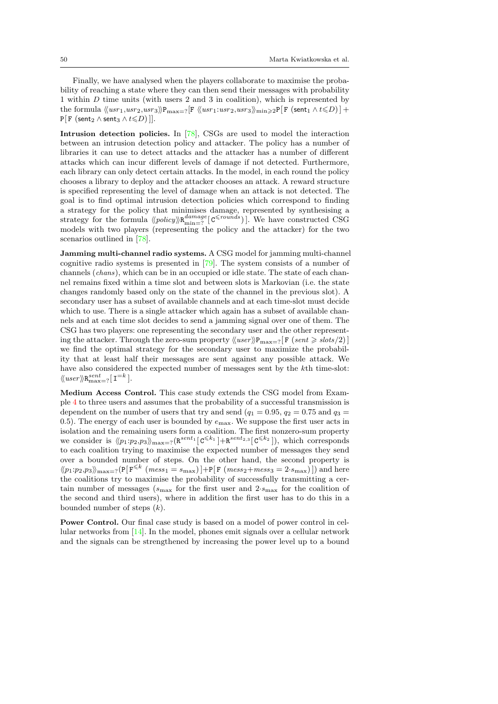Finally, we have analysed when the players collaborate to maximise the probability of reaching a state where they can then send their messages with probability 1 within D time units (with users 2 and 3 in coalition), which is represented by the formula  $\langle (usr_1,usr_2,usr_3) \rangle_{\text{max}=2} [F \langle (usr_1:usr_2,usr_3) \rangle_{\text{min}\geq 2} P[F \text{ (sent}_1 \wedge t \leq D)] +$  $P[F$  (sent<sub>2</sub> ∧ sent<sub>3</sub> ∧ t  $\le D$ ) ]].

Intrusion detection policies. In [\[78\]](#page-54-8), CSGs are used to model the interaction between an intrusion detection policy and attacker. The policy has a number of libraries it can use to detect attacks and the attacker has a number of different attacks which can incur different levels of damage if not detected. Furthermore, each library can only detect certain attacks. In the model, in each round the policy chooses a library to deploy and the attacker chooses an attack. A reward structure is specified representing the level of damage when an attack is not detected. The goal is to find optimal intrusion detection policies which correspond to finding a strategy for the policy that minimises damage, represented by synthesising a strategy for the formula  $\langle\langle policy \rangle \mathbf{R}_{\text{min}=?}^{damage}$  [C<sup> $\leq$ rounds</sup>)]. We have constructed CSG models with two players (representing the policy and the attacker) for the two scenarios outlined in [\[78\]](#page-54-8).

Jamming multi-channel radio systems. A CSG model for jamming multi-channel cognitive radio systems is presented in [\[79\]](#page-54-9). The system consists of a number of channels (chans), which can be in an occupied or idle state. The state of each channel remains fixed within a time slot and between slots is Markovian (i.e. the state changes randomly based only on the state of the channel in the previous slot). A secondary user has a subset of available channels and at each time-slot must decide which to use. There is a single attacker which again has a subset of available channels and at each time slot decides to send a jamming signal over one of them. The CSG has two players: one representing the secondary user and the other representing the attacker. Through the zero-sum property  $\langle \langle user \rangle \rangle P_{\text{max}=?}[F \text{ (sent } \geq \text{ slots}/2)]$ we find the optimal strategy for the secondary user to maximize the probability that at least half their messages are sent against any possible attack. We have also considered the expected number of messages sent by the kth time-slot:  $\langle \langle user \rangle \rangle R_{\text{max}=?}^{sent}$  [  $I^{=k}$  ].

Medium Access Control. This case study extends the CSG model from Example [4](#page-11-1) to three users and assumes that the probability of a successful transmission is dependent on the number of users that try and send  $(q_1 = 0.95, q_2 = 0.75, q_3 = 0.75)$ 0.5). The energy of each user is bounded by  $e_{\text{max}}$ . We suppose the first user acts in isolation and the remaining users form a coalition. The first nonzero-sum property we consider is  $\langle p_1:p_2,p_3 \rangle_{\max=?}$   $(R^{sent_1} [C^{\leq k_1}] + R^{sent_2,3} [C^{\leq k_2}])$ , which corresponds to each coalition trying to maximise the expected number of messages they send over a bounded number of steps. On the other hand, the second property is  $\langle p_1:p_2,p_3\rangle_{\max=?}(P[F^{\leq k} (mess_1 = s_{\max})]+P[F (mess_2 + mess_3 = 2\cdot s_{\max})])$  and here the coalitions try to maximise the probability of successfully transmitting a certain number of messages ( $s_{\text{max}}$  for the first user and  $2 \cdot s_{\text{max}}$  for the coalition of the second and third users), where in addition the first user has to do this in a bounded number of steps  $(k)$ .

Power Control. Our final case study is based on a model of power control in cellular networks from [\[14\]](#page-51-7). In the model, phones emit signals over a cellular network and the signals can be strengthened by increasing the power level up to a bound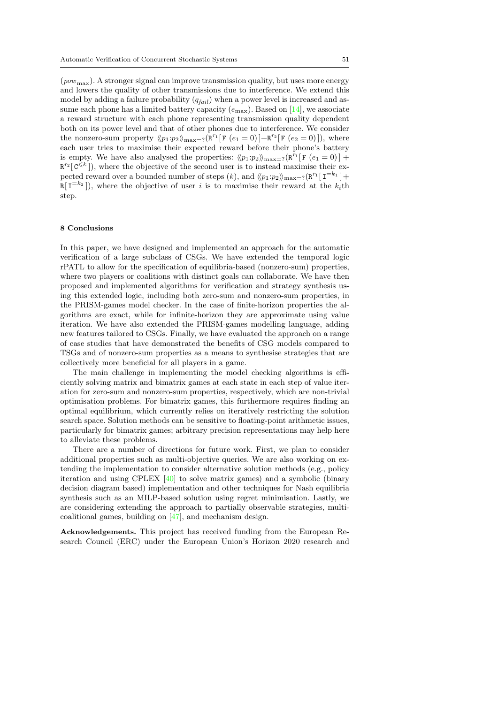$(pow_{\text{max}})$ . A stronger signal can improve transmission quality, but uses more energy and lowers the quality of other transmissions due to interference. We extend this model by adding a failure probability  $(q_{fail})$  when a power level is increased and assume each phone has a limited battery capacity  $(e_{\text{max}})$ . Based on [\[14\]](#page-51-7), we associate a reward structure with each phone representing transmission quality dependent both on its power level and that of other phones due to interference. We consider the nonzero-sum property  $\langle p_1 : p_2 \rangle_{\max} = ?(\mathbb{R}^{r_1}[\mathbb{F}(e_1 = 0)] + \mathbb{R}^{r_2}[\mathbb{F}(e_2 = 0)]),$  where each user tries to maximise their expected reward before their phone's battery is empty. We have also analysed the properties:  $\langle p_1 : p_2 \rangle_{\max=?} (R^{r_1} [F (e_1 = 0)] +$  $\mathbb{R}^{r_2}[\mathbb{C}^{\leq k}]$ , where the objective of the second user is to instead maximise their expected reward over a bounded number of steps  $(k)$ , and  $\langle p_1 : p_2 \rangle_{\max=?} (R^{r_1} [I^{=k_1}] +$  $R[I^{-k_2}]$ , where the objective of user i is to maximise their reward at the  $k_i$ th step.

## 8 Conclusions

In this paper, we have designed and implemented an approach for the automatic verification of a large subclass of CSGs. We have extended the temporal logic rPATL to allow for the specification of equilibria-based (nonzero-sum) properties, where two players or coalitions with distinct goals can collaborate. We have then proposed and implemented algorithms for verification and strategy synthesis using this extended logic, including both zero-sum and nonzero-sum properties, in the PRISM-games model checker. In the case of finite-horizon properties the algorithms are exact, while for infinite-horizon they are approximate using value iteration. We have also extended the PRISM-games modelling language, adding new features tailored to CSGs. Finally, we have evaluated the approach on a range of case studies that have demonstrated the benefits of CSG models compared to TSGs and of nonzero-sum properties as a means to synthesise strategies that are collectively more beneficial for all players in a game.

The main challenge in implementing the model checking algorithms is efficiently solving matrix and bimatrix games at each state in each step of value iteration for zero-sum and nonzero-sum properties, respectively, which are non-trivial optimisation problems. For bimatrix games, this furthermore requires finding an optimal equilibrium, which currently relies on iteratively restricting the solution search space. Solution methods can be sensitive to floating-point arithmetic issues, particularly for bimatrix games; arbitrary precision representations may help here to alleviate these problems.

There are a number of directions for future work. First, we plan to consider additional properties such as multi-objective queries. We are also working on extending the implementation to consider alternative solution methods (e.g., policy iteration and using CPLEX  $[40]$  to solve matrix games) and a symbolic (binary decision diagram based) implementation and other techniques for Nash equilibria synthesis such as an MILP-based solution using regret minimisation. Lastly, we are considering extending the approach to partially observable strategies, multicoalitional games, building on [\[47\]](#page-53-18), and mechanism design.

Acknowledgements. This project has received funding from the European Research Council (ERC) under the European Union's Horizon 2020 research and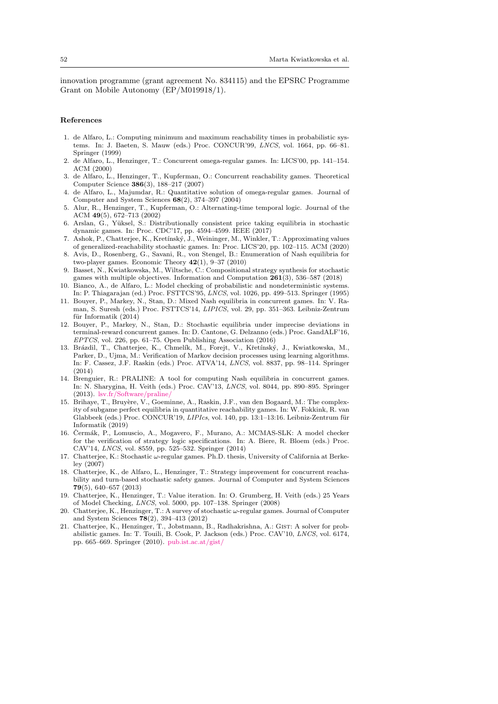innovation programme (grant agreement No. 834115) and the EPSRC Programme Grant on Mobile Autonomy (EP/M019918/1).

### References

- <span id="page-51-18"></span>1. de Alfaro, L.: Computing minimum and maximum reachability times in probabilistic systems. In: J. Baeten, S. Mauw (eds.) Proc. CONCUR'99, LNCS, vol. 1664, pp. 66–81. Springer (1999)
- <span id="page-51-13"></span>2. de Alfaro, L., Henzinger, T.: Concurrent omega-regular games. In: LICS'00, pp. 141–154. ACM (2000)
- <span id="page-51-1"></span>3. de Alfaro, L., Henzinger, T., Kupferman, O.: Concurrent reachability games. Theoretical Computer Science 386(3), 188–217 (2007)
- <span id="page-51-2"></span>4. de Alfaro, L., Majumdar, R.: Quantitative solution of omega-regular games. Journal of Computer and System Sciences 68(2), 374–397 (2004)
- <span id="page-51-5"></span>5. Alur, R., Henzinger, T., Kupferman, O.: Alternating-time temporal logic. Journal of the ACM 49(5), 672–713 (2002)
- <span id="page-51-10"></span>6. Arslan, G., Yüksel, S.: Distributionally consistent price taking equilibria in stochastic dynamic games. In: Proc. CDC'17, pp. 4594–4599. IEEE (2017)
- <span id="page-51-16"></span>7. Ashok, P., Chatterjee, K., Kret´ınsk´y, J., Weininger, M., Winkler, T.: Approximating values of generalized-reachability stochastic games. In: Proc. LICS'20, pp. 102–115. ACM (2020)
- <span id="page-51-20"></span>8. Avis, D., Rosenberg, G., Savani, R., von Stengel, B.: Enumeration of Nash equilibria for two-player games. Economic Theory  $42(1)$ ,  $9-37$   $(2010)$
- <span id="page-51-4"></span>9. Basset, N., Kwiatkowska, M., Wiltsche, C.: Compositional strategy synthesis for stochastic games with multiple objectives. Information and Computation 261(3), 536–587 (2018)
- <span id="page-51-17"></span>10. Bianco, A., de Alfaro, L.: Model checking of probabilistic and nondeterministic systems. In: P. Thiagarajan (ed.) Proc. FSTTCS'95, LNCS, vol. 1026, pp. 499–513. Springer (1995)
- <span id="page-51-12"></span>11. Bouyer, P., Markey, N., Stan, D.: Mixed Nash equilibria in concurrent games. In: V. Raman, S. Suresh (eds.) Proc. FSTTCS'14, LIPICS, vol. 29, pp. 351–363. Leibniz-Zentrum für Informatik  $(2014)$
- <span id="page-51-11"></span>12. Bouyer, P., Markey, N., Stan, D.: Stochastic equilibria under imprecise deviations in terminal-reward concurrent games. In: D. Cantone, G. Delzanno (eds.) Proc. GandALF'16, EPTCS, vol. 226, pp. 61–75. Open Publishing Association (2016)
- <span id="page-51-15"></span>13. Brázdil, T., Chatterjee, K., Chmelík, M., Forejt, V., Křetínský, J., Kwiatkowska, M., Parker, D., Ujma, M.: Verification of Markov decision processes using learning algorithms. In: F. Cassez, J.F. Raskin (eds.) Proc. ATVA'14, LNCS, vol. 8837, pp. 98–114. Springer (2014)
- <span id="page-51-7"></span>14. Brenguier, R.: PRALINE: A tool for computing Nash equilibria in concurrent games. In: N. Sharygina, H. Veith (eds.) Proc. CAV'13, LNCS, vol. 8044, pp. 890–895. Springer (2013). [lsv.fr/Software/praline/](http://www.lsv.fr/Software/praline/)
- <span id="page-51-9"></span>15. Brihaye, T., Bruyère, V., Goeminne, A., Raskin, J.F., van den Bogaard, M.: The complexity of subgame perfect equilibria in quantitative reachability games. In: W. Fokkink, R. van Glabbeek (eds.) Proc. CONCUR'19,  $LIPIcs$ , vol. 140, pp. 13:1–13:16. Leibniz-Zentrum für Informatik (2019)
- <span id="page-51-8"></span>16. Čermák, P., Lomuscio, A., Mogavero, F., Murano, A.: MCMAS-SLK: A model checker for the verification of strategy logic specifications. In: A. Biere, R. Bloem (eds.) Proc. CAV'14, LNCS, vol. 8559, pp. 525–532. Springer (2014)
- <span id="page-51-0"></span>17. Chatterjee, K.: Stochastic ω-regular games. Ph.D. thesis, University of California at Berkeley (2007)
- <span id="page-51-3"></span>18. Chatterjee, K., de Alfaro, L., Henzinger, T.: Strategy improvement for concurrent reachability and turn-based stochastic safety games. Journal of Computer and System Sciences 79(5), 640–657 (2013)
- <span id="page-51-14"></span>19. Chatterjee, K., Henzinger, T.: Value iteration. In: O. Grumberg, H. Veith (eds.) 25 Years of Model Checking, LNCS, vol. 5000, pp. 107–138. Springer (2008)
- <span id="page-51-19"></span>20. Chatterjee, K., Henzinger, T.: A survey of stochastic ω-regular games. Journal of Computer and System Sciences 78(2), 394–413 (2012)
- <span id="page-51-6"></span>21. Chatterjee, K., Henzinger, T., Jobstmann, B., Radhakrishna, A.: Gist: A solver for probabilistic games. In: T. Touili, B. Cook, P. Jackson (eds.) Proc. CAV'10, LNCS, vol. 6174, pp. 665–669. Springer (2010). [pub.ist.ac.at/gist/](http://pub.ist.ac.at/gist/)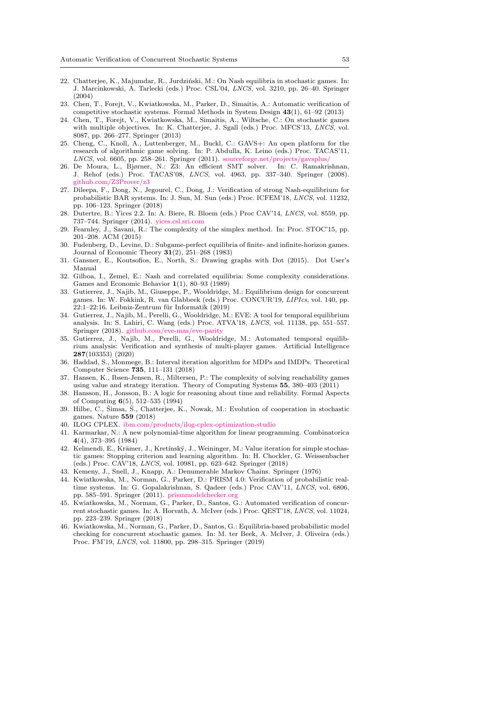- <span id="page-52-9"></span>22. Chatterjee, K., Majumdar, R., Jurdziński, M.: On Nash equilibria in stochastic games. In: J. Marcinkowski, A. Tarlecki (eds.) Proc. CSL'04, LNCS, vol. 3210, pp. 26–40. Springer (2004)
- <span id="page-52-0"></span>23. Chen, T., Forejt, V., Kwiatkowska, M., Parker, D., Simaitis, A.: Automatic verification of competitive stochastic systems. Formal Methods in System Design 43(1), 61–92 (2013)
- <span id="page-52-4"></span>24. Chen, T., Forejt, V., Kwiatkowska, M., Simaitis, A., Wiltsche, C.: On stochastic games with multiple objectives. In: K. Chatterjee, J. Sgall (eds.) Proc. MFCS'13, LNCS, vol. 8087, pp. 266–277. Springer (2013)
- <span id="page-52-6"></span>25. Cheng, C., Knoll, A., Luttenberger, M., Buckl, C.: GAVS+: An open platform for the research of algorithmic game solving. In: P. Abdulla, K. Leino (eds.) Proc. TACAS'11, LNCS, vol. 6605, pp. 258-261. Springer (2011). sourceforge.net/projects/gavsplus
- <span id="page-52-22"></span>26. De Moura, L., Bjørner, N.: Z3: An efficient SMT solver. In: C. Ramakrishnan, J. Rehof (eds.) Proc. TACAS'08, LNCS, vol. 4963, pp. 337–340. Springer (2008). [github.com/Z3Prover/z3](https://github.com/Z3Prover/z3)
- <span id="page-52-11"></span>27. Dileepa, F., Dong, N., Jegourel, C., Dong, J.: Verification of strong Nash-equilibrium for probabilistic BAR systems. In: J. Sun, M. Sun (eds.) Proc. ICFEM'18, LNCS, vol. 11232, pp. 106–123. Springer (2018)
- <span id="page-52-23"></span>28. Dutertre, B.: Yices 2.2. In: A. Biere, R. Bloem (eds.) Proc CAV'14, LNCS, vol. 8559, pp. 737–744. Springer (2014). [yices.csl.sri.com](http://yices.csl.sri.com)
- <span id="page-52-17"></span>29. Fearnley, J., Savani, R.: The complexity of the simplex method. In: Proc. STOC'15, pp. 201–208. ACM (2015)
- <span id="page-52-20"></span>30. Fudenberg, D., Levine, D.: Subgame-perfect equilibria of finite- and infinite-horizon games. Journal of Economic Theory 31(2), 251–268 (1983)
- <span id="page-52-21"></span>31. Gansner, E., Koutsofios, E., North, S.: Drawing graphs with Dot (2015). Dot User's Manual
- <span id="page-52-19"></span>32. Gilboa, I., Zemel, E.: Nash and correlated equilibria: Some complexity considerations. Games and Economic Behavior 1(1), 80–93 (1989)
- <span id="page-52-10"></span>33. Gutierrez, J., Najib, M., Giuseppe, P., Wooldridge, M.: Equilibrium design for concurrent games. In: W. Fokkink, R. van Glabbeek (eds.) Proc. CONCUR'19, LIPIcs, vol. 140, pp.  $22:1-22:16$ . Leibniz-Zentrum für Informatik (2019)
- <span id="page-52-7"></span>34. Gutierrez, J., Najib, M., Perelli, G., Wooldridge, M.: EVE: A tool for temporal equilibrium analysis. In: S. Lahiri, C. Wang (eds.) Proc. ATVA'18, LNCS, vol. 11138, pp. 551–557. Springer (2018). [github.com/eve-mas/eve-parity](https://github.com/eve-mas/eve-parity)
- <span id="page-52-8"></span>35. Gutierrez, J., Najib, M., Perelli, G., Wooldridge, M.: Automated temporal equilibrium analysis: Verification and synthesis of multi-player games. Artificial Intelligence 287(103353) (2020)
- <span id="page-52-15"></span>36. Haddad, S., Monmege, B.: Interval iteration algorithm for MDPs and IMDPs. Theoretical Computer Science 735, 111–131 (2018)
- <span id="page-52-16"></span>37. Hansen, K., Ibsen-Jensen, R., Miltersen, P.: The complexity of solving reachability games using value and strategy iteration. Theory of Computing Systems 55, 380–403 (2011)
- <span id="page-52-14"></span>38. Hansson, H., Jonsson, B.: A logic for reasoning about time and reliability. Formal Aspects of Computing 6(5), 512–535 (1994)
- <span id="page-52-12"></span>39. Hilbe, C., Šimsa, Š., Chatterjee, K., Nowak, M.: Evolution of cooperation in stochastic games. Nature 559 (2018)
- <span id="page-52-24"></span>40. ILOG CPLEX. [ibm.com/products/ilog-cplex-optimization-studio](http://www.ibm.com/products/ilog-cplex-optimization-studio)
- <span id="page-52-18"></span>41. Karmarkar, N.: A new polynomial-time algorithm for linear programming. Combinatorica 4(4), 373–395 (1984)
- <span id="page-52-2"></span>42. Kelmendi, E., Krämer, J., Kretínský, J., Weininger, M.: Value iteration for simple stochastic games: Stopping criterion and learning algorithm. In: H. Chockler, G. Weissenbacher (eds.) Proc. CAV'18, LNCS, vol. 10981, pp. 623–642. Springer (2018)
- <span id="page-52-13"></span>43. Kemeny, J., Snell, J., Knapp, A.: Denumerable Markov Chains. Springer (1976)
- <span id="page-52-3"></span>44. Kwiatkowska, M., Norman, G., Parker, D.: PRISM 4.0: Verification of probabilistic realtime systems. In: G. Gopalakrishnan, S. Qadeer (eds.) Proc CAV'11, LNCS, vol. 6806, pp. 585–591. Springer (2011). [prismmodelchecker.org](https://www.prismmodelchecker.org/games/)
- <span id="page-52-1"></span>45. Kwiatkowska, M., Norman, G., Parker, D., Santos, G.: Automated verification of concurrent stochastic games. In: A. Horvath, A. McIver (eds.) Proc. QEST'18, LNCS, vol. 11024, pp. 223–239. Springer (2018)
- <span id="page-52-5"></span>46. Kwiatkowska, M., Norman, G., Parker, D., Santos, G.: Equilibria-based probabilistic model checking for concurrent stochastic games. In: M. ter Beek, A. McIver, J. Oliveira (eds.) Proc. FM'19, LNCS, vol. 11800, pp. 298–315. Springer (2019)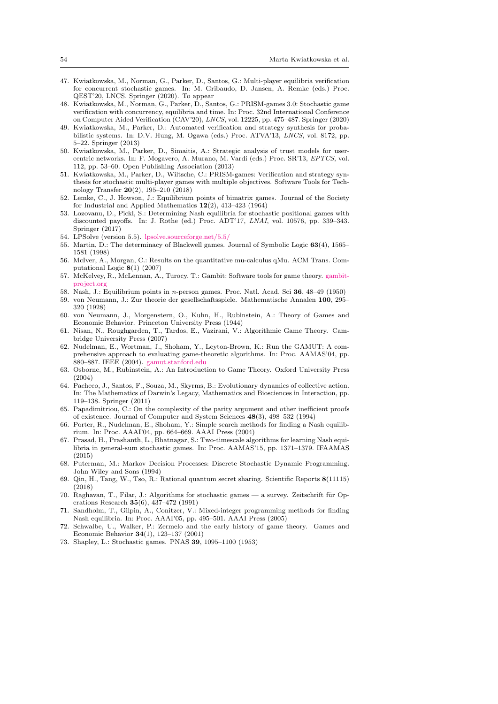- <span id="page-53-18"></span>47. Kwiatkowska, M., Norman, G., Parker, D., Santos, G.: Multi-player equilibria verification for concurrent stochastic games. In: M. Gribaudo, D. Jansen, A. Remke (eds.) Proc. QEST'20, LNCS. Springer (2020). To appear
- <span id="page-53-3"></span>48. Kwiatkowska, M., Norman, G., Parker, D., Santos, G.: PRISM-games 3.0: Stochastic game verification with concurrency, equilibria and time. In: Proc. 32nd International Conference on Computer Aided Verification (CAV'20), LNCS, vol. 12225, pp. 475–487. Springer (2020)
- <span id="page-53-21"></span>49. Kwiatkowska, M., Parker, D.: Automated verification and strategy synthesis for probabilistic systems. In: D.V. Hung, M. Ogawa (eds.) Proc. ATVA'13, LNCS, vol. 8172, pp. 5–22. Springer (2013)
- <span id="page-53-26"></span>50. Kwiatkowska, M., Parker, D., Simaitis, A.: Strategic analysis of trust models for usercentric networks. In: F. Mogavero, A. Murano, M. Vardi (eds.) Proc. SR'13, EPTCS, vol. 112, pp. 53–60. Open Publishing Association (2013)
- <span id="page-53-0"></span>51. Kwiatkowska, M., Parker, D., Wiltsche, C.: PRISM-games: Verification and strategy synthesis for stochastic multi-player games with multiple objectives. Software Tools for Technology Transfer 20(2), 195–210 (2018)
- <span id="page-53-2"></span>52. Lemke, C., J. Howson, J.: Equilibrium points of bimatrix games. Journal of the Society for Industrial and Applied Mathematics 12(2), 413–423 (1964)
- <span id="page-53-7"></span>53. Lozovanu, D., Pickl, S.: Determining Nash equilibria for stochastic positional games with discounted payoffs. In: J. Rothe (ed.) Proc. ADT'17, LNAI, vol. 10576, pp. 339–343. Springer (2017)
- <span id="page-53-23"></span>54. LPSolve (version 5.5). [lpsolve.sourceforge.net/5.5/](http://lpsolve.sourceforge.net/5.5/)
- <span id="page-53-16"></span>55. Martin, D.: The determinacy of Blackwell games. Journal of Symbolic Logic 63(4), 1565– 1581 (1998)
- <span id="page-53-25"></span>56. McIver, A., Morgan, C.: Results on the quantitative mu-calculus qMu. ACM Trans. Computational Logic 8(1) (2007)
- <span id="page-53-5"></span>57. McKelvey, R., McLennan, A., Turocy, T.: Gambit: Software tools for game theory. [gambit](http://www.gambit-project.org)[project.org](http://www.gambit-project.org)
- <span id="page-53-9"></span><span id="page-53-4"></span>58. Nash, J.: Equilibrium points in n-person games. Proc. Natl. Acad. Sci 36, 48–49 (1950) 59. von Neumann, J.: Zur theorie der gesellschaftsspiele. Mathematische Annalen 100, 295– 320 (1928)
- <span id="page-53-10"></span>60. von Neumann, J., Morgenstern, O., Kuhn, H., Rubinstein, A.: Theory of Games and Economic Behavior. Princeton University Press (1944)
- <span id="page-53-11"></span>61. Nisan, N., Roughgarden, T., Tardos, E., Vazirani, V.: Algorithmic Game Theory. Cambridge University Press (2007)
- <span id="page-53-24"></span>62. Nudelman, E., Wortman, J., Shoham, Y., Leyton-Brown, K.: Run the GAMUT: A comprehensive approach to evaluating game-theoretic algorithms. In: Proc. AAMAS'04, pp. 880–887. IEEE (2004). [gamut.stanford.edu](http://gamut.stanford.edu)
- <span id="page-53-1"></span>63. Osborne, M., Rubinstein, A.: An Introduction to Game Theory. Oxford University Press (2004)
- <span id="page-53-12"></span>64. Pacheco, J., Santos, F., Souza, M., Skyrms, B.: Evolutionary dynamics of collective action. In: The Mathematics of Darwin's Legacy, Mathematics and Biosciences in Interaction, pp. 119–138. Springer (2011)
- <span id="page-53-22"></span>65. Papadimitriou, C.: On the complexity of the parity argument and other inefficient proofs of existence. Journal of Computer and System Sciences 48(3), 498–532 (1994)
- <span id="page-53-13"></span>66. Porter, R., Nudelman, E., Shoham, Y.: Simple search methods for finding a Nash equilibrium. In: Proc. AAAI'04, pp. 664–669. AAAI Press (2004)
- <span id="page-53-6"></span>67. Prasad, H., Prashanth, L., Bhatnagar, S.: Two-timescale algorithms for learning Nash equilibria in general-sum stochastic games. In: Proc. AAMAS'15, pp. 1371–1379. IFAAMAS (2015)
- <span id="page-53-20"></span>68. Puterman, M.: Markov Decision Processes: Discrete Stochastic Dynamic Programming. John Wiley and Sons (1994)
- <span id="page-53-8"></span>69. Qin, H., Tang, W., Tso, R.: Rational quantum secret sharing. Scientific Reports 8(11115) (2018)
- <span id="page-53-19"></span>70. Raghavan, T., Filar, J.: Algorithms for stochastic games — a survey. Zeitschrift für Operations Research 35(6), 437–472 (1991)
- <span id="page-53-14"></span>71. Sandholm, T., Gilpin, A., Conitzer, V.: Mixed-integer programming methods for finding Nash equilibria. In: Proc. AAAI'05, pp. 495–501. AAAI Press (2005)
- <span id="page-53-17"></span>72. Schwalbe, U., Walker, P.: Zermelo and the early history of game theory. Games and Economic Behavior 34(1), 123–137 (2001)
- <span id="page-53-15"></span>73. Shapley, L.: Stochastic games. PNAS 39, 1095–1100 (1953)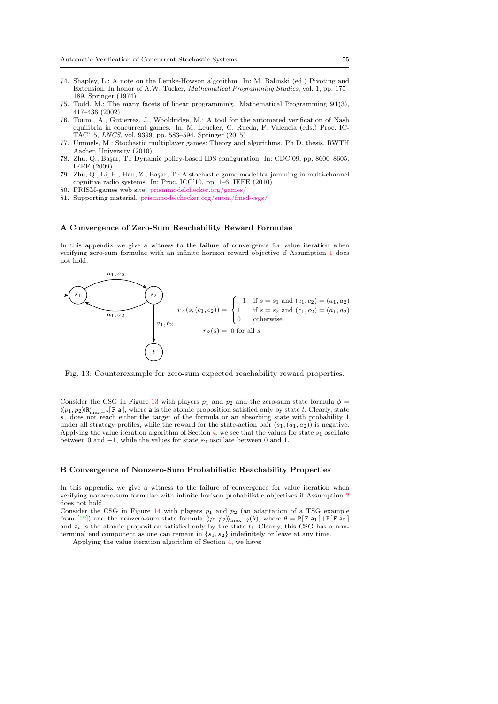- <span id="page-54-2"></span>74. Shapley, L.: A note on the Lemke-Howson algorithm. In: M. Balinski (ed.) Pivoting and Extension: In honor of A.W. Tucker, Mathematical Programming Studies, vol. 1, pp. 175– 189. Springer (1974)
- <span id="page-54-5"></span>75. Todd, M.: The many facets of linear programming. Mathematical Programming 91(3), 417–436 (2002)
- <span id="page-54-1"></span>76. Toumi, A., Gutierrez, J., Wooldridge, M.: A tool for the automated verification of Nash equilibria in concurrent games. In: M. Leucker, C. Rueda, F. Valencia (eds.) Proc. IC-TAC'15, LNCS, vol. 9399, pp. 583–594. Springer (2015)
- <span id="page-54-0"></span>77. Ummels, M.: Stochastic multiplayer games: Theory and algorithms. Ph.D. thesis, RWTH Aachen University (2010)
- <span id="page-54-8"></span>78. Zhu, Q., Ba¸sar, T.: Dynamic policy-based IDS configuration. In: CDC'09, pp. 8600–8605. IEEE (2009)
- <span id="page-54-9"></span>79. Zhu, Q., Li, H., Han, Z., Ba¸sar, T.: A stochastic game model for jamming in multi-channel cognitive radio systems. In: Proc. ICC'10, pp. 1–6. IEEE (2010)
- <span id="page-54-6"></span>80. PRISM-games web site. [prismmodelchecker.org/games/](http://www.prismmodelchecker.org/games/)
- <span id="page-54-7"></span>81. Supporting material. [prismmodelchecker.org/subm/fmsd-csgs/](http://www.prismmodelchecker.org/subm/fmsd-csgs/)

#### <span id="page-54-3"></span>A Convergence of Zero-Sum Reachability Reward Formulae

In this appendix we give a witness to the failure of convergence for value iteration when verifying zero-sum formulae with an infinite horizon reward objective if Assumption [1](#page-17-0) does not hold.

<span id="page-54-10"></span>

Fig. 13: Counterexample for zero-sum expected reachability reward properties.

Consider the CSG in Figure [13](#page-54-10) with players  $p_1$  and  $p_2$  and the zero-sum state formula  $\phi =$  $\langle p_1, p_2 \rangle \mathbb{R}^r_{\max=?}$  [F a], where a is the atomic proposition satisfied only by state t. Clearly, state  $s_1$  does not reach either the target of the formula or an absorbing state with probability 1 under all strategy profiles, while the reward for the state-action pair  $(s_1, (a_1, a_2))$  is negative. Applying the value iteration algorithm of Section [4,](#page-16-0) we see that the values for state  $s_1$  oscillate between 0 and  $-1$ , while the values for state  $s_2$  oscillate between 0 and 1.

## <span id="page-54-4"></span>B Convergence of Nonzero-Sum Probabilistic Reachability Properties

In this appendix we give a witness to the failure of convergence for value iteration when verifying nonzero-sum formulae with infinite horizon probabilistic objectives if Assumption [2](#page-17-3) does not hold.

Consider the CSG in Figure [14](#page-55-0) with players  $p_1$  and  $p_2$  (an adaptation of a TSG example from [\[12\]](#page-51-11)) and the nonzero-sum state formula  $\langle p_1:p_2 \rangle_{\max=?}(\theta)$ , where  $\theta = P[F a_1] + P[F a_2]$ and  $a_i$  is the atomic proposition satisfied only by the state  $t_i$ . Clearly, this CSG has a nonterminal end component as one can remain in  $\{s_1, s_2\}$  indefinitely or leave at any time.

Applying the value iteration algorithm of Section [4,](#page-16-0) we have: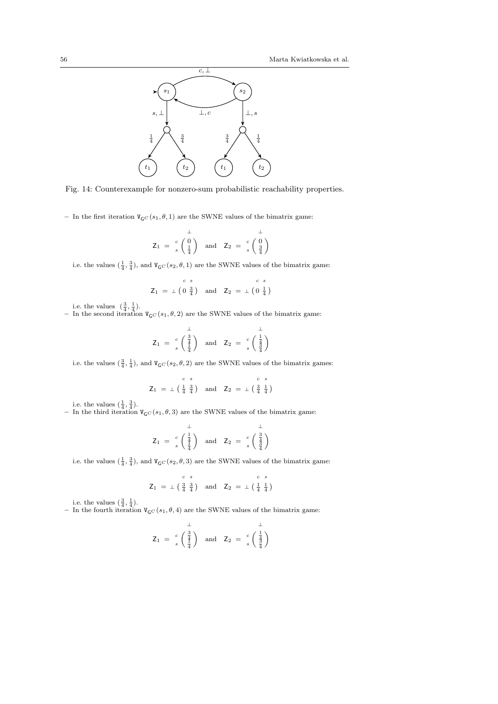<span id="page-55-0"></span>![](_page_55_Figure_1.jpeg)

Fig. 14: Counterexample for nonzero-sum probabilistic reachability properties.

– In the first iteration  $V_{\mathsf{G}}(s_1, \theta, 1)$  are the SWNE values of the bimatrix game:

$$
\mathsf{Z}_1 = \begin{array}{c} \downarrow \\ s \left( \begin{array}{c} 0 \\ \frac{1}{4} \end{array} \right) \quad \text{and} \quad \mathsf{Z}_2 = \begin{array}{c} c \\ s \left( \begin{array}{c} 0 \\ \frac{3}{4} \end{array} \right) \end{array}
$$

i.e. the values  $(\frac{1}{4}, \frac{3}{4})$ , and  $V_{\mathsf{G}}(s_2, \theta, 1)$  are the SWNE values of the bimatrix game:

$$
Z_1 = \perp \begin{pmatrix} c & s & c \ s \end{pmatrix} \quad \text{and} \quad Z_2 = \perp \begin{pmatrix} 0 & \frac{1}{4} \end{pmatrix}
$$

i.e. the values  $\left(\frac{3}{4},\frac{1}{4}\right)$ .

– In the second iteration  $V_{\mathsf{G}}(s_1, \theta, 2)$  are the SWNE values of the bimatrix game:

$$
\mathsf{Z}_1 = \begin{array}{c} \downarrow \\ c \\ s \end{array} \left( \begin{array}{c} \frac{3}{4} \\ \frac{4}{4} \end{array} \right) \quad \text{and} \quad \mathsf{Z}_2 = \begin{array}{c} c \\ c \\ s \end{array} \left( \begin{array}{c} \frac{1}{4} \\ \frac{4}{3} \end{array} \right)
$$

i.e. the values  $(\frac{3}{4}, \frac{1}{4})$ , and  $V_{\mathsf{G}}(s_2, \theta, 2)$  are the SWNE values of the bimatrix games:

$$
Z_1 = \pm \begin{pmatrix} c & s & c & s \\ \frac{1}{4} & \frac{3}{4} \end{pmatrix} \text{ and } Z_2 = \pm \begin{pmatrix} \frac{3}{4} & \frac{1}{4} \end{pmatrix}
$$

i.e. the values  $(\frac{1}{4}, \frac{3}{4})$ .

– In the third iteration  $V_{\mathsf{G}C}(s_1, \theta, 3)$  are the SWNE values of the bimatrix game:

$$
\mathsf{Z}_1 = \begin{array}{c} \downarrow \\ c \\ s \end{array} \left( \begin{array}{c} \frac{1}{4} \\ \frac{1}{4} \end{array} \right) \quad \text{and} \quad \mathsf{Z}_2 = \begin{array}{c} c \\ s \\ s \end{array} \left( \begin{array}{c} \frac{3}{4} \\ \frac{3}{4} \end{array} \right)
$$

i.e. the values  $(\frac{1}{4}, \frac{3}{4})$ , and  $V_{\mathsf{G}C}(s_2, \theta, 3)$  are the SWNE values of the bimatrix game:

$$
Z_1 = \perp \begin{pmatrix} c & s \\ \frac{3}{4} & \frac{3}{4} \end{pmatrix} \text{ and } Z_2 = \perp \begin{pmatrix} c & s \\ \frac{1}{4} & \frac{1}{4} \end{pmatrix}
$$

i.e. the values  $(\frac{3}{4}, \frac{1}{4})$ .

– In the fourth iteration  $V_{\mathsf{G}}(s_1, \theta, 4)$  are the SWNE values of the bimatrix game:

$$
\mathsf{Z}_1 = \begin{array}{c} \downarrow \\ s \\ \left(\begin{array}{c} \frac{3}{4} \\ \frac{1}{4} \end{array}\right) \quad \text{and} \quad \mathsf{Z}_2 = \begin{array}{c} c \\ s \\ s \end{array} \begin{pmatrix} \downarrow \\ \frac{1}{3} \\ \frac{3}{4} \end{pmatrix}
$$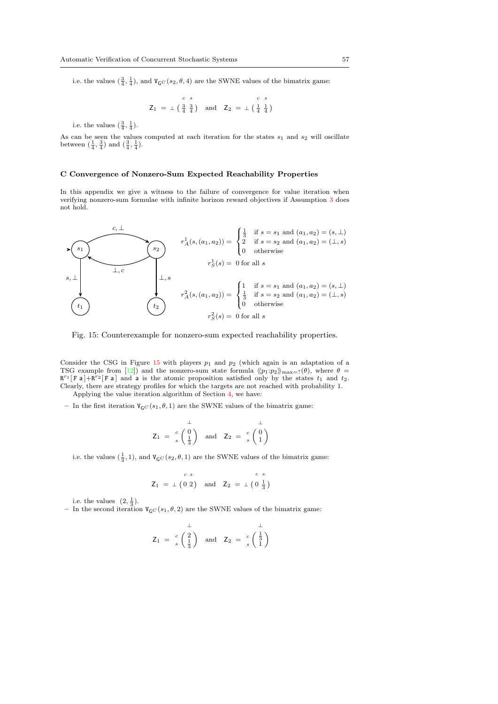i.e. the values  $(\frac{3}{4}, \frac{1}{4})$ , and  $V_{\mathsf{G}C}(s_2, \theta, 4)$  are the SWNE values of the bimatrix game:

$$
Z_1 = \pm \begin{pmatrix} c & s & c & s \\ \frac{3}{4} & \frac{3}{4} \end{pmatrix} \text{ and } Z_2 = \pm \begin{pmatrix} \frac{1}{4} & \frac{1}{4} \end{pmatrix}
$$

i.e. the values  $(\frac{3}{4}, \frac{1}{4})$ .

As can be seen the values computed at each iteration for the states  $s_1$  and  $s_2$  will oscillate between  $(\frac{1}{4}, \frac{3}{4})$  and  $(\frac{3}{4}, \frac{1}{4})$ .

### <span id="page-56-0"></span>C Convergence of Nonzero-Sum Expected Reachability Properties

In this appendix we give a witness to the failure of convergence for value iteration when verifying nonzero-sum formulae with infinite horizon reward objectives if Assumption [3](#page-17-1) does not hold.

<span id="page-56-1"></span>![](_page_56_Figure_7.jpeg)

Fig. 15: Counterexample for nonzero-sum expected reachability properties.

Consider the CSG in Figure [15](#page-56-1) with players  $p_1$  and  $p_2$  (which again is an adaptation of a TSG example from [\[12\]](#page-51-11)) and the nonzero-sum state formula  $\langle p_1:p_2 \rangle_{\text{max}=?}(\theta)$ , where  $\theta =$  $R^{r_1}[F a] + R^{r_2}[F a]$  and a is the atomic proposition satisfied only by the states  $t_1$  and  $t_2$ . Clearly, there are strategy profiles for which the targets are not reached with probability 1. Applying the value iteration algorithm of Section [4,](#page-16-0) we have:

– In the first iteration  $V_{GC}(s_1, \theta, 1)$  are the SWNE values of the bimatrix game:

$$
Z_1 = \begin{array}{c} 1 \\ c \\ s \end{array} \begin{pmatrix} 0 \\ \frac{1}{3} \end{pmatrix} \text{ and } Z_2 = \begin{array}{c} c \\ s \\ s \end{array} \begin{pmatrix} 0 \\ 1 \end{pmatrix}
$$

i.e. the values  $(\frac{1}{3}, 1)$ , and  $V_{\mathsf{G}}(s_2, \theta, 1)$  are the SWNE values of the bimatrix game:

$$
Z_1 = \bot (0 2) \quad \text{and} \quad Z_2 = \bot (0 \frac{1}{3})
$$

i.e. the values  $(2, \frac{1}{3})$ .

– In the second iteration  $V_{\rm GC}(s_1, \theta, 2)$  are the SWNE values of the bimatrix game:

$$
\mathsf{Z}_1 = \begin{array}{c} \downarrow \\ s \left( \frac{2}{3} \right) \end{array} \text{ and } \mathsf{Z}_2 = \begin{array}{c} \downarrow \\ s \left( \frac{1}{3} \right) \end{array}
$$